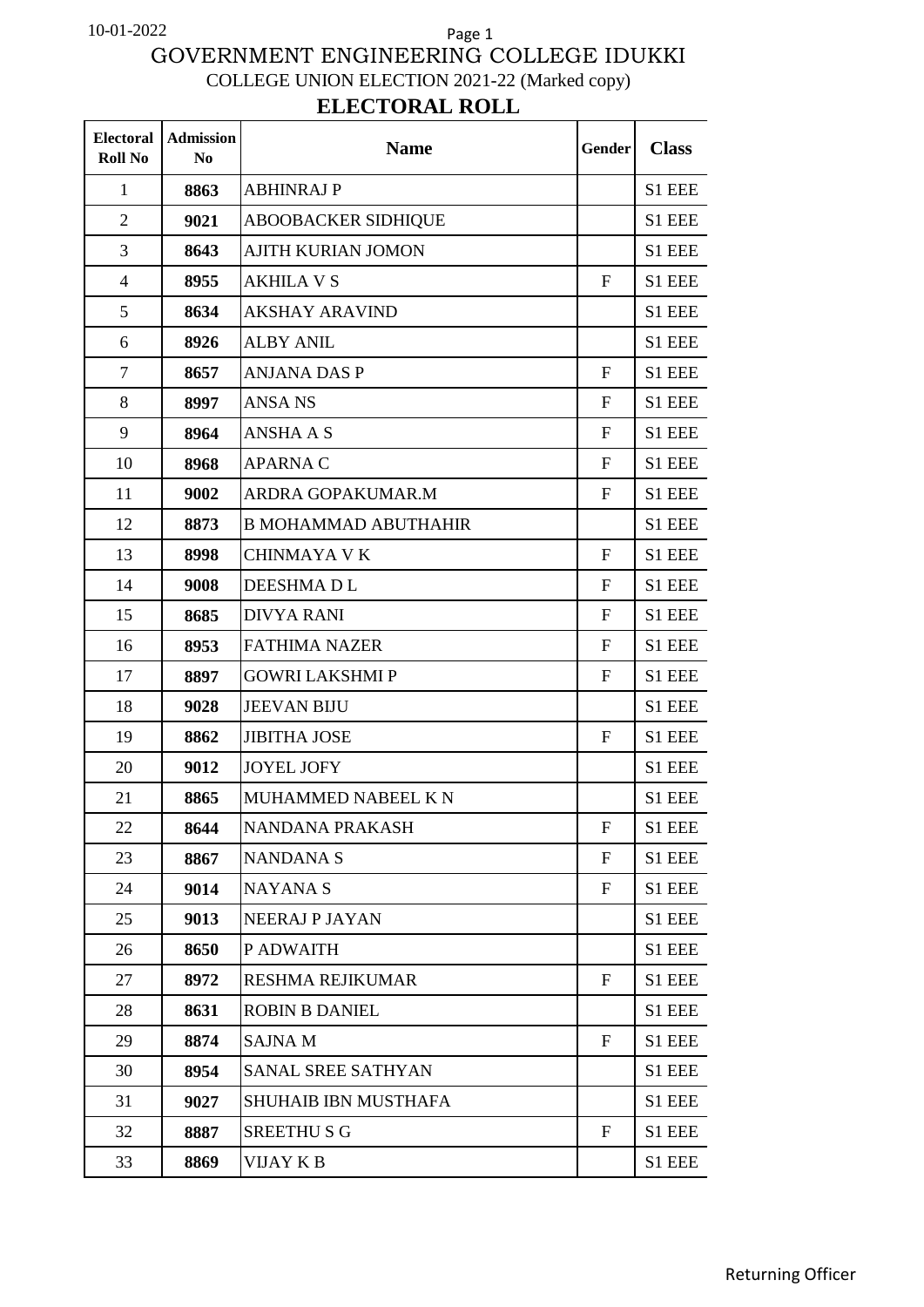### GOVERNMENT ENGINEERING COLLEGE IDUKKI COLLEGE UNION ELECTION 2021-22 (Marked copy)

| <b>Electoral</b><br><b>Roll No</b> | <b>Admission</b><br>N <sub>0</sub> | <b>Name</b>                 | Gender       | <b>Class</b> |
|------------------------------------|------------------------------------|-----------------------------|--------------|--------------|
| $\mathbf{1}$                       | 8863                               | <b>ABHINRAJ P</b>           |              | S1 EEE       |
| $\mathfrak{2}$                     | 9021                               | <b>ABOOBACKER SIDHIQUE</b>  |              | S1 EEE       |
| 3                                  | 8643                               | <b>AJITH KURIAN JOMON</b>   |              | S1 EEE       |
| $\overline{4}$                     | 8955                               | <b>AKHILA V S</b>           | $\mathbf{F}$ | S1 EEE       |
| 5                                  | 8634                               | <b>AKSHAY ARAVIND</b>       |              | S1 EEE       |
| 6                                  | 8926                               | <b>ALBY ANIL</b>            |              | S1 EEE       |
| 7                                  | 8657                               | <b>ANJANA DAS P</b>         | F            | S1 EEE       |
| 8                                  | 8997                               | <b>ANSA NS</b>              | $\mathbf{F}$ | S1 EEE       |
| 9                                  | 8964                               | <b>ANSHA A S</b>            | F            | S1 EEE       |
| 10                                 | 8968                               | <b>APARNAC</b>              | F            | S1 EEE       |
| 11                                 | 9002                               | ARDRA GOPAKUMAR.M           | F            | S1 EEE       |
| 12                                 | 8873                               | <b>B MOHAMMAD ABUTHAHIR</b> |              | S1 EEE       |
| 13                                 | 8998                               | <b>CHINMAYA V K</b>         | F            | S1 EEE       |
| 14                                 | 9008                               | <b>DEESHMADL</b>            | F            | S1 EEE       |
| 15                                 | 8685                               | <b>DIVYA RANI</b>           | F            | S1 EEE       |
| 16                                 | 8953                               | <b>FATHIMA NAZER</b>        | F            | S1 EEE       |
| 17                                 | 8897                               | <b>GOWRI LAKSHMI P</b>      | F            | S1 EEE       |
| 18                                 | 9028                               | <b>JEEVAN BIJU</b>          |              | S1 EEE       |
| 19                                 | 8862                               | <b>JIBITHA JOSE</b>         | $\mathbf F$  | S1 EEE       |
| 20                                 | 9012                               | <b>JOYEL JOFY</b>           |              | S1 EEE       |
| 21                                 | 8865                               | MUHAMMED NABEEL K N         |              | S1 EEE       |
| 22                                 | 8644                               | NANDANA PRAKASH             | F            | S1 EEE       |
| 23                                 | 8867                               | <b>NANDANA S</b>            | F            | S1 EEE       |
| 24                                 | 9014                               | <b>NAYANA S</b>             | F            | S1 EEE       |
| 25                                 | 9013                               | <b>NEERAJ P JAYAN</b>       |              | S1 EEE       |
| 26                                 | 8650                               | P ADWAITH                   |              | S1 EEE       |
| 27                                 | 8972                               | RESHMA REJIKUMAR            | $\mathbf F$  | S1 EEE       |
| 28                                 | 8631                               | <b>ROBIN B DANIEL</b>       |              | S1 EEE       |
| 29                                 | 8874                               | <b>SAJNAM</b>               | F            | S1 EEE       |
| 30                                 | 8954                               | SANAL SREE SATHYAN          |              | S1 EEE       |
| 31                                 | 9027                               | <b>SHUHAIB IBN MUSTHAFA</b> |              | S1 EEE       |
| 32                                 | 8887                               | <b>SREETHUSG</b>            | F            | S1 EEE       |
| 33                                 | 8869                               | VIJAY K B                   |              | S1 EEE       |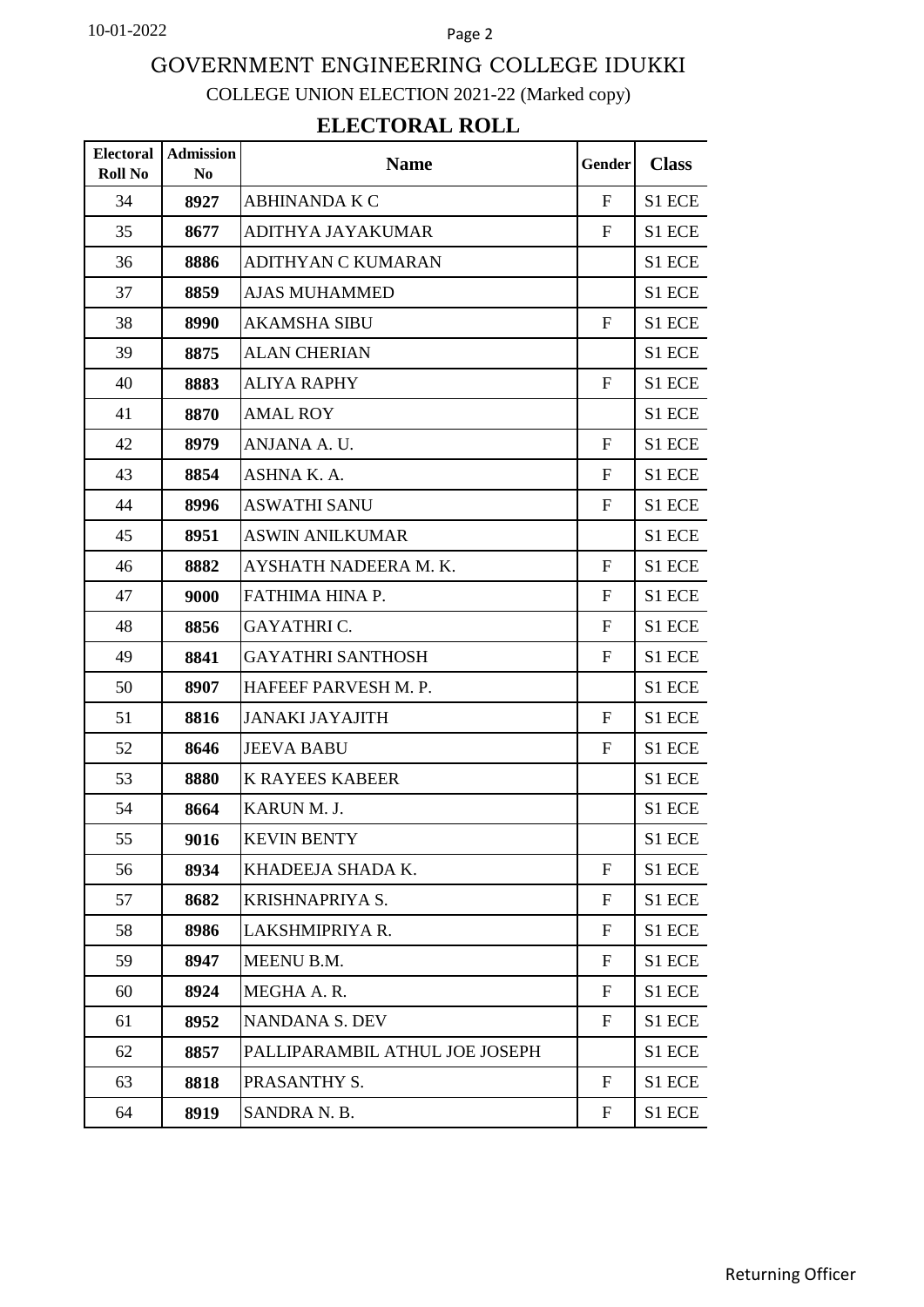## GOVERNMENT ENGINEERING COLLEGE IDUKKI

COLLEGE UNION ELECTION 2021-22 (Marked copy)

| <b>Electoral</b><br><b>Roll No</b> | <b>Admission</b><br>N <sub>0</sub> | <b>Name</b>                    | <b>Gender</b> | <b>Class</b> |
|------------------------------------|------------------------------------|--------------------------------|---------------|--------------|
| 34                                 | 8927                               | <b>ABHINANDA K C</b>           | F             | S1 ECE       |
| 35                                 | 8677                               | ADITHYA JAYAKUMAR              | F             | S1 ECE       |
| 36                                 | 8886                               | <b>ADITHYAN C KUMARAN</b>      |               | S1 ECE       |
| 37                                 | 8859                               | <b>AJAS MUHAMMED</b>           |               | S1 ECE       |
| 38                                 | 8990                               | <b>AKAMSHA SIBU</b>            | $\mathbf{F}$  | S1 ECE       |
| 39                                 | 8875                               | <b>ALAN CHERIAN</b>            |               | S1 ECE       |
| 40                                 | 8883                               | <b>ALIYA RAPHY</b>             | F             | S1 ECE       |
| 41                                 | 8870                               | <b>AMAL ROY</b>                |               | S1 ECE       |
| 42                                 | 8979                               | ANJANA A.U.                    | F             | S1 ECE       |
| 43                                 | 8854                               | ASHNA K. A.                    | F             | S1 ECE       |
| 44                                 | 8996                               | <b>ASWATHI SANU</b>            | F             | S1 ECE       |
| 45                                 | 8951                               | <b>ASWIN ANILKUMAR</b>         |               | S1 ECE       |
| 46                                 | 8882                               | AYSHATH NADEERA M.K.           | F             | S1 ECE       |
| 47                                 | 9000                               | FATHIMA HINA P.                | F             | S1 ECE       |
| 48                                 | 8856                               | <b>GAYATHRIC.</b>              | F             | S1 ECE       |
| 49                                 | 8841                               | <b>GAYATHRI SANTHOSH</b>       | F             | S1 ECE       |
| 50                                 | 8907                               | HAFEEF PARVESH M. P.           |               | S1 ECE       |
| 51                                 | 8816                               | <b>JANAKI JAYAJITH</b>         | $\mathbf F$   | S1 ECE       |
| 52                                 | 8646                               | <b>JEEVA BABU</b>              | F             | S1 ECE       |
| 53                                 | 8880                               | <b>K RAYEES KABEER</b>         |               | S1 ECE       |
| 54                                 | 8664                               | KARUN M. J.                    |               | S1 ECE       |
| 55                                 | 9016                               | <b>KEVIN BENTY</b>             |               | S1 ECE       |
| 56                                 | 8934                               | KHADEEJA SHADA K.              | F             | S1 ECE       |
| 57                                 | 8682                               | <b>KRISHNAPRIYA S.</b>         | F             | S1 ECE       |
| 58                                 | 8986                               | LAKSHMIPRIYA R.                | F             | S1 ECE       |
| 59                                 | 8947                               | MEENU B.M.                     | F             | S1 ECE       |
| 60                                 | 8924                               | MEGHA A.R.                     | $\mathbf F$   | S1 ECE       |
| 61                                 | 8952                               | NANDANA S. DEV                 | F             | S1 ECE       |
| 62                                 | 8857                               | PALLIPARAMBIL ATHUL JOE JOSEPH |               | S1 ECE       |
| 63                                 | 8818                               | PRASANTHY S.                   | F             | S1 ECE       |
| 64                                 | 8919                               | SANDRA N. B.                   | F             | S1 ECE       |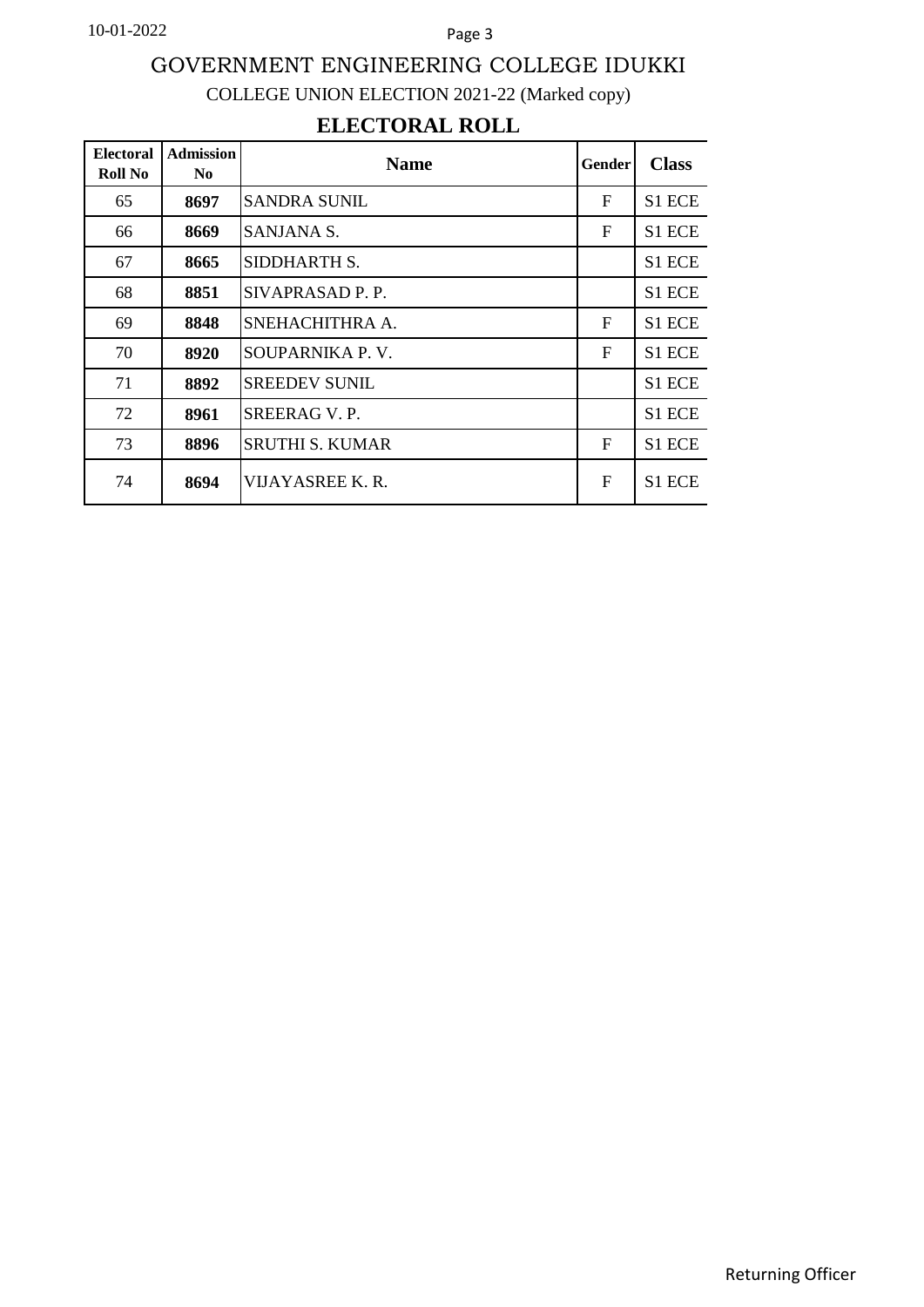### GOVERNMENT ENGINEERING COLLEGE IDUKKI

COLLEGE UNION ELECTION 2021-22 (Marked copy)

| <b>Electoral</b><br><b>Roll No</b> | <b>Admission</b><br>N <sub>0</sub> | <b>Name</b>            | <b>Gender</b> | <b>Class</b>       |
|------------------------------------|------------------------------------|------------------------|---------------|--------------------|
| 65                                 | 8697                               | <b>SANDRA SUNIL</b>    | $\mathbf F$   | S1 ECE             |
| 66                                 | 8669                               | SANJANA S.             | $\mathbf F$   | S1 ECE             |
| 67                                 | 8665                               | SIDDHARTH S.           |               | S1 ECE             |
| 68                                 | 8851                               | SIVAPRASAD P. P.       |               | S1 ECE             |
| 69                                 | 8848                               | SNEHACHITHRA A.        | $\mathbf F$   | S <sub>1</sub> ECE |
| 70                                 | 8920                               | SOUPARNIKA P.V.        | $\mathbf F$   | S1 ECE             |
| 71                                 | 8892                               | <b>SREEDEV SUNIL</b>   |               | S1 ECE             |
| 72                                 | 8961                               | <b>SREERAG V. P.</b>   |               | S1 ECE             |
| 73                                 | 8896                               | <b>SRUTHI S. KUMAR</b> | $\mathbf F$   | S1 ECE             |
| 74                                 | 8694                               | VIJAYASREE K.R.        | $\mathbf{F}$  | S1 ECE             |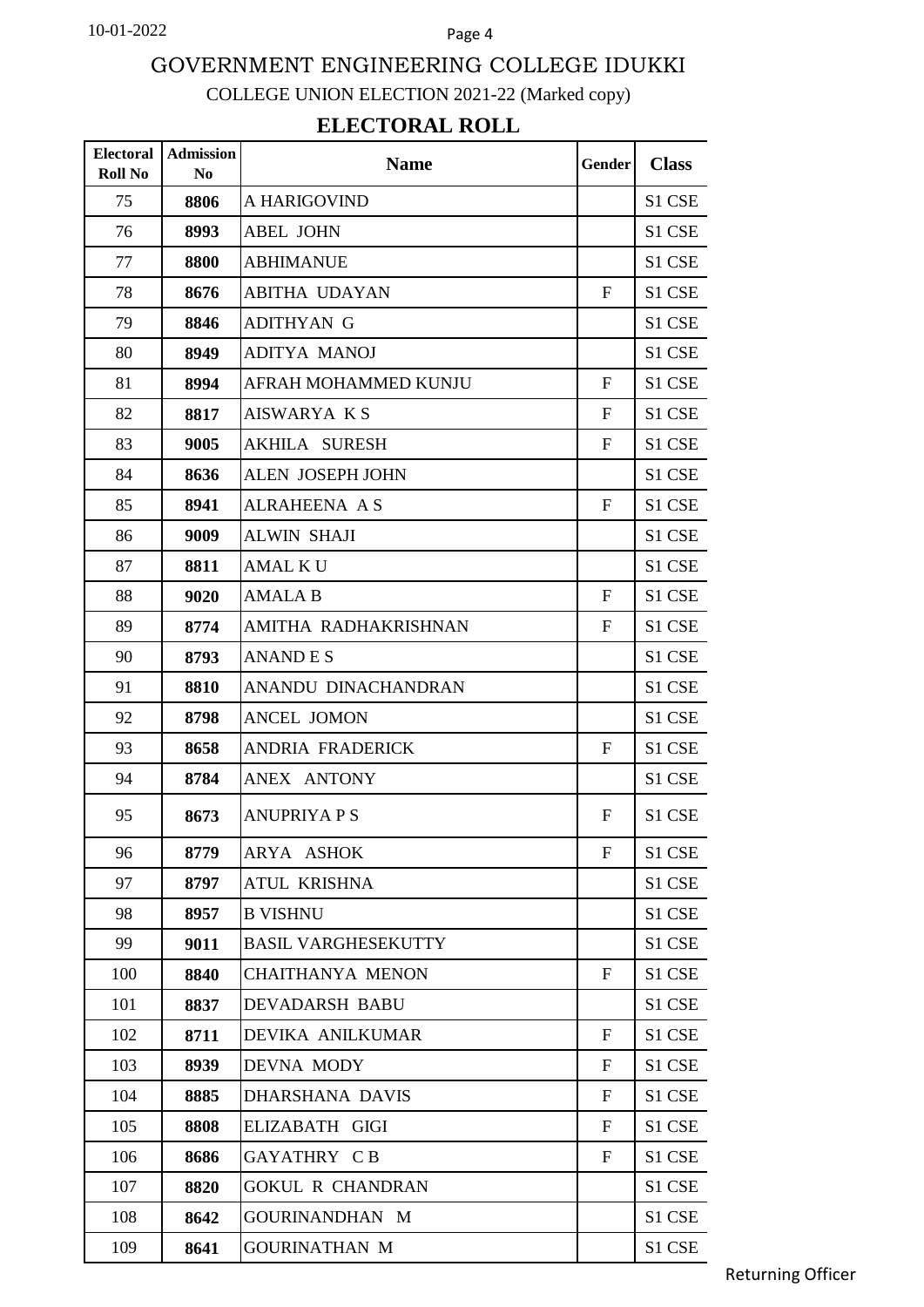COLLEGE UNION ELECTION 2021-22 (Marked copy)

#### **ELECTORAL ROLL**

| Electoral<br><b>Roll No</b> | <b>Admission</b><br>N <sub>0</sub> | <b>Name</b>                | Gender      | <b>Class</b> |
|-----------------------------|------------------------------------|----------------------------|-------------|--------------|
| 75                          | 8806                               | A HARIGOVIND               |             | S1 CSE       |
| 76                          | 8993                               | <b>ABEL JOHN</b>           |             | S1 CSE       |
| 77                          | 8800                               | <b>ABHIMANUE</b>           |             | S1 CSE       |
| 78                          | 8676                               | <b>ABITHA UDAYAN</b>       | F           | S1 CSE       |
| 79                          | 8846                               | <b>ADITHYAN G</b>          |             | S1 CSE       |
| 80                          | 8949                               | <b>ADITYA MANOJ</b>        |             | S1 CSE       |
| 81                          | 8994                               | AFRAH MOHAMMED KUNJU       | F           | S1 CSE       |
| 82                          | 8817                               | <b>AISWARYA KS</b>         | F           | S1 CSE       |
| 83                          | 9005                               | <b>AKHILA SURESH</b>       | F           | S1 CSE       |
| 84                          | 8636                               | ALEN JOSEPH JOHN           |             | S1 CSE       |
| 85                          | 8941                               | <b>ALRAHEENA AS</b>        | F           | S1 CSE       |
| 86                          | 9009                               | <b>ALWIN SHAJI</b>         |             | S1 CSE       |
| 87                          | 8811                               | <b>AMAL K U</b>            |             | S1 CSE       |
| 88                          | 9020                               | <b>AMALA B</b>             | F           | S1 CSE       |
| 89                          | 8774                               | AMITHA RADHAKRISHNAN       | F           | S1 CSE       |
| 90                          | 8793                               | <b>ANANDES</b>             |             | S1 CSE       |
| 91                          | 8810                               | ANANDU DINACHANDRAN        |             | S1 CSE       |
| 92                          | 8798                               | <b>ANCEL JOMON</b>         |             | S1 CSE       |
| 93                          | 8658                               | <b>ANDRIA FRADERICK</b>    | F           | S1 CSE       |
| 94                          | 8784                               | ANEX ANTONY                |             | S1 CSE       |
| 95                          | 8673                               | <b>ANUPRIYA P S</b>        | F           | S1 CSE       |
| 96                          | 8779                               | ARYA ASHOK                 | F           | S1 CSE       |
| 97                          | 8797                               | <b>ATUL KRISHNA</b>        |             | S1 CSE       |
| 98                          | 8957                               | <b>B VISHNU</b>            |             | S1 CSE       |
| 99                          | 9011                               | <b>BASIL VARGHESEKUTTY</b> |             | S1 CSE       |
| 100                         | 8840                               | <b>CHAITHANYA MENON</b>    | $\mathbf F$ | S1 CSE       |
| 101                         | 8837                               | <b>DEVADARSH BABU</b>      |             | S1 CSE       |
| 102                         | 8711                               | DEVIKA ANILKUMAR           | F           | S1 CSE       |
| 103                         | 8939                               | DEVNA MODY                 | F           | S1 CSE       |
| 104                         | 8885                               | DHARSHANA DAVIS            | F           | S1 CSE       |
| 105                         | 8808                               | ELIZABATH GIGI             | F           | S1 CSE       |
| 106                         | 8686                               | GAYATHRY CB                | F           | S1 CSE       |
| 107                         | 8820                               | <b>GOKUL R CHANDRAN</b>    |             | S1 CSE       |
| 108                         | 8642                               | <b>GOURINANDHAN M</b>      |             | S1 CSE       |
| 109                         | 8641                               | <b>GOURINATHAN M</b>       |             | S1 CSE       |

Returning Officer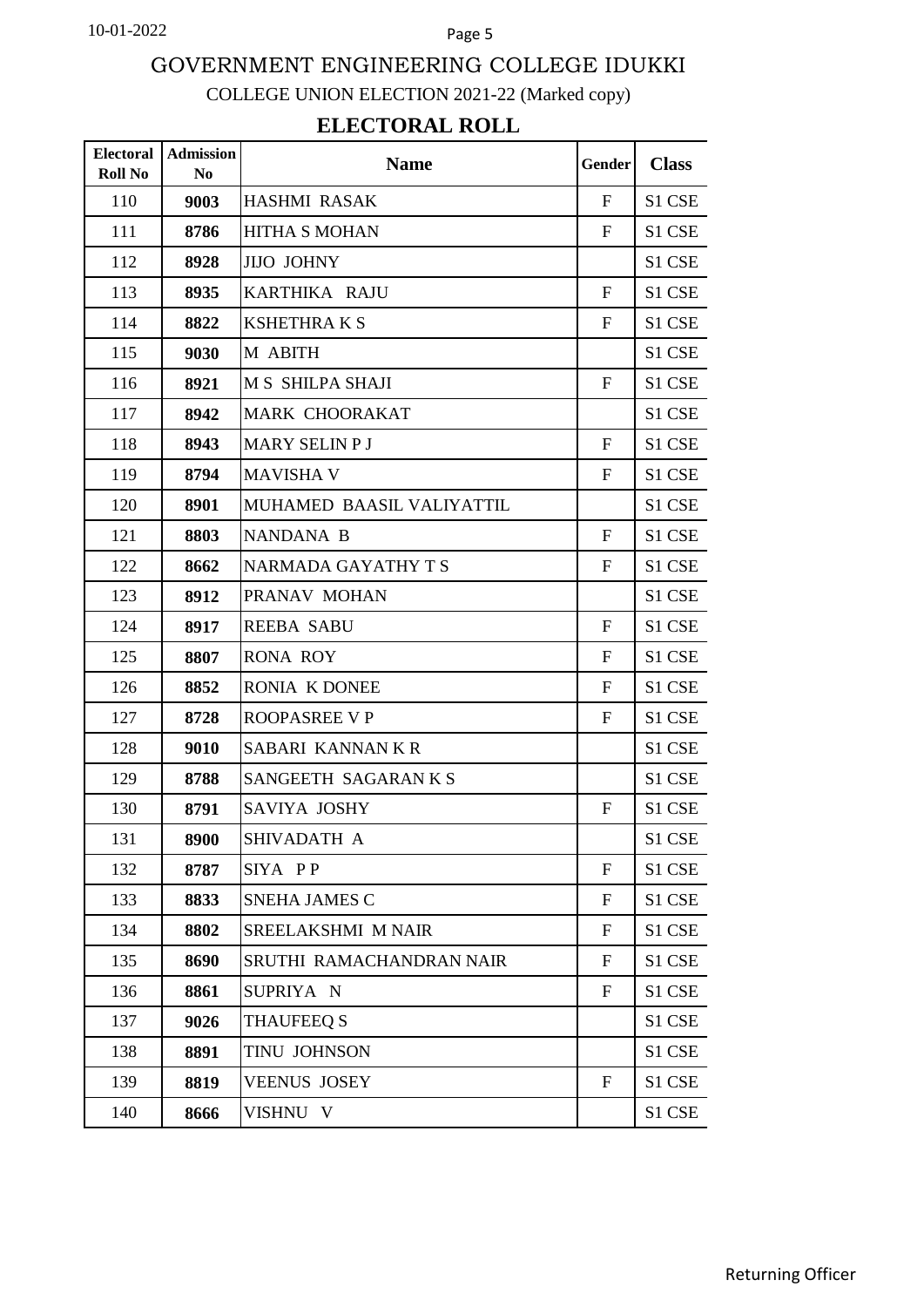COLLEGE UNION ELECTION 2021-22 (Marked copy)

| <b>Electoral</b><br><b>Roll No</b> | <b>Admission</b><br>N <sub>0</sub> | <b>Name</b>               | <b>Gender</b> | <b>Class</b> |
|------------------------------------|------------------------------------|---------------------------|---------------|--------------|
| 110                                | 9003                               | <b>HASHMI RASAK</b>       | F             | S1 CSE       |
| 111                                | 8786                               | <b>HITHA S MOHAN</b>      | F             | S1 CSE       |
| 112                                | 8928                               | <b>JIJO JOHNY</b>         |               | S1 CSE       |
| 113                                | 8935                               | KARTHIKA RAJU             | $\mathbf{F}$  | S1 CSE       |
| 114                                | 8822                               | <b>KSHETHRAKS</b>         | F             | S1 CSE       |
| 115                                | 9030                               | M ABITH                   |               | S1 CSE       |
| 116                                | 8921                               | M S SHILPA SHAJI          | F             | S1 CSE       |
| 117                                | 8942                               | <b>MARK CHOORAKAT</b>     |               | S1 CSE       |
| 118                                | 8943                               | <b>MARY SELIN P J</b>     | F             | S1 CSE       |
| 119                                | 8794                               | <b>MAVISHA V</b>          | F             | S1 CSE       |
| 120                                | 8901                               | MUHAMED BAASIL VALIYATTIL |               | S1 CSE       |
| 121                                | 8803                               | NANDANA B                 | $\mathbf{F}$  | S1 CSE       |
| 122                                | 8662                               | NARMADA GAYATHY T S       | F             | S1 CSE       |
| 123                                | 8912                               | PRANAV MOHAN              |               | S1 CSE       |
| 124                                | 8917                               | <b>REEBA SABU</b>         | $\mathbf F$   | S1 CSE       |
| 125                                | 8807                               | <b>RONA ROY</b>           | F             | S1 CSE       |
| 126                                | 8852                               | <b>RONIA K DONEE</b>      | F             | S1 CSE       |
| 127                                | 8728                               | <b>ROOPASREE V P</b>      | F             | S1 CSE       |
| 128                                | 9010                               | SABARI KANNAN KR          |               | S1 CSE       |
| 129                                | 8788                               | SANGEETH SAGARANKS        |               | S1 CSE       |
| 130                                | 8791                               | SAVIYA JOSHY              | F             | S1 CSE       |
| 131                                | 8900                               | SHIVADATH A               |               | S1 CSE       |
| 132                                | 8787                               | SIYA PP                   | $\mathbf{F}$  | S1 CSE       |
| 133                                | 8833                               | <b>SNEHA JAMES C</b>      | $\mathbf{F}$  | S1 CSE       |
| 134                                | 8802                               | SREELAKSHMI M NAIR        | F             | S1 CSE       |
| 135                                | 8690                               | SRUTHI RAMACHANDRAN NAIR  | F             | S1 CSE       |
| 136                                | 8861                               | SUPRIYA N                 | $\mathbf F$   | S1 CSE       |
| 137                                | 9026                               | <b>THAUFEEQ S</b>         |               | S1 CSE       |
| 138                                | 8891                               | TINU JOHNSON              |               | S1 CSE       |
| 139                                | 8819                               | <b>VEENUS JOSEY</b>       | $\mathbf F$   | S1 CSE       |
| 140                                | 8666                               | VISHNU V                  |               | S1 CSE       |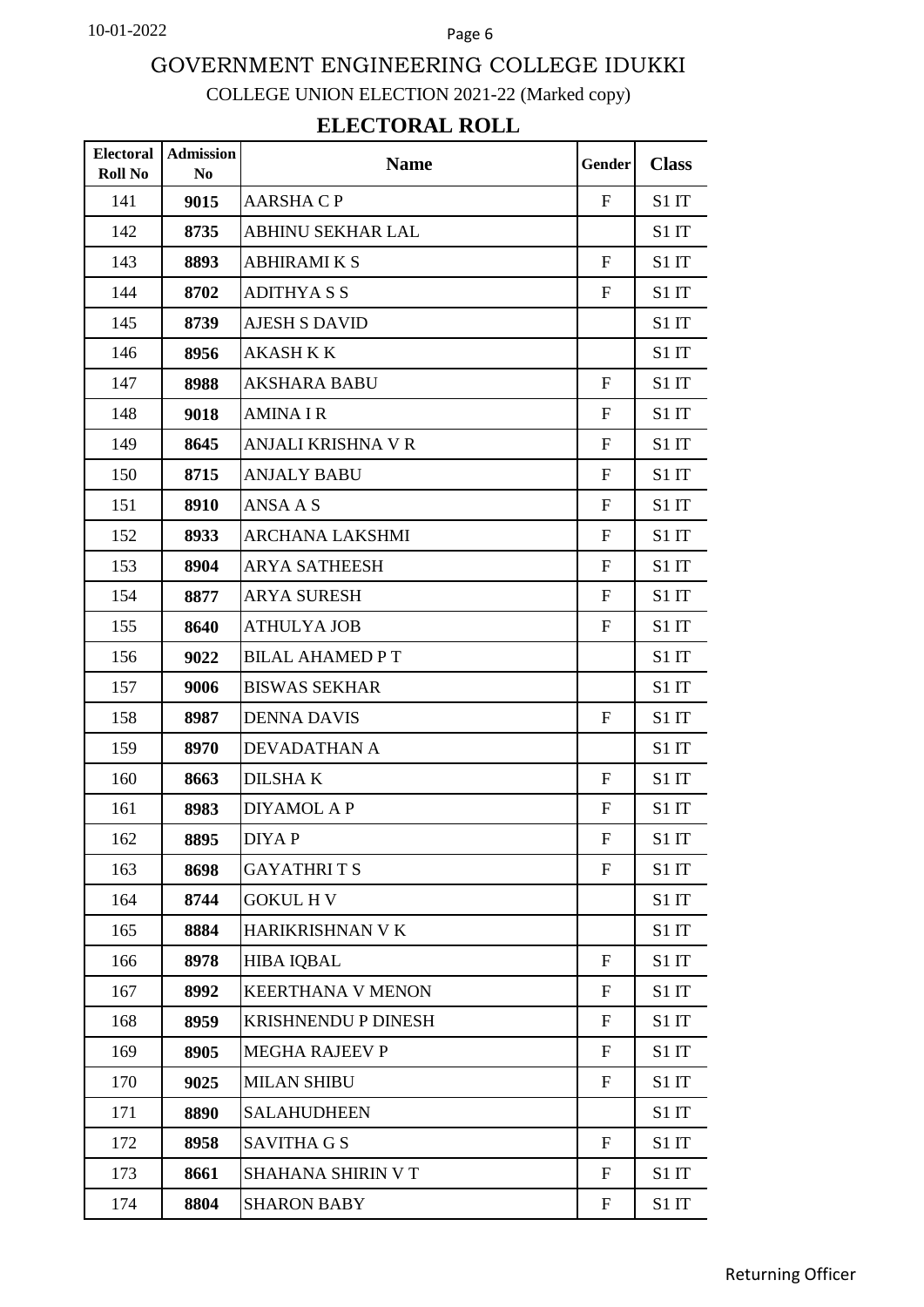COLLEGE UNION ELECTION 2021-22 (Marked copy)

| <b>Electoral</b><br><b>Roll No</b> | <b>Admission</b><br>N <sub>0</sub> | <b>Name</b>                | Gender                    | <b>Class</b>  |
|------------------------------------|------------------------------------|----------------------------|---------------------------|---------------|
| 141                                | 9015                               | <b>AARSHACP</b>            | F                         | S1 IT         |
| 142                                | 8735                               | <b>ABHINU SEKHAR LAL</b>   |                           | S1 IT         |
| 143                                | 8893                               | <b>ABHIRAMI K S</b>        | F                         | S1 IT         |
| 144                                | 8702                               | <b>ADITHYASS</b>           | $\mathbf{F}$              | S1 IT         |
| 145                                | 8739                               | <b>AJESH S DAVID</b>       |                           | S1 IT         |
| 146                                | 8956                               | <b>AKASH K K</b>           |                           | S1 IT         |
| 147                                | 8988                               | <b>AKSHARA BABU</b>        | F                         | S1 IT         |
| 148                                | 9018                               | <b>AMINA IR</b>            | $\mathbf{F}$              | S1 IT         |
| 149                                | 8645                               | ANJALI KRISHNA V R         | F                         | S1 IT         |
| 150                                | 8715                               | <b>ANJALY BABU</b>         | F                         | S1 IT         |
| 151                                | 8910                               | <b>ANSA A S</b>            | $\mathbf F$               | S1 IT         |
| 152                                | 8933                               | <b>ARCHANA LAKSHMI</b>     | $\mathbf{F}$              | S1 IT         |
| 153                                | 8904                               | <b>ARYA SATHEESH</b>       | F                         | S1 IT         |
| 154                                | 8877                               | <b>ARYA SURESH</b>         | F                         | S1 IT         |
| 155                                | 8640                               | <b>ATHULYA JOB</b>         | $\mathbf F$               | S1IT          |
| 156                                | 9022                               | <b>BILAL AHAMED P T</b>    |                           | S1 IT         |
| 157                                | 9006                               | <b>BISWAS SEKHAR</b>       |                           | S1 IT         |
| 158                                | 8987                               | <b>DENNA DAVIS</b>         | F                         | S1 IT         |
| 159                                | 8970                               | DEVADATHAN A               |                           | S1 IT         |
| 160                                | 8663                               | <b>DILSHAK</b>             | F                         | S1 IT         |
| 161                                | 8983                               | <b>DIYAMOL A P</b>         | F                         | S1 IT         |
| 162                                | 8895                               | DIYA P                     | F                         | S1 IT         |
| 163                                | 8698                               | <b>GAYATHRITS</b>          | $\mathbf{F}$              | S1 IT         |
| 164                                | 8744                               | <b>GOKUL HV</b>            |                           | S1 IT         |
| 165                                | 8884                               | HARIKRISHNAN V K           |                           | S1 IT         |
| 166                                | 8978                               | <b>HIBA IQBAL</b>          | F                         | S1 IT         |
| 167                                | 8992                               | <b>KEERTHANA V MENON</b>   | $\mathbf{F}$              | S1IT          |
| 168                                | 8959                               | <b>KRISHNENDU P DINESH</b> | $\mathbf{F}$              | S1 IT         |
| 169                                | 8905                               | <b>MEGHA RAJEEV P</b>      | $\mathbf F$               | S1IT          |
| 170                                | 9025                               | <b>MILAN SHIBU</b>         | $\mathbf F$               | S1IT          |
| 171                                | 8890                               | <b>SALAHUDHEEN</b>         |                           | $S1$ $\rm IT$ |
| 172                                | 8958                               | <b>SAVITHA G S</b>         | $\mathbf F$               | S1 IT         |
| 173                                | 8661                               | SHAHANA SHIRIN V T         | F                         | S1 IT         |
| 174                                | 8804                               | <b>SHARON BABY</b>         | $\boldsymbol{\mathrm{F}}$ | S1IT          |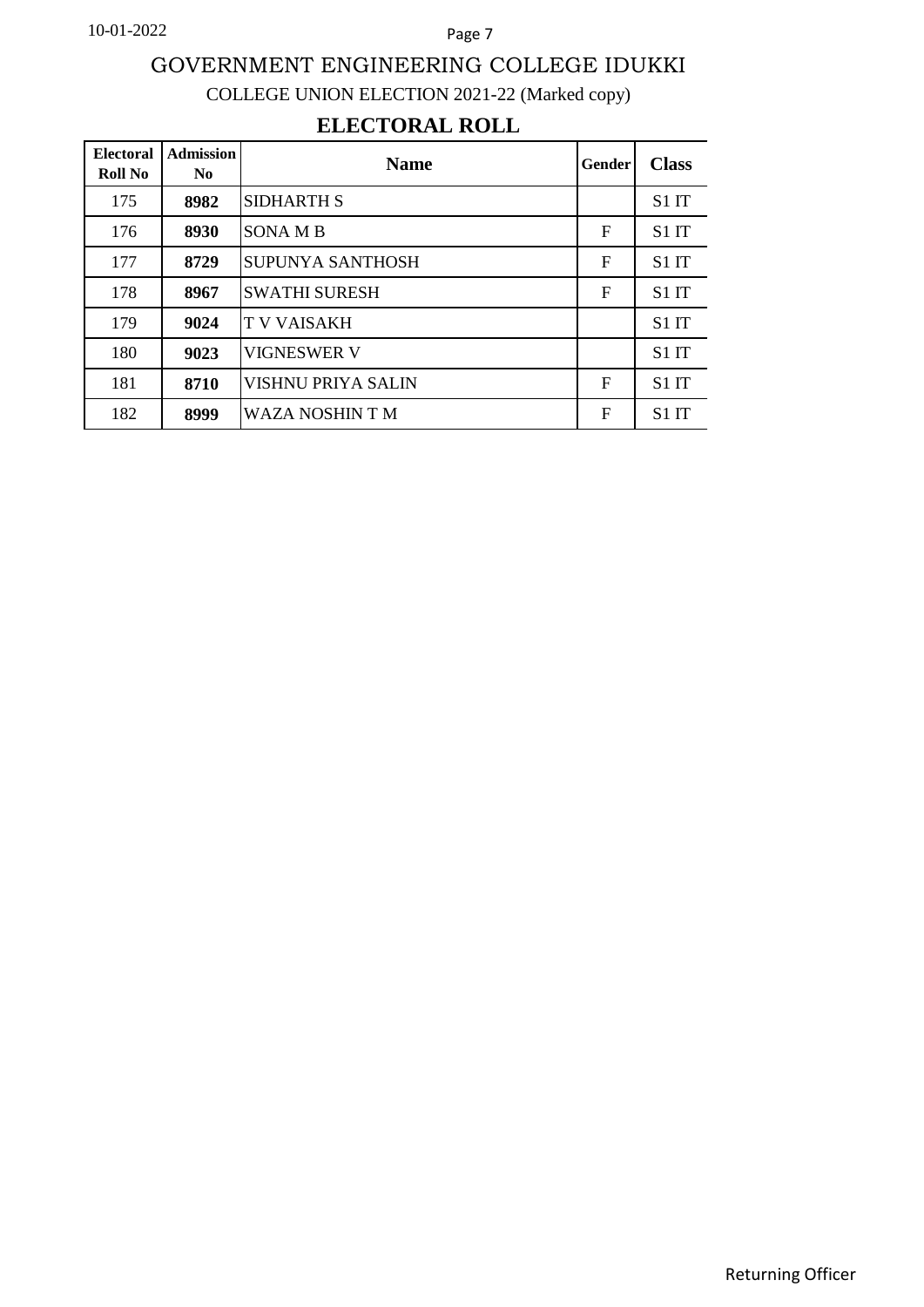## GOVERNMENT ENGINEERING COLLEGE IDUKKI

COLLEGE UNION ELECTION 2021-22 (Marked copy)

| <b>Electoral</b><br><b>Roll No</b> | <b>Admission</b><br>N <sub>0</sub> | <b>Name</b>               | <b>Gender</b> | <b>Class</b> |
|------------------------------------|------------------------------------|---------------------------|---------------|--------------|
| 175                                | 8982                               | <b>SIDHARTH S</b>         |               | S1 IT        |
| 176                                | 8930                               | <b>SONAMB</b>             | F             | S1 IT        |
| 177                                | 8729                               | <b>SUPUNYA SANTHOSH</b>   | F             | S1 IT        |
| 178                                | 8967                               | <b>SWATHI SURESH</b>      | F             | S1 IT        |
| 179                                | 9024                               | <b>T V VAISAKH</b>        |               | S1 IT        |
| 180                                | 9023                               | <b>VIGNESWER V</b>        |               | S1 IT        |
| 181                                | 8710                               | <b>VISHNU PRIYA SALIN</b> | F             | S1 IT        |
| 182                                | 8999                               | <b>WAZA NOSHIN T M</b>    | F             | S1 IT        |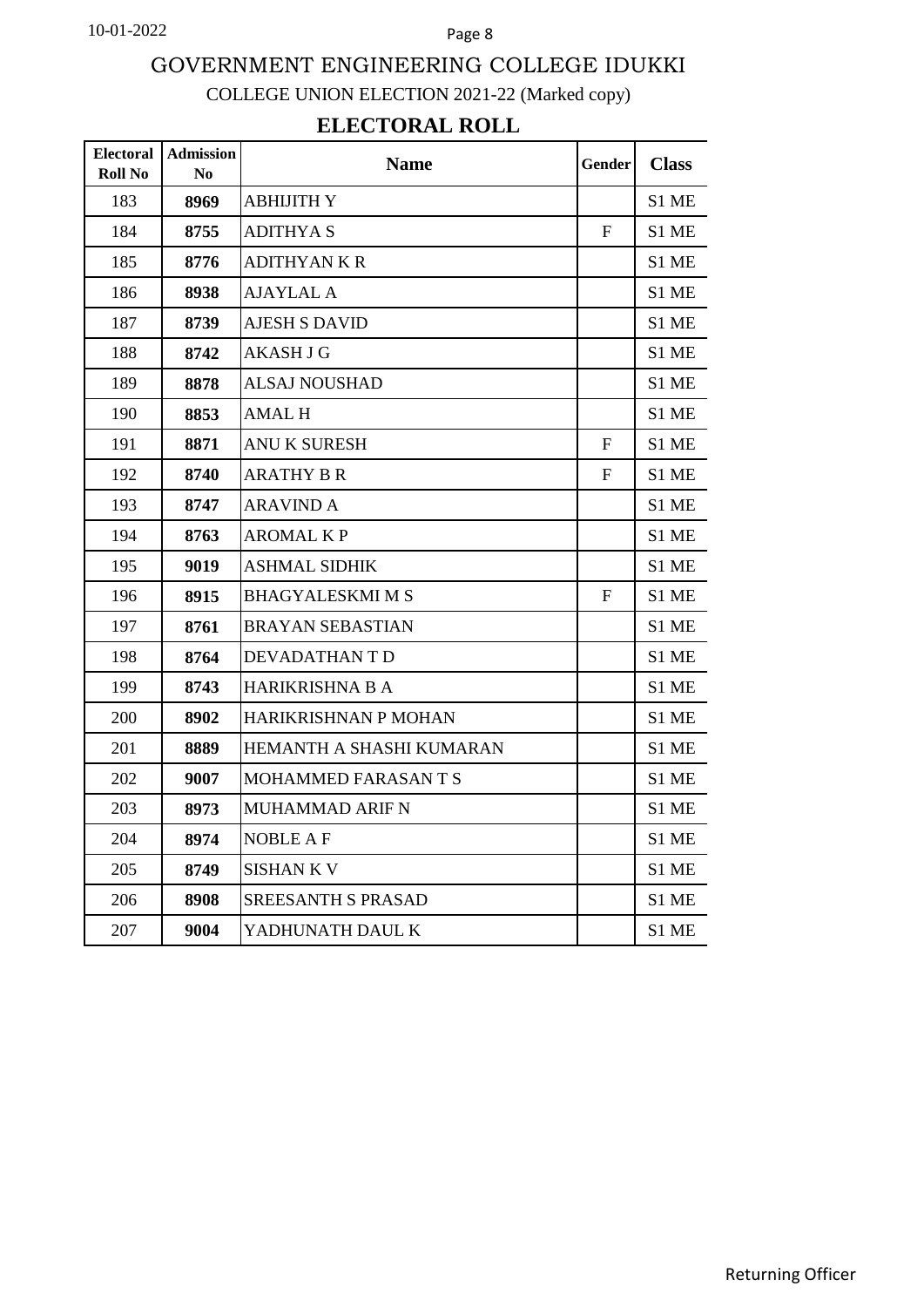### GOVERNMENT ENGINEERING COLLEGE IDUKKI

COLLEGE UNION ELECTION 2021-22 (Marked copy)

| <b>Electoral</b><br><b>Roll No</b> | <b>Admission</b><br>N <sub>0</sub> | <b>Name</b>                 | <b>Gender</b> | <b>Class</b> |
|------------------------------------|------------------------------------|-----------------------------|---------------|--------------|
| 183                                | 8969                               | <b>ABHIJITH Y</b>           |               | S1 ME        |
| 184                                | 8755                               | <b>ADITHYA S</b>            | $\mathbf F$   | S1 ME        |
| 185                                | 8776                               | <b>ADITHYANKR</b>           |               | S1 ME        |
| 186                                | 8938                               | <b>AJAYLAL A</b>            |               | S1 ME        |
| 187                                | 8739                               | <b>AJESH S DAVID</b>        |               | S1 ME        |
| 188                                | 8742                               | <b>AKASH J G</b>            |               | S1 ME        |
| 189                                | 8878                               | <b>ALSAJ NOUSHAD</b>        |               | S1 ME        |
| 190                                | 8853                               | <b>AMALH</b>                |               | S1 ME        |
| 191                                | 8871                               | ANU K SURESH                | $\mathbf{F}$  | S1 ME        |
| 192                                | 8740                               | <b>ARATHY B R</b>           | F             | S1 ME        |
| 193                                | 8747                               | <b>ARAVIND A</b>            |               | S1 ME        |
| 194                                | 8763                               | <b>AROMAL KP</b>            |               | S1 ME        |
| 195                                | 9019                               | <b>ASHMAL SIDHIK</b>        |               | S1 ME        |
| 196                                | 8915                               | <b>BHAGYALESKMI M S</b>     | F             | S1 ME        |
| 197                                | 8761                               | <b>BRAYAN SEBASTIAN</b>     |               | S1 ME        |
| 198                                | 8764                               | <b>DEVADATHANT D</b>        |               | S1 ME        |
| 199                                | 8743                               | <b>HARIKRISHNA B A</b>      |               | S1 ME        |
| 200                                | 8902                               | <b>HARIKRISHNAN P MOHAN</b> |               | S1 ME        |
| 201                                | 8889                               | HEMANTH A SHASHI KUMARAN    |               | S1 ME        |
| 202                                | 9007                               | MOHAMMED FARASAN T S        |               | S1 ME        |
| 203                                | 8973                               | MUHAMMAD ARIF N             |               | S1 ME        |
| 204                                | 8974                               | <b>NOBLE A F</b>            |               | S1 ME        |
| 205                                | 8749                               | <b>SISHAN K V</b>           |               | S1 ME        |
| 206                                | 8908                               | <b>SREESANTH S PRASAD</b>   |               | S1 ME        |
| 207                                | 9004                               | YADHUNATH DAUL K            |               | S1 ME        |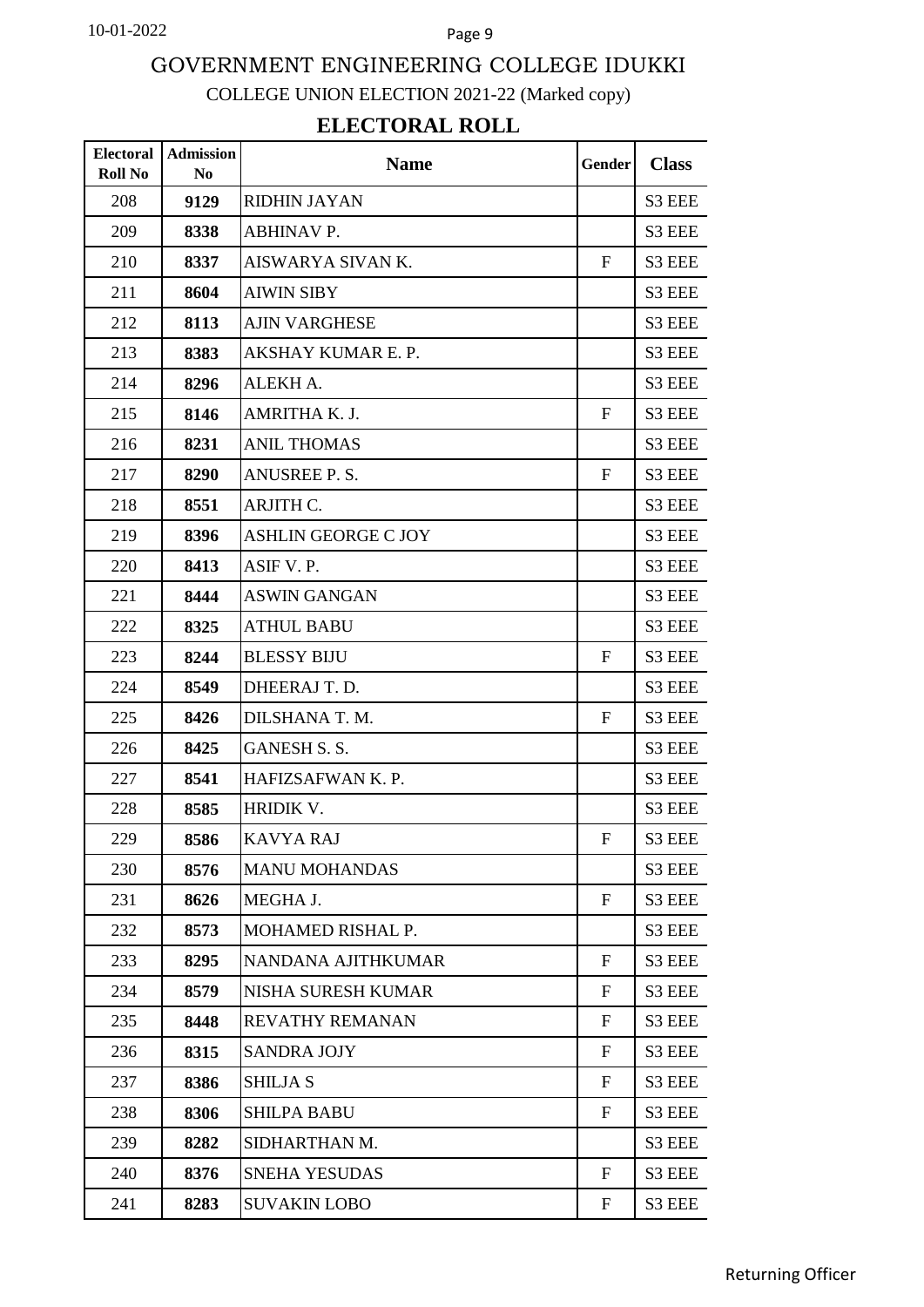COLLEGE UNION ELECTION 2021-22 (Marked copy)

| Electoral<br><b>Roll No</b> | <b>Admission</b><br>N <sub>0</sub> | <b>Name</b>                | Gender       | <b>Class</b> |
|-----------------------------|------------------------------------|----------------------------|--------------|--------------|
| 208                         | 9129                               | <b>RIDHIN JAYAN</b>        |              | S3 EEE       |
| 209                         | 8338                               | <b>ABHINAV P.</b>          |              | S3 EEE       |
| 210                         | 8337                               | AISWARYA SIVAN K.          | F            | S3 EEE       |
| 211                         | 8604                               | <b>AIWIN SIBY</b>          |              | S3 EEE       |
| 212                         | 8113                               | <b>AJIN VARGHESE</b>       |              | S3 EEE       |
| 213                         | 8383                               | AKSHAY KUMAR E. P.         |              | S3 EEE       |
| 214                         | 8296                               | ALEKH A.                   |              | S3 EEE       |
| 215                         | 8146                               | AMRITHA K. J.              | F            | S3 EEE       |
| 216                         | 8231                               | <b>ANIL THOMAS</b>         |              | S3 EEE       |
| 217                         | 8290                               | ANUSREE P.S.               | F            | S3 EEE       |
| 218                         | 8551                               | ARJITH C.                  |              | S3 EEE       |
| 219                         | 8396                               | <b>ASHLIN GEORGE C JOY</b> |              | S3 EEE       |
| 220                         | 8413                               | ASIF V.P.                  |              | S3 EEE       |
| 221                         | 8444                               | <b>ASWIN GANGAN</b>        |              | S3 EEE       |
| 222                         | 8325                               | <b>ATHUL BABU</b>          |              | S3 EEE       |
| 223                         | 8244                               | <b>BLESSY BIJU</b>         | F            | S3 EEE       |
| 224                         | 8549                               | DHEERAJ T.D.               |              | S3 EEE       |
| 225                         | 8426                               | DILSHANA T. M.             | $\mathbf F$  | S3 EEE       |
| 226                         | 8425                               | <b>GANESH S. S.</b>        |              | S3 EEE       |
| 227                         | 8541                               | HAFIZSAFWAN K.P.           |              | S3 EEE       |
| 228                         | 8585                               | HRIDIK V.                  |              | S3 EEE       |
| 229                         | 8586                               | KAVYA RAJ                  | F            | S3 EEE       |
| 230                         | 8576                               | <b>MANU MOHANDAS</b>       |              | S3 EEE       |
| 231                         | 8626                               | MEGHA J.                   | ${\bf F}$    | S3 EEE       |
| 232                         | 8573                               | MOHAMED RISHAL P.          |              | S3 EEE       |
| 233                         | 8295                               | NANDANA AJITHKUMAR         | F            | S3 EEE       |
| 234                         | 8579                               | NISHA SURESH KUMAR         | F            | S3 EEE       |
| 235                         | 8448                               | REVATHY REMANAN            | $\mathbf{F}$ | S3 EEE       |
| 236                         | 8315                               | <b>SANDRA JOJY</b>         | F            | S3 EEE       |
| 237                         | 8386                               | <b>SHILJA S</b>            | F            | S3 EEE       |
| 238                         | 8306                               | <b>SHILPA BABU</b>         | $\mathbf F$  | S3 EEE       |
| 239                         | 8282                               | SIDHARTHAN M.              |              | S3 EEE       |
| 240                         | 8376                               | SNEHA YESUDAS              | F            | S3 EEE       |
| 241                         | 8283                               | <b>SUVAKIN LOBO</b>        | F            | S3 EEE       |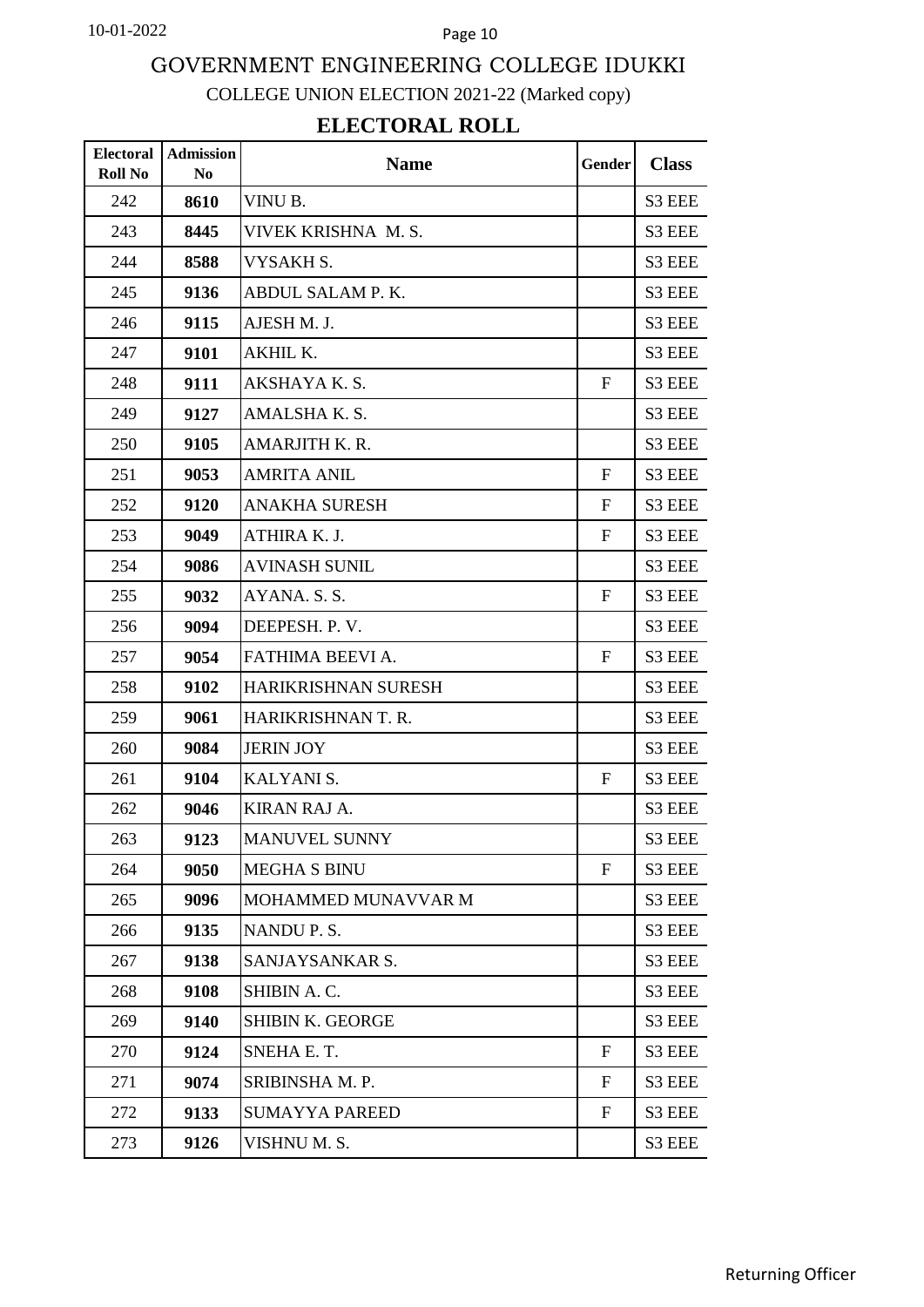## GOVERNMENT ENGINEERING COLLEGE IDUKKI

COLLEGE UNION ELECTION 2021-22 (Marked copy)

| <b>Electoral</b><br><b>Roll No</b> | <b>Admission</b><br>N <sub>0</sub> | <b>Name</b>             | Gender       | <b>Class</b> |
|------------------------------------|------------------------------------|-------------------------|--------------|--------------|
| 242                                | 8610                               | VINU B.                 |              | S3 EEE       |
| 243                                | 8445                               | VIVEK KRISHNA M.S.      |              | S3 EEE       |
| 244                                | 8588                               | VYSAKH S.               |              | S3 EEE       |
| 245                                | 9136                               | ABDUL SALAM P. K.       |              | S3 EEE       |
| 246                                | 9115                               | AJESH M. J.             |              | S3 EEE       |
| 247                                | 9101                               | AKHIL K.                |              | S3 EEE       |
| 248                                | 9111                               | AKSHAYA K.S.            | F            | S3 EEE       |
| 249                                | 9127                               | AMALSHA K.S.            |              | S3 EEE       |
| 250                                | 9105                               | AMARJITH K. R.          |              | S3 EEE       |
| 251                                | 9053                               | <b>AMRITA ANIL</b>      | F            | S3 EEE       |
| 252                                | 9120                               | <b>ANAKHA SURESH</b>    | F            | S3 EEE       |
| 253                                | 9049                               | ATHIRA K. J.            | $\mathbf{F}$ | S3 EEE       |
| 254                                | 9086                               | <b>AVINASH SUNIL</b>    |              | S3 EEE       |
| 255                                | 9032                               | AYANA. S. S.            | F            | S3 EEE       |
| 256                                | 9094                               | DEEPESH. P.V.           |              | S3 EEE       |
| 257                                | 9054                               | FATHIMA BEEVI A.        | $\mathbf{F}$ | S3 EEE       |
| 258                                | 9102                               | HARIKRISHNAN SURESH     |              | S3 EEE       |
| 259                                | 9061                               | HARIKRISHNAN T. R.      |              | S3 EEE       |
| 260                                | 9084                               | <b>JERIN JOY</b>        |              | S3 EEE       |
| 261                                | 9104                               | KALYANI S.              | $\mathbf{F}$ | S3 EEE       |
| 262                                | 9046                               | <b>KIRAN RAJ A.</b>     |              | S3 EEE       |
| 263                                | 9123                               | MANUVEL SUNNY           |              | S3 EEE       |
| 264                                | 9050                               | <b>MEGHA S BINU</b>     | $\mathbf{F}$ | S3 EEE       |
| 265                                | 9096                               | MOHAMMED MUNAVVAR M     |              | S3 EEE       |
| 266                                | 9135                               | NANDU P.S.              |              | S3 EEE       |
| 267                                | 9138                               | SANJAYSANKAR S.         |              | S3 EEE       |
| 268                                | 9108                               | SHIBIN A.C.             |              | S3 EEE       |
| 269                                | 9140                               | <b>SHIBIN K. GEORGE</b> |              | S3 EEE       |
| 270                                | 9124                               | SNEHA E.T.              | $\mathbf{F}$ | S3 EEE       |
| 271                                | 9074                               | SRIBINSHA M. P.         | F            | S3 EEE       |
| 272                                | 9133                               | <b>SUMAYYA PAREED</b>   | $\mathbf{F}$ | S3 EEE       |
| 273                                | 9126                               | VISHNU M. S.            |              | S3 EEE       |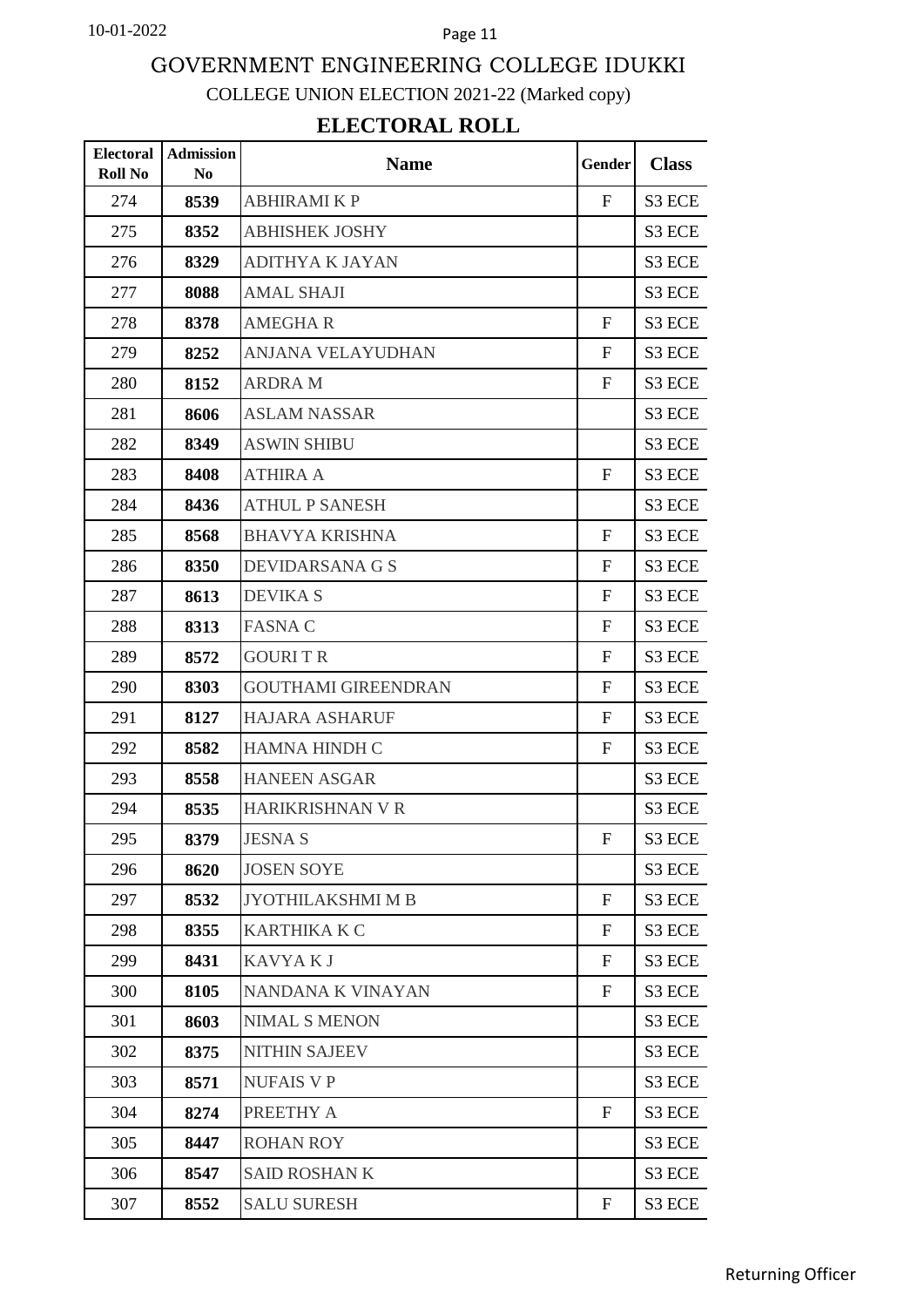## GOVERNMENT ENGINEERING COLLEGE IDUKKI

COLLEGE UNION ELECTION 2021-22 (Marked copy)

| <b>Electoral</b><br><b>Roll No</b> | <b>Admission</b><br>N <sub>0</sub> | <b>Name</b>                | <b>Gender</b> | <b>Class</b> |
|------------------------------------|------------------------------------|----------------------------|---------------|--------------|
| 274                                | 8539                               | <b>ABHIRAMI K P</b>        | $\mathbf{F}$  | S3 ECE       |
| 275                                | 8352                               | <b>ABHISHEK JOSHY</b>      |               | S3 ECE       |
| 276                                | 8329                               | <b>ADITHYA K JAYAN</b>     |               | S3 ECE       |
| 277                                | 8088                               | <b>AMAL SHAJI</b>          |               | S3 ECE       |
| 278                                | 8378                               | <b>AMEGHAR</b>             | F             | S3 ECE       |
| 279                                | 8252                               | <b>ANJANA VELAYUDHAN</b>   | F             | S3 ECE       |
| 280                                | 8152                               | ARDRA M                    | F             | S3 ECE       |
| 281                                | 8606                               | <b>ASLAM NASSAR</b>        |               | S3 ECE       |
| 282                                | 8349                               | <b>ASWIN SHIBU</b>         |               | S3 ECE       |
| 283                                | 8408                               | <b>ATHIRA A</b>            | F             | S3 ECE       |
| 284                                | 8436                               | <b>ATHUL P SANESH</b>      |               | S3 ECE       |
| 285                                | 8568                               | <b>BHAVYA KRISHNA</b>      | $\mathbf{F}$  | S3 ECE       |
| 286                                | 8350                               | DEVIDARSANA G S            | F             | S3 ECE       |
| 287                                | 8613                               | <b>DEVIKA S</b>            | F             | S3 ECE       |
| 288                                | 8313                               | <b>FASNA C</b>             | $\mathbf F$   | S3 ECE       |
| 289                                | 8572                               | <b>GOURITR</b>             | F             | S3 ECE       |
| 290                                | 8303                               | <b>GOUTHAMI GIREENDRAN</b> | F             | S3 ECE       |
| 291                                | 8127                               | <b>HAJARA ASHARUF</b>      | F             | S3 ECE       |
| 292                                | 8582                               | <b>HAMNA HINDH C</b>       | $\mathbf{F}$  | S3 ECE       |
| 293                                | 8558                               | <b>HANEEN ASGAR</b>        |               | S3 ECE       |
| 294                                | 8535                               | <b>HARIKRISHNAN V R</b>    |               | S3 ECE       |
| 295                                | 8379                               | <b>JESNA S</b>             | $\mathbf F$   | S3 ECE       |
| 296                                | 8620                               | <b>JOSEN SOYE</b>          |               | S3 ECE       |
| 297                                | 8532                               | <b>JYOTHILAKSHMI M B</b>   | F             | S3 ECE       |
| 298                                | 8355                               | <b>KARTHIKA K C</b>        | F             | S3 ECE       |
| 299                                | 8431                               | KAVYA K J                  | F             | S3 ECE       |
| 300                                | 8105                               | NANDANA K VINAYAN          | $\mathbf F$   | S3 ECE       |
| 301                                | 8603                               | <b>NIMAL S MENON</b>       |               | S3 ECE       |
| 302                                | 8375                               | <b>NITHIN SAJEEV</b>       |               | S3 ECE       |
| 303                                | 8571                               | <b>NUFAIS V P</b>          |               | S3 ECE       |
| 304                                | 8274                               | PREETHY A                  | $\mathbf{F}$  | S3 ECE       |
| 305                                | 8447                               | <b>ROHAN ROY</b>           |               | S3 ECE       |
| 306                                | 8547                               | <b>SAID ROSHAN K</b>       |               | S3 ECE       |
| 307                                | 8552                               | <b>SALU SURESH</b>         | $\mathbf F$   | S3 ECE       |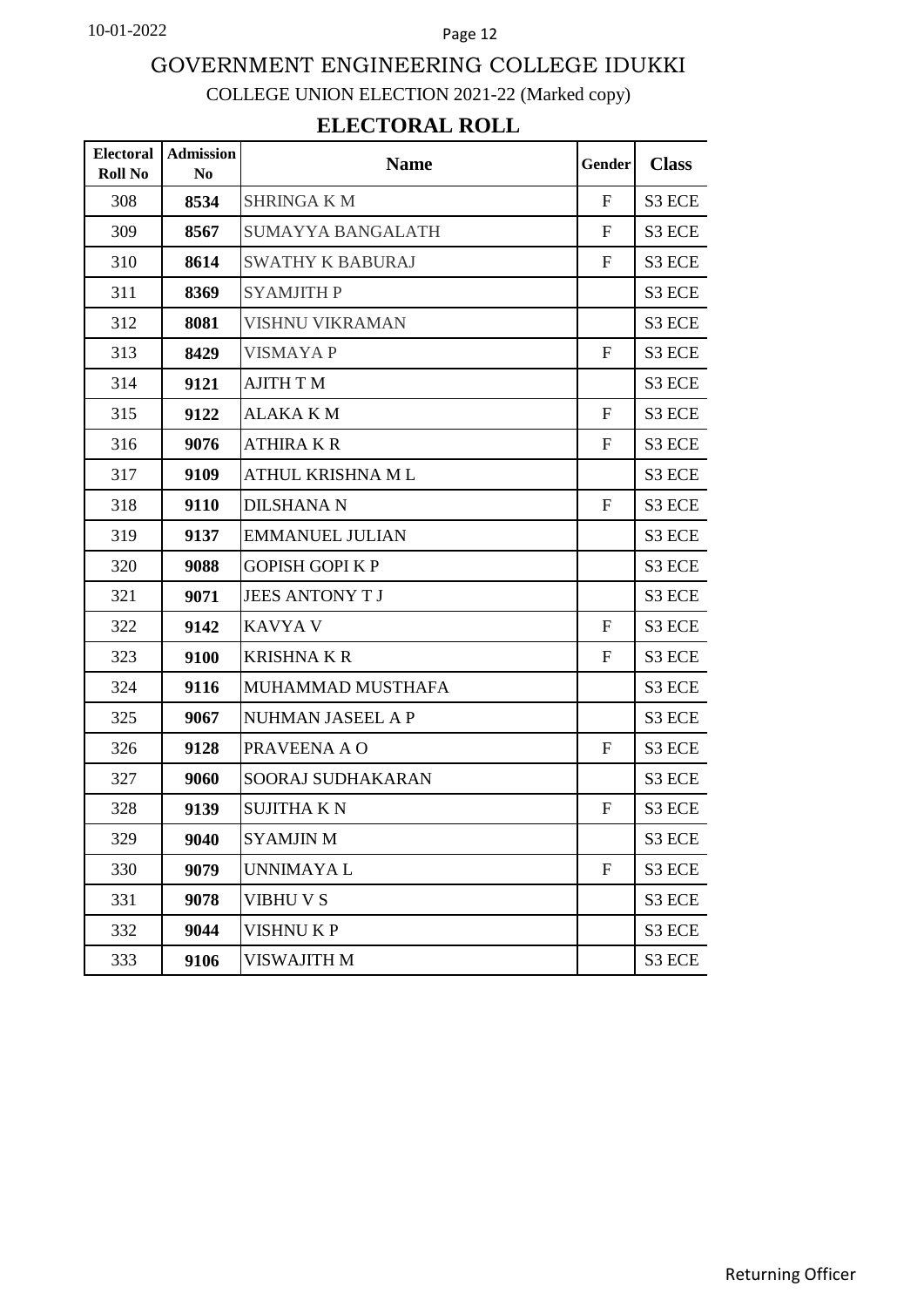COLLEGE UNION ELECTION 2021-22 (Marked copy)

| <b>Electoral</b><br><b>Roll No</b> | <b>Admission</b><br>N <sub>0</sub> | <b>Name</b>              | Gender       | <b>Class</b> |
|------------------------------------|------------------------------------|--------------------------|--------------|--------------|
| 308                                | 8534                               | <b>SHRINGA K M</b>       | F            | S3 ECE       |
| 309                                | 8567                               | <b>SUMAYYA BANGALATH</b> | F            | S3 ECE       |
| 310                                | 8614                               | <b>SWATHY K BABURAJ</b>  | F            | S3 ECE       |
| 311                                | 8369                               | <b>SYAMJITH P</b>        |              | S3 ECE       |
| 312                                | 8081                               | VISHNU VIKRAMAN          |              | S3 ECE       |
| 313                                | 8429                               | <b>VISMAYA P</b>         | F            | S3 ECE       |
| 314                                | 9121                               | <b>AJITH T M</b>         |              | S3 ECE       |
| 315                                | 9122                               | <b>ALAKA K M</b>         | $\mathbf{F}$ | S3 ECE       |
| 316                                | 9076                               | <b>ATHIRA K R</b>        | F            | S3 ECE       |
| 317                                | 9109                               | ATHUL KRISHNA ML         |              | S3 ECE       |
| 318                                | 9110                               | <b>DILSHANA N</b>        | F            | S3 ECE       |
| 319                                | 9137                               | <b>EMMANUEL JULIAN</b>   |              | S3 ECE       |
| 320                                | 9088                               | <b>GOPISH GOPI K P</b>   |              | S3 ECE       |
| 321                                | 9071                               | <b>JEES ANTONY T J</b>   |              | S3 ECE       |
| 322                                | 9142                               | <b>KAVYA V</b>           | $\mathbf{F}$ | S3 ECE       |
| 323                                | 9100                               | <b>KRISHNA K R</b>       | F            | S3 ECE       |
| 324                                | 9116                               | MUHAMMAD MUSTHAFA        |              | S3 ECE       |
| 325                                | 9067                               | <b>NUHMAN JASEEL A P</b> |              | S3 ECE       |
| 326                                | 9128                               | PRAVEENA A O             | F            | S3 ECE       |
| 327                                | 9060                               | SOORAJ SUDHAKARAN        |              | S3 ECE       |
| 328                                | 9139                               | <b>SUJITHA KN</b>        | F            | S3 ECE       |
| 329                                | 9040                               | SYAMJIN M                |              | S3 ECE       |
| 330                                | 9079                               | UNNIMAYA L               | F            | S3 ECE       |
| 331                                | 9078                               | <b>VIBHU V S</b>         |              | S3 ECE       |
| 332                                | 9044                               | VISHNU K P               |              | S3 ECE       |
| 333                                | 9106                               | VISWAJITH M              |              | S3 ECE       |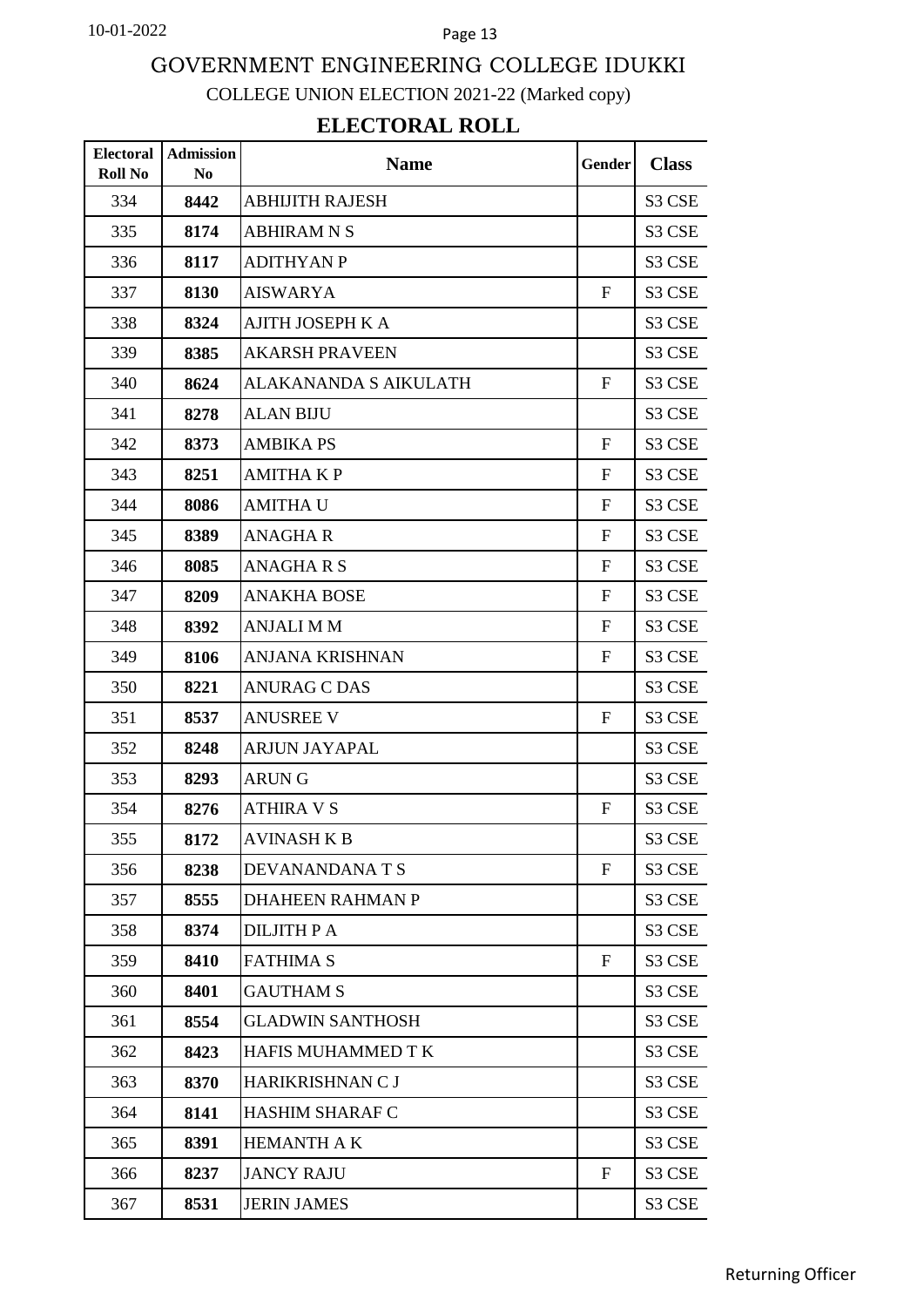## GOVERNMENT ENGINEERING COLLEGE IDUKKI

COLLEGE UNION ELECTION 2021-22 (Marked copy)

| <b>Electoral</b><br><b>Roll No</b> | <b>Admission</b><br>N <sub>0</sub> | <b>Name</b>             | <b>Gender</b> | <b>Class</b>                   |
|------------------------------------|------------------------------------|-------------------------|---------------|--------------------------------|
| 334                                | 8442                               | <b>ABHIJITH RAJESH</b>  |               | S3 CSE                         |
| 335                                | 8174                               | <b>ABHIRAM N S</b>      |               | S3 CSE                         |
| 336                                | 8117                               | <b>ADITHYAN P</b>       |               | S3 CSE                         |
| 337                                | 8130                               | <b>AISWARYA</b>         | $\mathbf{F}$  | S3 CSE                         |
| 338                                | 8324                               | <b>AJITH JOSEPH K A</b> |               | S3 CSE                         |
| 339                                | 8385                               | <b>AKARSH PRAVEEN</b>   |               | S3 CSE                         |
| 340                                | 8624                               | ALAKANANDA S AIKULATH   | F             | S3 CSE                         |
| 341                                | 8278                               | <b>ALAN BIJU</b>        |               | S3 CSE                         |
| 342                                | 8373                               | <b>AMBIKA PS</b>        | F             | S3 CSE                         |
| 343                                | 8251                               | <b>AMITHA K P</b>       | F             | S3 CSE                         |
| 344                                | 8086                               | <b>AMITHA U</b>         | F             | S3 CSE                         |
| 345                                | 8389                               | <b>ANAGHAR</b>          | $\mathbf{F}$  | S3 CSE                         |
| 346                                | 8085                               | <b>ANAGHARS</b>         | F             | S <sub>3</sub> C <sub>SE</sub> |
| 347                                | 8209                               | <b>ANAKHA BOSE</b>      | F             | S3 CSE                         |
| 348                                | 8392                               | <b>ANJALI M M</b>       | $\mathbf F$   | S3 CSE                         |
| 349                                | 8106                               | <b>ANJANA KRISHNAN</b>  | $\mathbf{F}$  | S3 CSE                         |
| 350                                | 8221                               | <b>ANURAG C DAS</b>     |               | S3 CSE                         |
| 351                                | 8537                               | <b>ANUSREE V</b>        | F             | S3 CSE                         |
| 352                                | 8248                               | <b>ARJUN JAYAPAL</b>    |               | S3 CSE                         |
| 353                                | 8293                               | <b>ARUNG</b>            |               | S3 CSE                         |
| 354                                | 8276                               | <b>ATHIRA V S</b>       | F             | S3 CSE                         |
| 355                                | 8172                               | AVINASH K B             |               | S <sub>3</sub> C <sub>SE</sub> |
| 356                                | 8238                               | DEVANANDANA T S         | F             | S3 CSE                         |
| 357                                | 8555                               | <b>DHAHEEN RAHMAN P</b> |               | S3 CSE                         |
| 358                                | 8374                               | <b>DILJITH P A</b>      |               | S3 CSE                         |
| 359                                | 8410                               | <b>FATHIMA S</b>        | F             | S3 CSE                         |
| 360                                | 8401                               | <b>GAUTHAM S</b>        |               | S3 CSE                         |
| 361                                | 8554                               | <b>GLADWIN SANTHOSH</b> |               | S3 CSE                         |
| 362                                | 8423                               | HAFIS MUHAMMED T K      |               | S3 CSE                         |
| 363                                | 8370                               | HARIKRISHNAN C J        |               | S3 CSE                         |
| 364                                | 8141                               | HASHIM SHARAF C         |               | S3 CSE                         |
| 365                                | 8391                               | <b>HEMANTH AK</b>       |               | S3 CSE                         |
| 366                                | 8237                               | <b>JANCY RAJU</b>       | $\mathbf F$   | S3 CSE                         |
| 367                                | 8531                               | <b>JERIN JAMES</b>      |               | S3 CSE                         |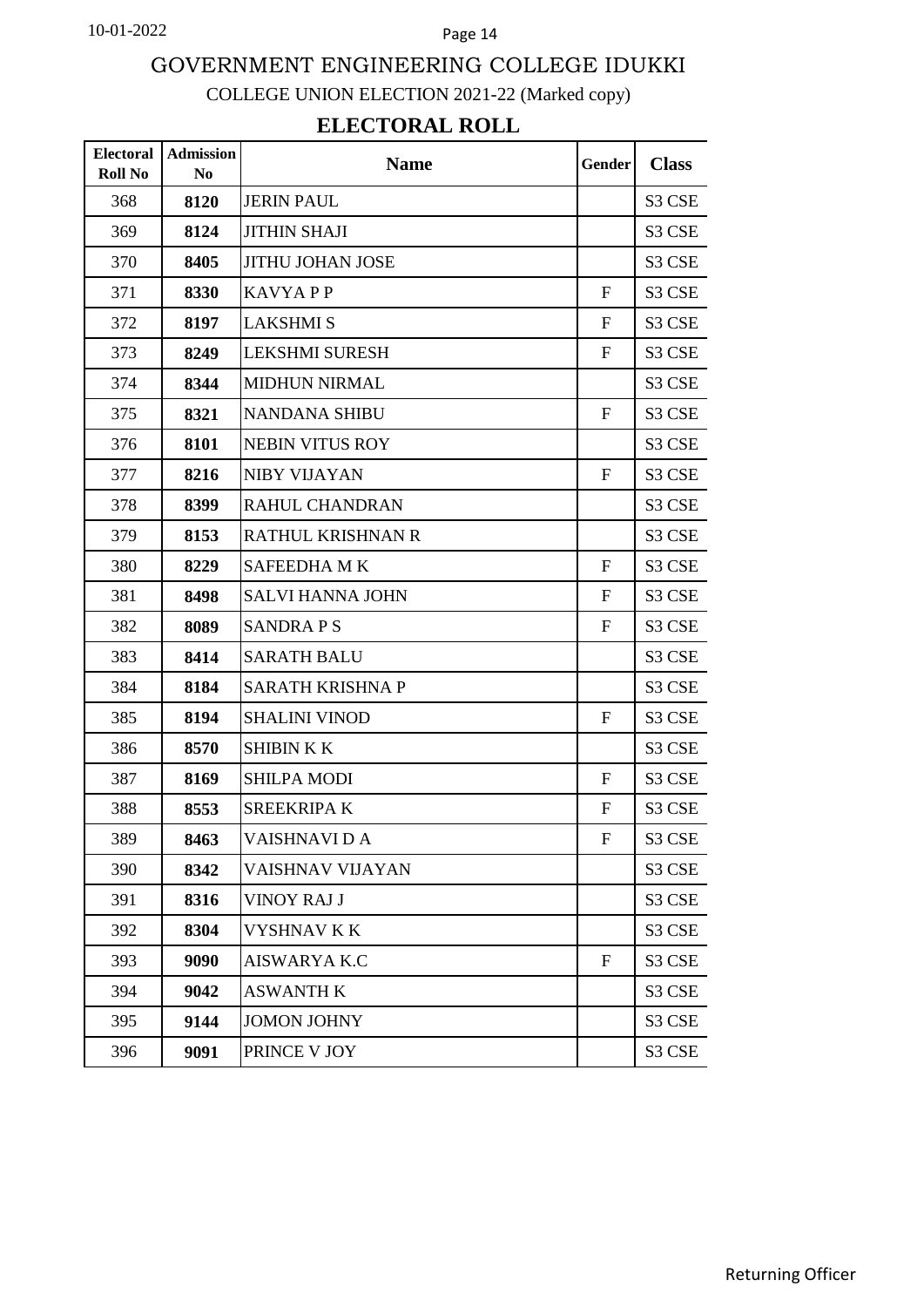## GOVERNMENT ENGINEERING COLLEGE IDUKKI

COLLEGE UNION ELECTION 2021-22 (Marked copy)

| <b>Electoral</b><br><b>Roll No</b> | <b>Admission</b><br>N <sub>0</sub> | <b>Name</b>              | Gender       | <b>Class</b>       |
|------------------------------------|------------------------------------|--------------------------|--------------|--------------------|
| 368                                | 8120                               | <b>JERIN PAUL</b>        |              | S <sub>3</sub> CSE |
| 369                                | 8124                               | <b>JITHIN SHAJI</b>      |              | S3 CSE             |
| 370                                | 8405                               | <b>JITHU JOHAN JOSE</b>  |              | S3 CSE             |
| 371                                | 8330                               | <b>KAVYAPP</b>           | $\mathbf{F}$ | S3 CSE             |
| 372                                | 8197                               | <b>LAKSHMI S</b>         | F            | S3 CSE             |
| 373                                | 8249                               | <b>LEKSHMI SURESH</b>    | F            | S <sub>3</sub> CSE |
| 374                                | 8344                               | <b>MIDHUN NIRMAL</b>     |              | S3 CSE             |
| 375                                | 8321                               | <b>NANDANA SHIBU</b>     | $\mathbf{F}$ | S3 CSE             |
| 376                                | 8101                               | <b>NEBIN VITUS ROY</b>   |              | S3 CSE             |
| 377                                | 8216                               | <b>NIBY VIJAYAN</b>      | $\mathbf{F}$ | S3 CSE             |
| 378                                | 8399                               | <b>RAHUL CHANDRAN</b>    |              | S3 CSE             |
| 379                                | 8153                               | <b>RATHUL KRISHNAN R</b> |              | S3 CSE             |
| 380                                | 8229                               | SAFEEDHA M K             | F            | S3 CSE             |
| 381                                | 8498                               | <b>SALVI HANNA JOHN</b>  | F            | S <sub>3</sub> CSE |
| 382                                | 8089                               | <b>SANDRAPS</b>          | F            | S3 CSE             |
| 383                                | 8414                               | <b>SARATH BALU</b>       |              | S3 CSE             |
| 384                                | 8184                               | <b>SARATH KRISHNA P</b>  |              | S3 CSE             |
| 385                                | 8194                               | <b>SHALINI VINOD</b>     | $\mathbf F$  | S3 CSE             |
| 386                                | 8570                               | <b>SHIBIN K K</b>        |              | S3 CSE             |
| 387                                | 8169                               | <b>SHILPA MODI</b>       | $\mathbf{F}$ | S3 CSE             |
| 388                                | 8553                               | <b>SREEKRIPA K</b>       | $\mathbf F$  | S3 CSE             |
| 389                                | 8463                               | VAISHNAVI DA             | F            | S3 CSE             |
| 390                                | 8342                               | VAISHNAV VIJAYAN         |              | S3 CSE             |
| 391                                | 8316                               | <b>VINOY RAJ J</b>       |              | S3 CSE             |
| 392                                | 8304                               | VYSHNAV K K              |              | S3 CSE             |
| 393                                | 9090                               | <b>AISWARYA K.C</b>      | F            | S3 CSE             |
| 394                                | 9042                               | <b>ASWANTH K</b>         |              | S3 CSE             |
| 395                                | 9144                               | <b>JOMON JOHNY</b>       |              | S3 CSE             |
| 396                                | 9091                               | PRINCE V JOY             |              | S3 CSE             |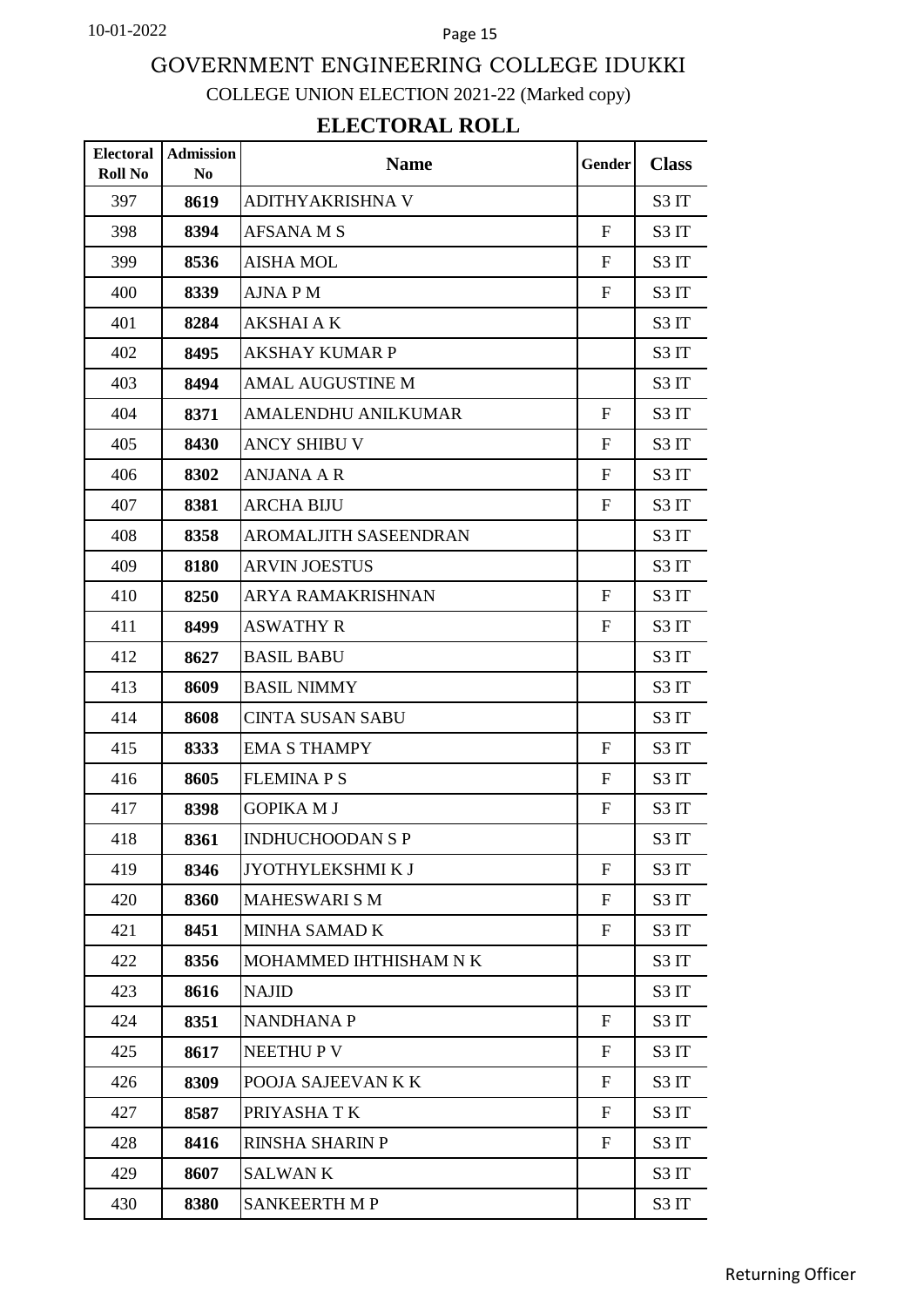## GOVERNMENT ENGINEERING COLLEGE IDUKKI

COLLEGE UNION ELECTION 2021-22 (Marked copy)

| <b>Electoral</b><br><b>Roll No</b> | <b>Admission</b><br>N <sub>0</sub> | <b>Name</b>                  | <b>Gender</b> | <b>Class</b>      |
|------------------------------------|------------------------------------|------------------------------|---------------|-------------------|
| 397                                | 8619                               | ADITHYAKRISHNA V             |               | S3IT              |
| 398                                | 8394                               | <b>AFSANAMS</b>              | F             | S3IT              |
| 399                                | 8536                               | <b>AISHA MOL</b>             | F             | S3IT              |
| 400                                | 8339                               | <b>AJNAPM</b>                | F             | S3IT              |
| 401                                | 8284                               | <b>AKSHAI A K</b>            |               | S3 IT             |
| 402                                | 8495                               | <b>AKSHAY KUMAR P</b>        |               | S3IT              |
| 403                                | 8494                               | <b>AMAL AUGUSTINE M</b>      |               | S3IT              |
| 404                                | 8371                               | AMALENDHU ANILKUMAR          | $\mathbf{F}$  | S3IT              |
| 405                                | 8430                               | <b>ANCY SHIBU V</b>          | F             | S3 IT             |
| 406                                | 8302                               | <b>ANJANA A R</b>            | F             | S3IT              |
| 407                                | 8381                               | <b>ARCHA BIJU</b>            | F             | S3IT              |
| 408                                | 8358                               | <b>AROMALJITH SASEENDRAN</b> |               | S <sub>3</sub> IT |
| 409                                | 8180                               | <b>ARVIN JOESTUS</b>         |               | S3IT              |
| 410                                | 8250                               | <b>ARYA RAMAKRISHNAN</b>     | F             | S <sub>3</sub> IT |
| 411                                | 8499                               | <b>ASWATHY R</b>             | F             | S3IT              |
| 412                                | 8627                               | <b>BASIL BABU</b>            |               | S3 IT             |
| 413                                | 8609                               | <b>BASIL NIMMY</b>           |               | S3IT              |
| 414                                | 8608                               | <b>CINTA SUSAN SABU</b>      |               | S <sub>3</sub> IT |
| 415                                | 8333                               | <b>EMA S THAMPY</b>          | F             | S3IT              |
| 416                                | 8605                               | <b>FLEMINA P S</b>           | F             | S3IT              |
| 417                                | 8398                               | <b>GOPIKAMJ</b>              | F             | S3IT              |
| 418                                | 8361                               | <b>INDHUCHOODAN S P</b>      |               | S3 IT             |
| 419                                | 8346                               | <b>JYOTHYLEKSHMI K J</b>     | F             | S3IT              |
| 420                                | 8360                               | <b>MAHESWARI S M</b>         | F             | S3IT              |
| 421                                | 8451                               | <b>MINHA SAMAD K</b>         | F             | S3IT              |
| 422                                | 8356                               | MOHAMMED IHTHISHAM N K       |               | S3IT              |
| 423                                | 8616                               | <b>NAJID</b>                 |               | S3IT              |
| 424                                | 8351                               | <b>NANDHANAP</b>             | F             | S3IT              |
| 425                                | 8617                               | <b>NEETHUPV</b>              | F             | S3IT              |
| 426                                | 8309                               | POOJA SAJEEVAN K K           | F             | S3IT              |
| 427                                | 8587                               | PRIYASHATK                   | $\mathbf{F}$  | S3 IT             |
| 428                                | 8416                               | <b>RINSHA SHARIN P</b>       | F             | S3 IT             |
| 429                                | 8607                               | <b>SALWANK</b>               |               | S3IT              |
| 430                                | 8380                               | <b>SANKEERTH MP</b>          |               | S3 IT             |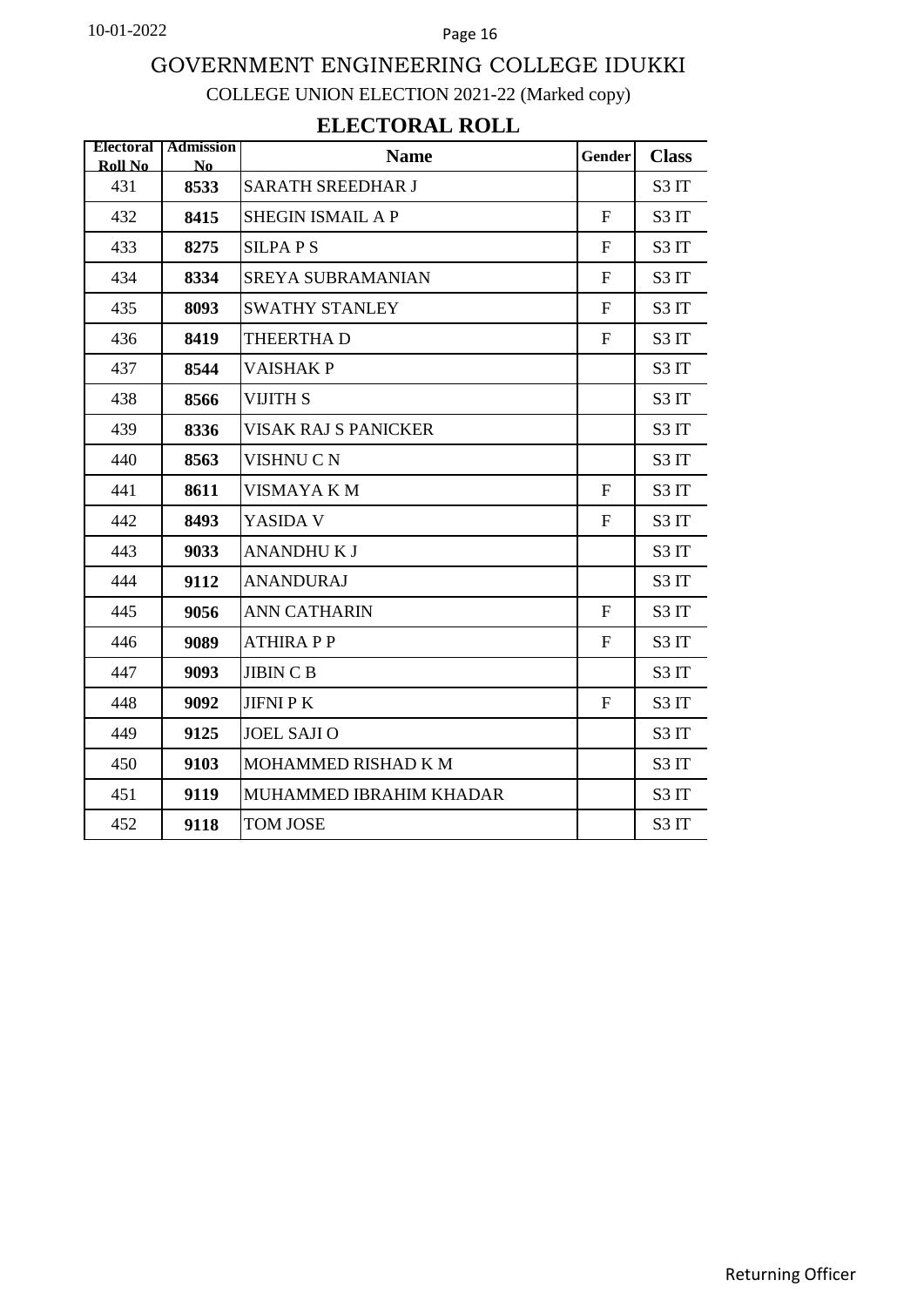### GOVERNMENT ENGINEERING COLLEGE IDUKKI

COLLEGE UNION ELECTION 2021-22 (Marked copy)

| <b>Roll No</b> | <b>Electoral   Admission</b><br>$\mathbf{N_0}$ | <b>Name</b>              | <b>Gender</b> | <b>Class</b>      |
|----------------|------------------------------------------------|--------------------------|---------------|-------------------|
| 431            | 8533                                           | <b>SARATH SREEDHAR J</b> |               | S <sub>3</sub> IT |
| 432            | 8415                                           | <b>SHEGIN ISMAIL A P</b> | F             | S <sub>3</sub> IT |
| 433            | 8275                                           | <b>SILPAPS</b>           | $\mathbf F$   | S3 IT             |
| 434            | 8334                                           | <b>SREYA SUBRAMANIAN</b> | F             | S <sub>3</sub> IT |
| 435            | 8093                                           | <b>SWATHY STANLEY</b>    | F             | S <sub>3</sub> IT |
| 436            | 8419                                           | THEERTHA D               | F             | S <sub>3</sub> IT |
| 437            | 8544                                           | <b>VAISHAKP</b>          |               | S <sub>3</sub> IT |
| 438            | 8566                                           | <b>VIJITH S</b>          |               | S <sub>3</sub> IT |
| 439            | 8336                                           | VISAK RAJ S PANICKER     |               | S3IT              |
| 440            | 8563                                           | VISHNU C N               |               | S3IT              |
| 441            | 8611                                           | VISMAYA K M              | $\mathbf{F}$  | S <sub>3</sub> IT |
| 442            | 8493                                           | YASIDA V                 | F             | S <sub>3</sub> IT |
| 443            | 9033                                           | <b>ANANDHUKJ</b>         |               | S <sub>3</sub> IT |
| 444            | 9112                                           | <b>ANANDURAJ</b>         |               | S3 IT             |
| 445            | 9056                                           | <b>ANN CATHARIN</b>      | $\mathbf{F}$  | S <sub>3</sub> IT |
| 446            | 9089                                           | <b>ATHIRAPP</b>          | F             | S <sub>3</sub> IT |
| 447            | 9093                                           | <b>JIBIN C B</b>         |               | S <sub>3</sub> IT |
| 448            | 9092                                           | <b>JIFNIPK</b>           | $\mathbf{F}$  | S <sub>3</sub> IT |
| 449            | 9125                                           | <b>JOEL SAJI O</b>       |               | S <sub>3</sub> IT |
| 450            | 9103                                           | MOHAMMED RISHAD K M      |               | S <sub>3</sub> IT |
| 451            | 9119                                           | MUHAMMED IBRAHIM KHADAR  |               | S <sub>3</sub> IT |
| 452            | 9118                                           | <b>TOM JOSE</b>          |               | S <sub>3</sub> IT |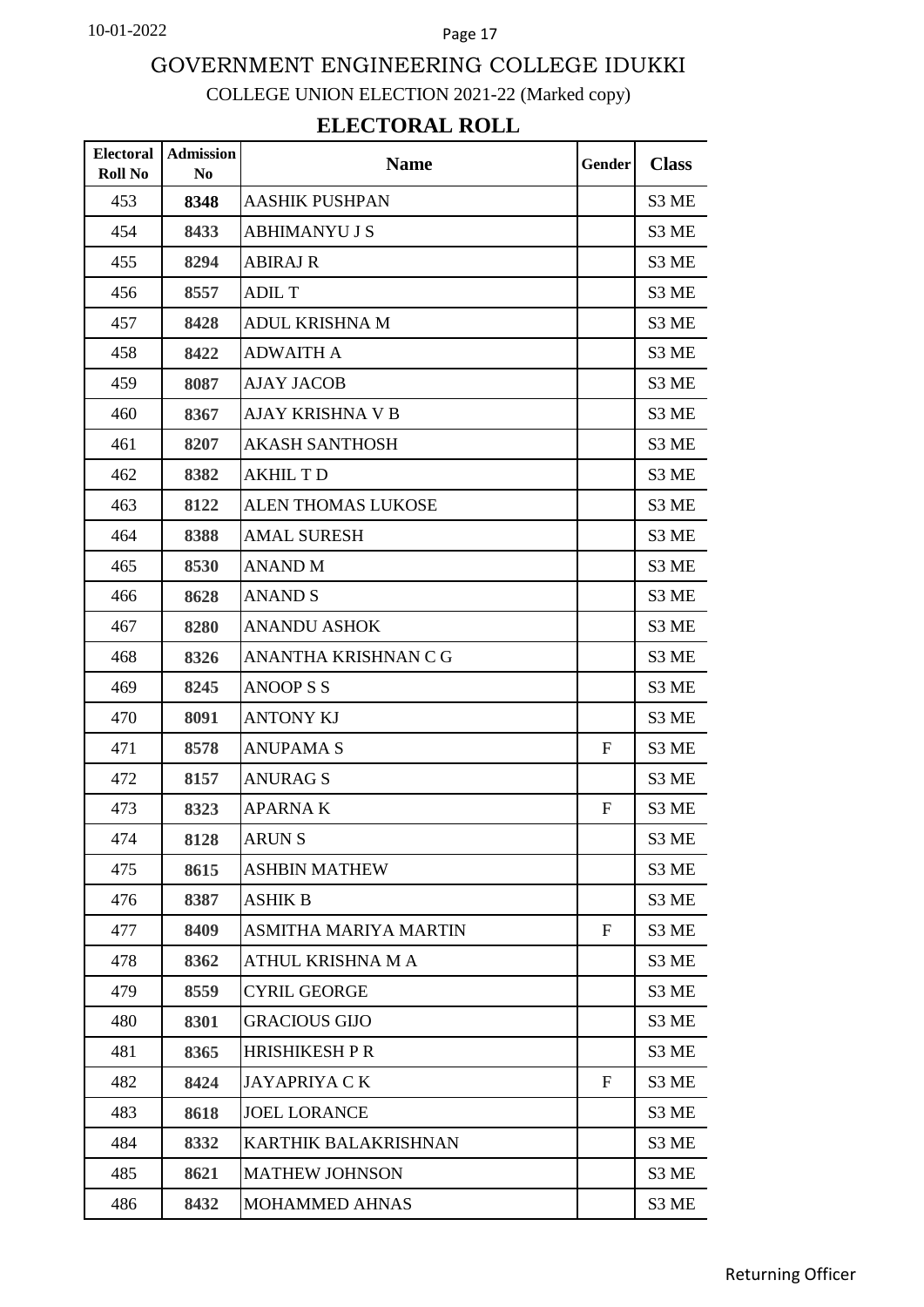## GOVERNMENT ENGINEERING COLLEGE IDUKKI

COLLEGE UNION ELECTION 2021-22 (Marked copy)

| <b>Electoral</b><br><b>Roll No</b> | <b>Admission</b><br>N <sub>0</sub> | <b>Name</b>                 | <b>Gender</b> | <b>Class</b> |
|------------------------------------|------------------------------------|-----------------------------|---------------|--------------|
| 453                                | 8348                               | <b>AASHIK PUSHPAN</b>       |               | S3 ME        |
| 454                                | 8433                               | <b>ABHIMANYU J S</b>        |               | S3 ME        |
| 455                                | 8294                               | <b>ABIRAJ R</b>             |               | S3 ME        |
| 456                                | 8557                               | <b>ADIL T</b>               |               | S3 ME        |
| 457                                | 8428                               | ADUL KRISHNA M              |               | S3 ME        |
| 458                                | 8422                               | <b>ADWAITH A</b>            |               | S3 ME        |
| 459                                | 8087                               | <b>AJAY JACOB</b>           |               | S3 ME        |
| 460                                | 8367                               | <b>AJAY KRISHNA V B</b>     |               | S3 ME        |
| 461                                | 8207                               | <b>AKASH SANTHOSH</b>       |               | S3 ME        |
| 462                                | 8382                               | <b>AKHILTD</b>              |               | S3 ME        |
| 463                                | 8122                               | <b>ALEN THOMAS LUKOSE</b>   |               | S3 ME        |
| 464                                | 8388                               | <b>AMAL SURESH</b>          |               | S3 ME        |
| 465                                | 8530                               | <b>ANAND M</b>              |               | S3 ME        |
| 466                                | 8628                               | <b>ANAND S</b>              |               | S3 ME        |
| 467                                | 8280                               | <b>ANANDU ASHOK</b>         |               | S3 ME        |
| 468                                | 8326                               | ANANTHA KRISHNAN C G        |               | S3 ME        |
| 469                                | 8245                               | <b>ANOOPSS</b>              |               | S3 ME        |
| 470                                | 8091                               | <b>ANTONY KJ</b>            |               | S3 ME        |
| 471                                | 8578                               | <b>ANUPAMA S</b>            | F             | S3 ME        |
| 472                                | 8157                               | <b>ANURAGS</b>              |               | S3 ME        |
| 473                                | 8323                               | <b>APARNAK</b>              | $\mathbf F$   | S3 ME        |
| 474                                | 8128                               | <b>ARUNS</b>                |               | S3 ME        |
| 475                                | 8615                               | <b>ASHBIN MATHEW</b>        |               | S3 ME        |
| 476                                | 8387                               | <b>ASHIK B</b>              |               | S3 ME        |
| 477                                | 8409                               | ASMITHA MARIYA MARTIN       | F             | S3 ME        |
| 478                                | 8362                               | ATHUL KRISHNA M A           |               | S3 ME        |
| 479                                | 8559                               | <b>CYRIL GEORGE</b>         |               | S3 ME        |
| 480                                | 8301                               | <b>GRACIOUS GIJO</b>        |               | S3 ME        |
| 481                                | 8365                               | <b>HRISHIKESH P R</b>       |               | S3 ME        |
| 482                                | 8424                               | <b>JAYAPRIYA CK</b>         | $\mathbf F$   | S3 ME        |
| 483                                | 8618                               | <b>JOEL LORANCE</b>         |               | S3 ME        |
| 484                                | 8332                               | <b>KARTHIK BALAKRISHNAN</b> |               | S3 ME        |
| 485                                | 8621                               | <b>MATHEW JOHNSON</b>       |               | S3 ME        |
| 486                                | 8432                               | <b>MOHAMMED AHNAS</b>       |               | S3 ME        |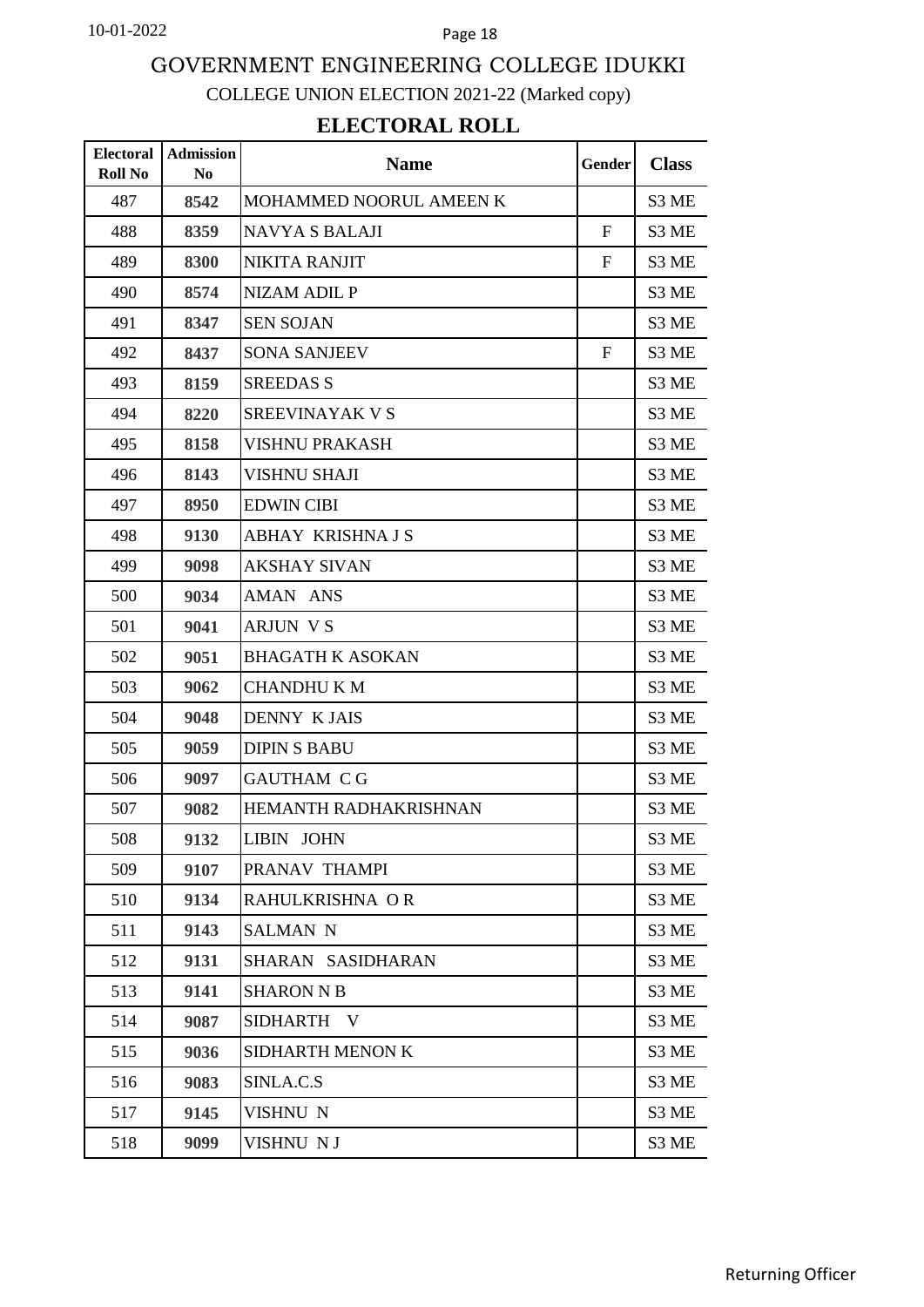## GOVERNMENT ENGINEERING COLLEGE IDUKKI

COLLEGE UNION ELECTION 2021-22 (Marked copy)

| <b>Electoral</b><br><b>Roll No</b> | <b>Admission</b><br>N <sub>0</sub> | <b>Name</b>             | Gender | <b>Class</b>      |
|------------------------------------|------------------------------------|-------------------------|--------|-------------------|
| 487                                | 8542                               | MOHAMMED NOORUL AMEEN K |        | S <sub>3</sub> ME |
| 488                                | 8359                               | <b>NAVYA S BALAJI</b>   | F      | S <sub>3</sub> ME |
| 489                                | 8300                               | <b>NIKITA RANJIT</b>    | F      | S3 ME             |
| 490                                | 8574                               | <b>NIZAM ADIL P</b>     |        | S3 ME             |
| 491                                | 8347                               | <b>SEN SOJAN</b>        |        | S3 ME             |
| 492                                | 8437                               | <b>SONA SANJEEV</b>     | F      | S3 ME             |
| 493                                | 8159                               | <b>SREEDAS S</b>        |        | S3 ME             |
| 494                                | 8220                               | SREEVINAYAK V S         |        | S3 ME             |
| 495                                | 8158                               | VISHNU PRAKASH          |        | S3 ME             |
| 496                                | 8143                               | VISHNU SHAJI            |        | S3 ME             |
| 497                                | 8950                               | <b>EDWIN CIBI</b>       |        | S3 ME             |
| 498                                | 9130                               | ABHAY KRISHNA J S       |        | S3 ME             |
| 499                                | 9098                               | <b>AKSHAY SIVAN</b>     |        | S3 ME             |
| 500                                | 9034                               | AMAN ANS                |        | S3 ME             |
| 501                                | 9041                               | <b>ARJUN VS</b>         |        | S3 ME             |
| 502                                | 9051                               | <b>BHAGATH K ASOKAN</b> |        | S3 ME             |
| 503                                | 9062                               | <b>CHANDHUKM</b>        |        | S3 ME             |
| 504                                | 9048                               | <b>DENNY K JAIS</b>     |        | S3 ME             |
| 505                                | 9059                               | <b>DIPIN S BABU</b>     |        | S3 ME             |
| 506                                | 9097                               | <b>GAUTHAM CG</b>       |        | S3 ME             |
| 507                                | 9082                               | HEMANTH RADHAKRISHNAN   |        | S3 ME             |
| 508                                | 9132                               | LIBIN JOHN              |        | S3 ME             |
| 509                                | 9107                               | PRANAV THAMPI           |        | S3 ME             |
| 510                                | 9134                               | RAHULKRISHNA OR         |        | S3 ME             |
| 511                                | 9143                               | <b>SALMAN N</b>         |        | S3 ME             |
| 512                                | 9131                               | SHARAN SASIDHARAN       |        | S3 ME             |
| 513                                | 9141                               | <b>SHARON N B</b>       |        | S3 ME             |
| 514                                | 9087                               | SIDHARTH V              |        | S3 ME             |
| 515                                | 9036                               | SIDHARTH MENON K        |        | S3 ME             |
| 516                                | 9083                               | SINLA.C.S               |        | S3 ME             |
| 517                                | 9145                               | VISHNU N                |        | S3 ME             |
| 518                                | 9099                               | VISHNU NJ               |        | S3 ME             |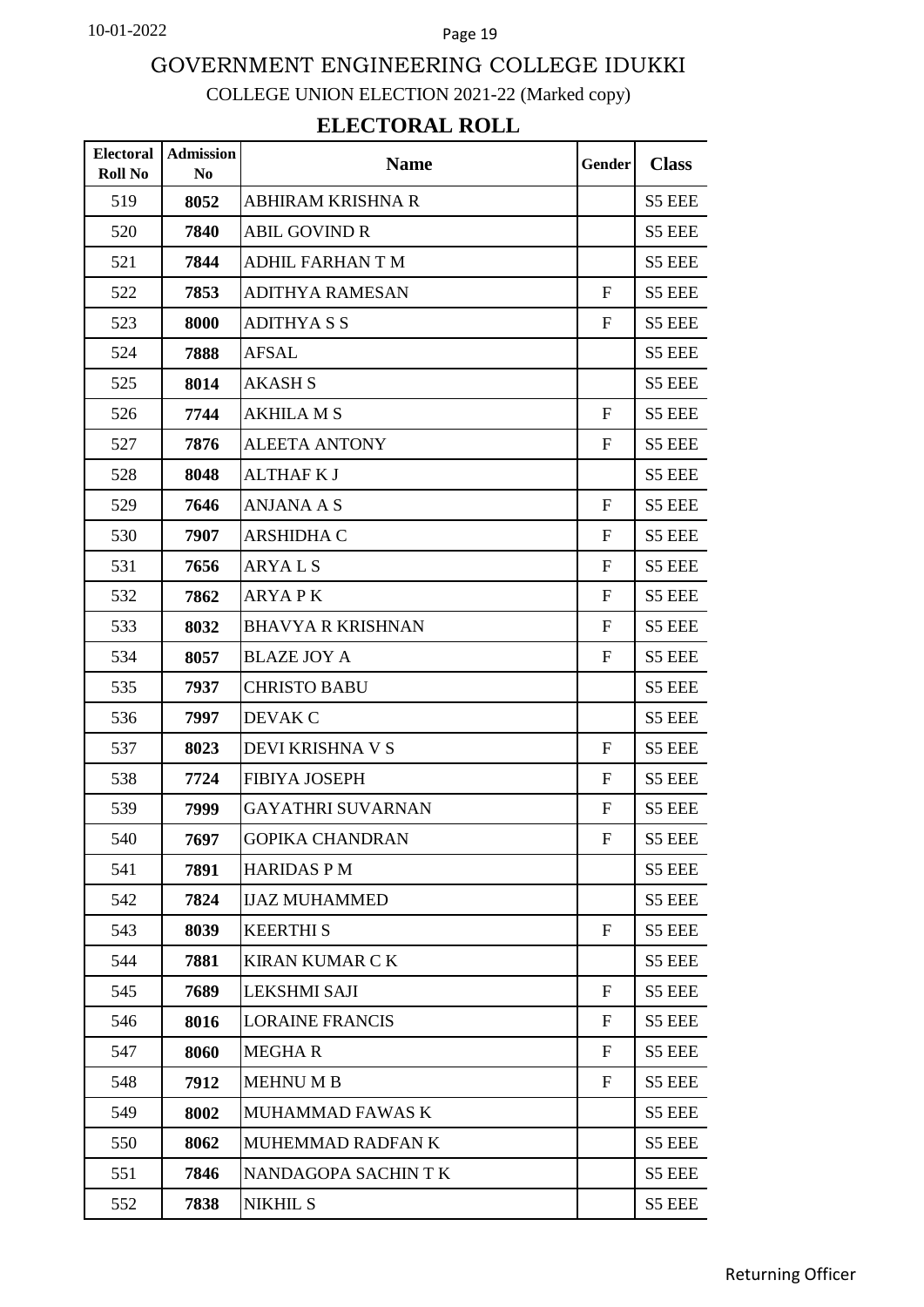## GOVERNMENT ENGINEERING COLLEGE IDUKKI

COLLEGE UNION ELECTION 2021-22 (Marked copy)

| <b>Electoral</b><br><b>Roll No</b> | <b>Admission</b><br>N <sub>0</sub> | <b>Name</b>              | <b>Gender</b> | <b>Class</b> |
|------------------------------------|------------------------------------|--------------------------|---------------|--------------|
| 519                                | 8052                               | ABHIRAM KRISHNA R        |               | S5 EEE       |
| 520                                | 7840                               | <b>ABIL GOVIND R</b>     |               | S5 EEE       |
| 521                                | 7844                               | <b>ADHIL FARHAN T M</b>  |               | S5 EEE       |
| 522                                | 7853                               | <b>ADITHYA RAMESAN</b>   | $\mathbf{F}$  | S5 EEE       |
| 523                                | 8000                               | <b>ADITHYASS</b>         | F             | S5 EEE       |
| 524                                | 7888                               | <b>AFSAL</b>             |               | S5 EEE       |
| 525                                | 8014                               | <b>AKASH S</b>           |               | S5 EEE       |
| 526                                | 7744                               | <b>AKHILA M S</b>        | $\mathbf{F}$  | S5 EEE       |
| 527                                | 7876                               | <b>ALEETA ANTONY</b>     | F             | S5 EEE       |
| 528                                | 8048                               | <b>ALTHAFK J</b>         |               | S5 EEE       |
| 529                                | 7646                               | <b>ANJANA A S</b>        | F             | S5 EEE       |
| 530                                | 7907                               | <b>ARSHIDHA C</b>        | $\mathbf{F}$  | S5 EEE       |
| 531                                | 7656                               | <b>ARYALS</b>            | F             | S5 EEE       |
| 532                                | 7862                               | <b>ARYAPK</b>            | F             | S5 EEE       |
| 533                                | 8032                               | <b>BHAVYA R KRISHNAN</b> | $\mathbf{F}$  | S5 EEE       |
| 534                                | 8057                               | <b>BLAZE JOY A</b>       | $\mathbf{F}$  | S5 EEE       |
| 535                                | 7937                               | <b>CHRISTO BABU</b>      |               | S5 EEE       |
| 536                                | 7997                               | DEVAK C                  |               | S5 EEE       |
| 537                                | 8023                               | DEVI KRISHNA V S         | $\mathbf{F}$  | S5 EEE       |
| 538                                | 7724                               | <b>FIBIYA JOSEPH</b>     | $\mathbf{F}$  | S5 EEE       |
| 539                                | 7999                               | <b>GAYATHRI SUVARNAN</b> | F             | S5 EEE       |
| 540                                | 7697                               | GOPIKA CHANDRAN          | F             | S5 EEE       |
| 541                                | 7891                               | <b>HARIDAS P M</b>       |               | S5 EEE       |
| 542                                | 7824                               | <b>IJAZ MUHAMMED</b>     |               | S5 EEE       |
| 543                                | 8039                               | <b>KEERTHIS</b>          | F             | S5 EEE       |
| 544                                | 7881                               | <b>KIRAN KUMAR C K</b>   |               | S5 EEE       |
| 545                                | 7689                               | <b>LEKSHMI SAJI</b>      | $\mathbf{F}$  | S5 EEE       |
| 546                                | 8016                               | <b>LORAINE FRANCIS</b>   | F             | S5 EEE       |
| 547                                | 8060                               | <b>MEGHAR</b>            | F             | S5 EEE       |
| 548                                | 7912                               | <b>MEHNU M B</b>         | F             | S5 EEE       |
| 549                                | 8002                               | MUHAMMAD FAWAS K         |               | S5 EEE       |
| 550                                | 8062                               | MUHEMMAD RADFAN K        |               | S5 EEE       |
| 551                                | 7846                               | NANDAGOPA SACHIN TK      |               | S5 EEE       |
| 552                                | 7838                               | <b>NIKHIL S</b>          |               | S5 EEE       |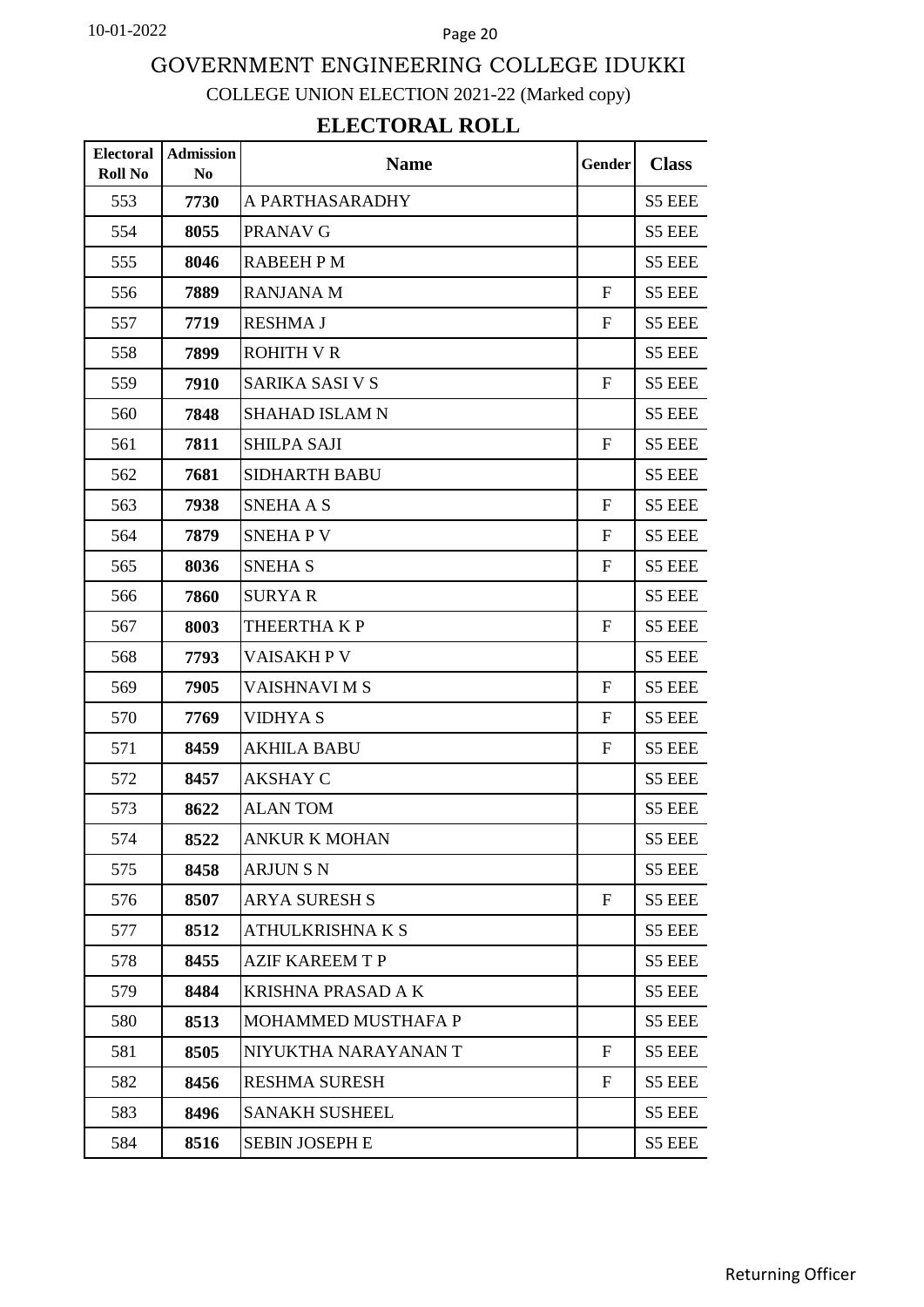## GOVERNMENT ENGINEERING COLLEGE IDUKKI

COLLEGE UNION ELECTION 2021-22 (Marked copy)

| <b>Electoral</b><br><b>Roll No</b> | <b>Admission</b><br>N <sub>0</sub> | <b>Name</b>               | Gender       | <b>Class</b> |
|------------------------------------|------------------------------------|---------------------------|--------------|--------------|
| 553                                | 7730                               | A PARTHASARADHY           |              | S5 EEE       |
| 554                                | 8055                               | <b>PRANAV G</b>           |              | S5 EEE       |
| 555                                | 8046                               | <b>RABEEH PM</b>          |              | S5 EEE       |
| 556                                | 7889                               | <b>RANJANA M</b>          | $\mathbf{F}$ | S5 EEE       |
| 557                                | 7719                               | <b>RESHMA J</b>           | F            | S5 EEE       |
| 558                                | 7899                               | <b>ROHITH V R</b>         |              | S5 EEE       |
| 559                                | 7910                               | SARIKA SASI V S           | F            | S5 EEE       |
| 560                                | 7848                               | <b>SHAHAD ISLAM N</b>     |              | S5 EEE       |
| 561                                | 7811                               | <b>SHILPA SAJI</b>        | F            | S5 EEE       |
| 562                                | 7681                               | <b>SIDHARTH BABU</b>      |              | S5 EEE       |
| 563                                | 7938                               | <b>SNEHAAS</b>            | F            | S5 EEE       |
| 564                                | 7879                               | <b>SNEHAPV</b>            | F            | S5 EEE       |
| 565                                | 8036                               | <b>SNEHA S</b>            | F            | S5 EEE       |
| 566                                | 7860                               | <b>SURYAR</b>             |              | S5 EEE       |
| 567                                | 8003                               | THEERTHA K P              | F            | S5 EEE       |
| 568                                | 7793                               | VAISAKH P V               |              | S5 EEE       |
| 569                                | 7905                               | VAISHNAVI M S             | F            | S5 EEE       |
| 570                                | 7769                               | VIDHYA S                  | F            | S5 EEE       |
| 571                                | 8459                               | <b>AKHILA BABU</b>        | $\mathbf F$  | S5 EEE       |
| 572                                | 8457                               | <b>AKSHAY C</b>           |              | S5 EEE       |
| 573                                | 8622                               | <b>ALAN TOM</b>           |              | S5 EEE       |
| 574                                | 8522                               | ANKUR K MOHAN             |              | S5 EEE       |
| 575                                | 8458                               | <b>ARJUNSN</b>            |              | S5 EEE       |
| 576                                | 8507                               | <b>ARYA SURESH S</b>      | $\mathbf F$  | S5 EEE       |
| 577                                | 8512                               | ATHULKRISHNA K S          |              | S5 EEE       |
| 578                                | 8455                               | <b>AZIF KAREEM T P</b>    |              | S5 EEE       |
| 579                                | 8484                               | <b>KRISHNA PRASAD A K</b> |              | S5 EEE       |
| 580                                | 8513                               | MOHAMMED MUSTHAFA P       |              | S5 EEE       |
| 581                                | 8505                               | NIYUKTHA NARAYANAN T      | F            | S5 EEE       |
| 582                                | 8456                               | <b>RESHMA SURESH</b>      | F            | S5 EEE       |
| 583                                | 8496                               | <b>SANAKH SUSHEEL</b>     |              | S5 EEE       |
| 584                                | 8516                               | <b>SEBIN JOSEPH E</b>     |              | S5 EEE       |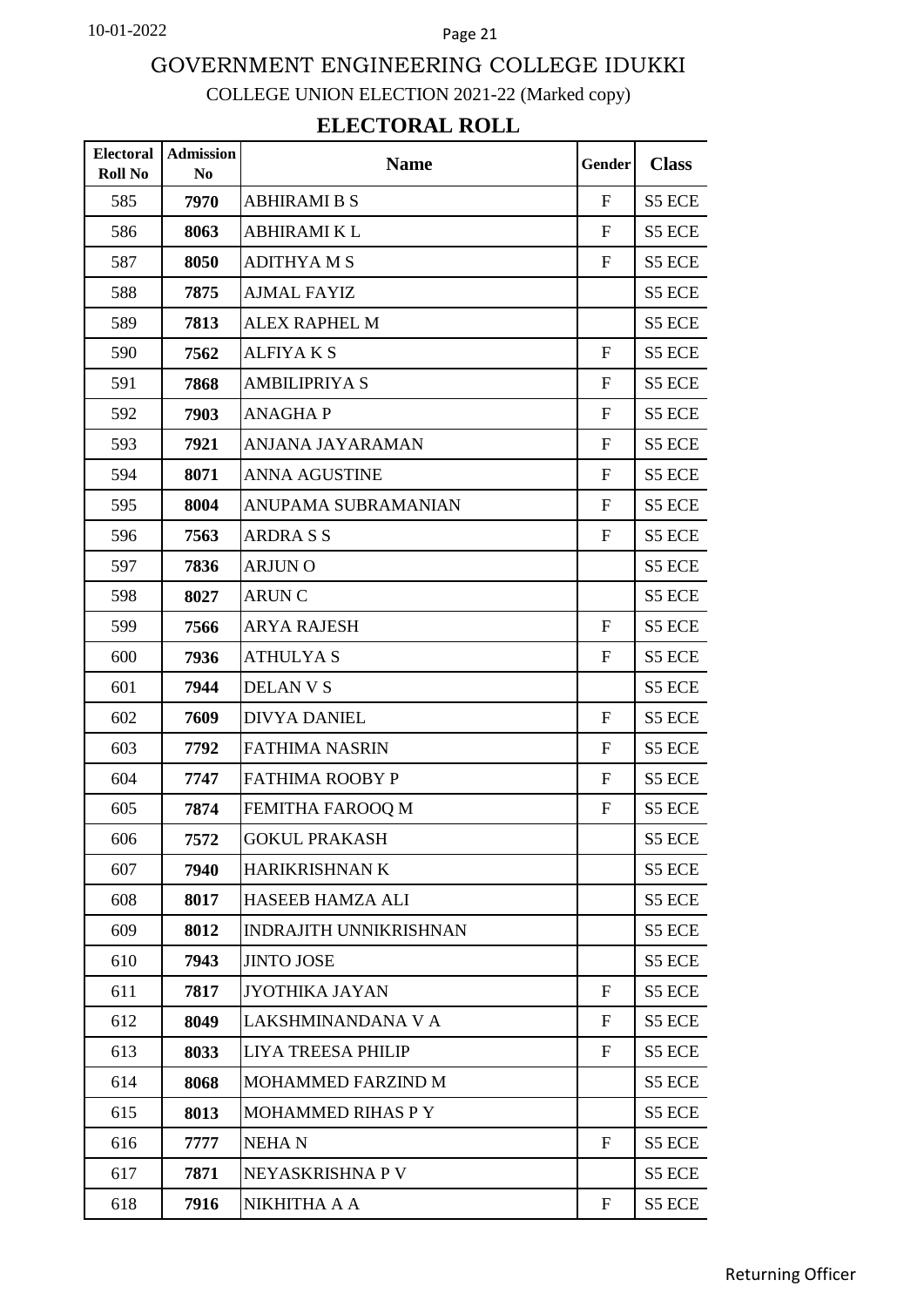## GOVERNMENT ENGINEERING COLLEGE IDUKKI

COLLEGE UNION ELECTION 2021-22 (Marked copy)

| <b>Electoral</b><br><b>Roll No</b> | <b>Admission</b><br>N <sub>0</sub> | <b>Name</b>                   | Gender       | <b>Class</b> |
|------------------------------------|------------------------------------|-------------------------------|--------------|--------------|
| 585                                | 7970                               | <b>ABHIRAMI B S</b>           | $\mathbf F$  | S5 ECE       |
| 586                                | 8063                               | <b>ABHIRAMI KL</b>            | F            | S5 ECE       |
| 587                                | 8050                               | <b>ADITHYAMS</b>              | F            | S5 ECE       |
| 588                                | 7875                               | <b>AJMAL FAYIZ</b>            |              | S5 ECE       |
| 589                                | 7813                               | <b>ALEX RAPHEL M</b>          |              | S5 ECE       |
| 590                                | 7562                               | <b>ALFIYAKS</b>               | F            | S5 ECE       |
| 591                                | 7868                               | <b>AMBILIPRIYA S</b>          | $\mathbf F$  | S5 ECE       |
| 592                                | 7903                               | <b>ANAGHAP</b>                | $\mathbf{F}$ | S5 ECE       |
| 593                                | 7921                               | ANJANA JAYARAMAN              | $\mathbf F$  | S5 ECE       |
| 594                                | 8071                               | <b>ANNA AGUSTINE</b>          | F            | S5 ECE       |
| 595                                | 8004                               | ANUPAMA SUBRAMANIAN           | $\mathbf{F}$ | S5 ECE       |
| 596                                | 7563                               | <b>ARDRASS</b>                | $\mathbf F$  | S5 ECE       |
| 597                                | 7836                               | <b>ARJUNO</b>                 |              | S5 ECE       |
| 598                                | 8027                               | <b>ARUN C</b>                 |              | S5 ECE       |
| 599                                | 7566                               | <b>ARYA RAJESH</b>            | $\mathbf F$  | S5 ECE       |
| 600                                | 7936                               | <b>ATHULYAS</b>               | $\mathbf F$  | S5 ECE       |
| 601                                | 7944                               | <b>DELAN V S</b>              |              | S5 ECE       |
| 602                                | 7609                               | <b>DIVYA DANIEL</b>           | F            | S5 ECE       |
| 603                                | 7792                               | <b>FATHIMA NASRIN</b>         | $\mathbf F$  | S5 ECE       |
| 604                                | 7747                               | <b>FATHIMA ROOBY P</b>        | $\mathbf F$  | S5 ECE       |
| 605                                | 7874                               | FEMITHA FAROOQ M              | $\mathbf F$  | S5 ECE       |
| 606                                | 7572                               | <b>GOKUL PRAKASH</b>          |              | S5 ECE       |
| 607                                | 7940                               | HARIKRISHNAN K                |              | S5 ECE       |
| 608                                | 8017                               | <b>HASEEB HAMZA ALI</b>       |              | S5 ECE       |
| 609                                | 8012                               | <b>INDRAJITH UNNIKRISHNAN</b> |              | S5 ECE       |
| 610                                | 7943                               | <b>JINTO JOSE</b>             |              | S5 ECE       |
| 611                                | 7817                               | <b>JYOTHIKA JAYAN</b>         | $\mathbf{F}$ | S5 ECE       |
| 612                                | 8049                               | LAKSHMINANDANA V A            | F            | S5 ECE       |
| 613                                | 8033                               | <b>LIYA TREESA PHILIP</b>     | F            | S5 ECE       |
| 614                                | 8068                               | MOHAMMED FARZIND M            |              | S5 ECE       |
| 615                                | 8013                               | MOHAMMED RIHAS PY             |              | S5 ECE       |
| 616                                | 7777                               | <b>NEHAN</b>                  | $\mathbf{F}$ | S5 ECE       |
| 617                                | 7871                               | NEYASKRISHNA P V              |              | S5 ECE       |
| 618                                | 7916                               | NIKHITHA A A                  | $\mathbf F$  | S5 ECE       |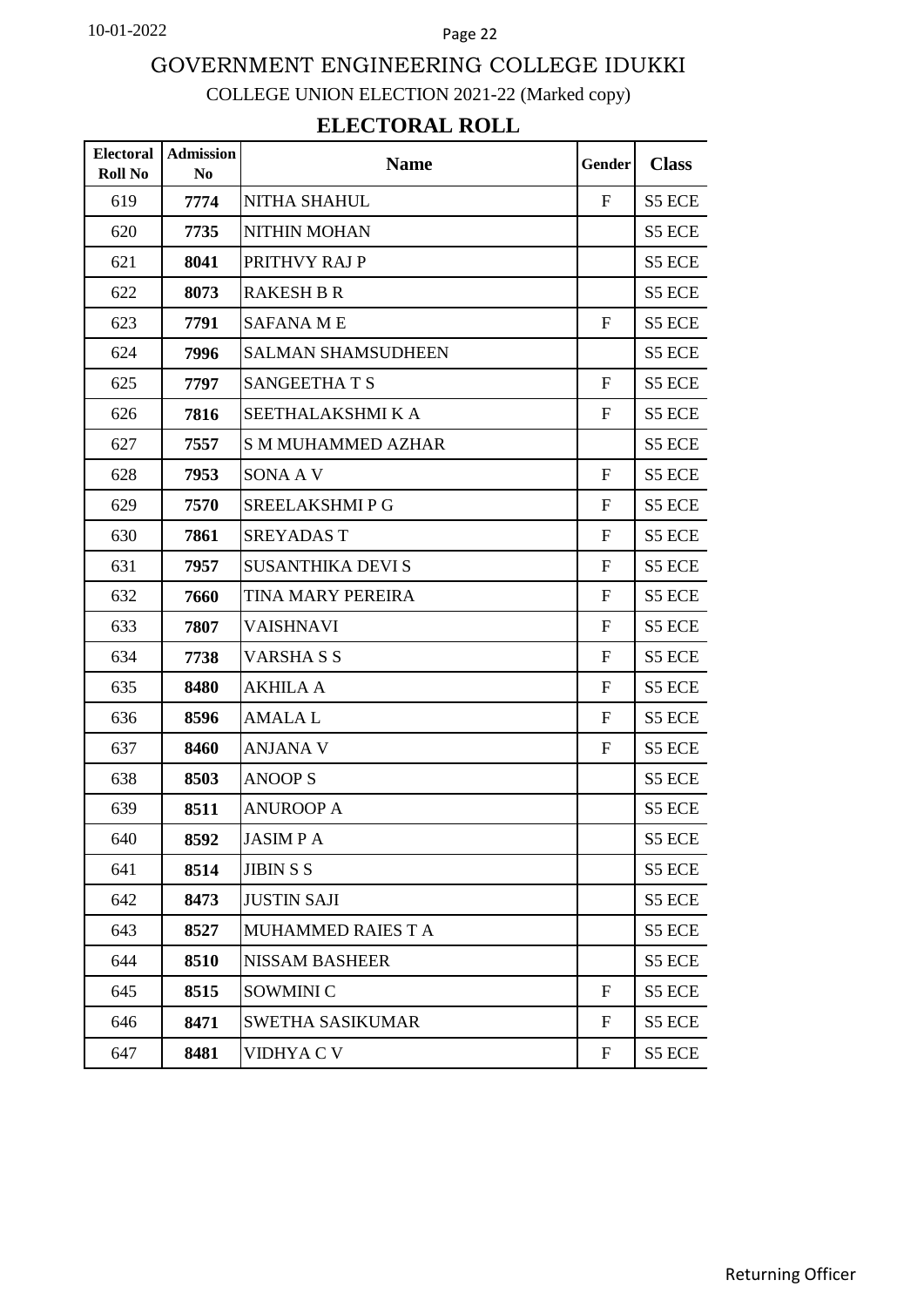## GOVERNMENT ENGINEERING COLLEGE IDUKKI

COLLEGE UNION ELECTION 2021-22 (Marked copy)

| <b>Electoral</b><br><b>Roll No</b> | <b>Admission</b><br>N <sub>0</sub> | <b>Name</b>               | Gender       | <b>Class</b> |
|------------------------------------|------------------------------------|---------------------------|--------------|--------------|
| 619                                | 7774                               | NITHA SHAHUL              | $\mathbf F$  | S5 ECE       |
| 620                                | 7735                               | NITHIN MOHAN              |              | S5 ECE       |
| 621                                | 8041                               | PRITHVY RAJ P             |              | S5 ECE       |
| 622                                | 8073                               | <b>RAKESH B R</b>         |              | S5 ECE       |
| 623                                | 7791                               | <b>SAFANA ME</b>          | $\mathbf F$  | S5 ECE       |
| 624                                | 7996                               | <b>SALMAN SHAMSUDHEEN</b> |              | S5 ECE       |
| 625                                | 7797                               | SANGEETHATS               | F            | S5 ECE       |
| 626                                | 7816                               | SEETHALAKSHMI K A         | $\mathbf{F}$ | S5 ECE       |
| 627                                | 7557                               | <b>S M MUHAMMED AZHAR</b> |              | S5 ECE       |
| 628                                | 7953                               | SONA A V                  | $\mathbf{F}$ | S5 ECE       |
| 629                                | 7570                               | SREELAKSHMIPG             | F            | S5 ECE       |
| 630                                | 7861                               | <b>SREYADAST</b>          | $\mathbf{F}$ | S5 ECE       |
| 631                                | 7957                               | <b>SUSANTHIKA DEVI S</b>  | $\mathbf F$  | S5 ECE       |
| 632                                | 7660                               | <b>TINA MARY PEREIRA</b>  | F            | S5 ECE       |
| 633                                | 7807                               | <b>VAISHNAVI</b>          | F            | S5 ECE       |
| 634                                | 7738                               | <b>VARSHASS</b>           | $\mathbf F$  | S5 ECE       |
| 635                                | 8480                               | <b>AKHILA A</b>           | $\mathbf{F}$ | S5 ECE       |
| 636                                | 8596                               | <b>AMALAL</b>             | F            | S5 ECE       |
| 637                                | 8460                               | <b>ANJANA V</b>           | $\mathbf{F}$ | S5 ECE       |
| 638                                | 8503                               | <b>ANOOPS</b>             |              | S5 ECE       |
| 639                                | 8511                               | <b>ANUROOP A</b>          |              | S5 ECE       |
| 640                                | 8592                               | <b>JASIMPA</b>            |              | S5 ECE       |
| 641                                | 8514                               | <b>JIBIN S S</b>          |              | S5 ECE       |
| 642                                | 8473                               | <b>JUSTIN SAJI</b>        |              | S5 ECE       |
| 643                                | 8527                               | MUHAMMED RAIES T A        |              | S5 ECE       |
| 644                                | 8510                               | <b>NISSAM BASHEER</b>     |              | S5 ECE       |
| 645                                | 8515                               | <b>SOWMINIC</b>           | $\mathbf F$  | S5 ECE       |
| 646                                | 8471                               | <b>SWETHA SASIKUMAR</b>   | $\mathbf F$  | S5 ECE       |
| 647                                | 8481                               | VIDHYA C V                | F            | S5 ECE       |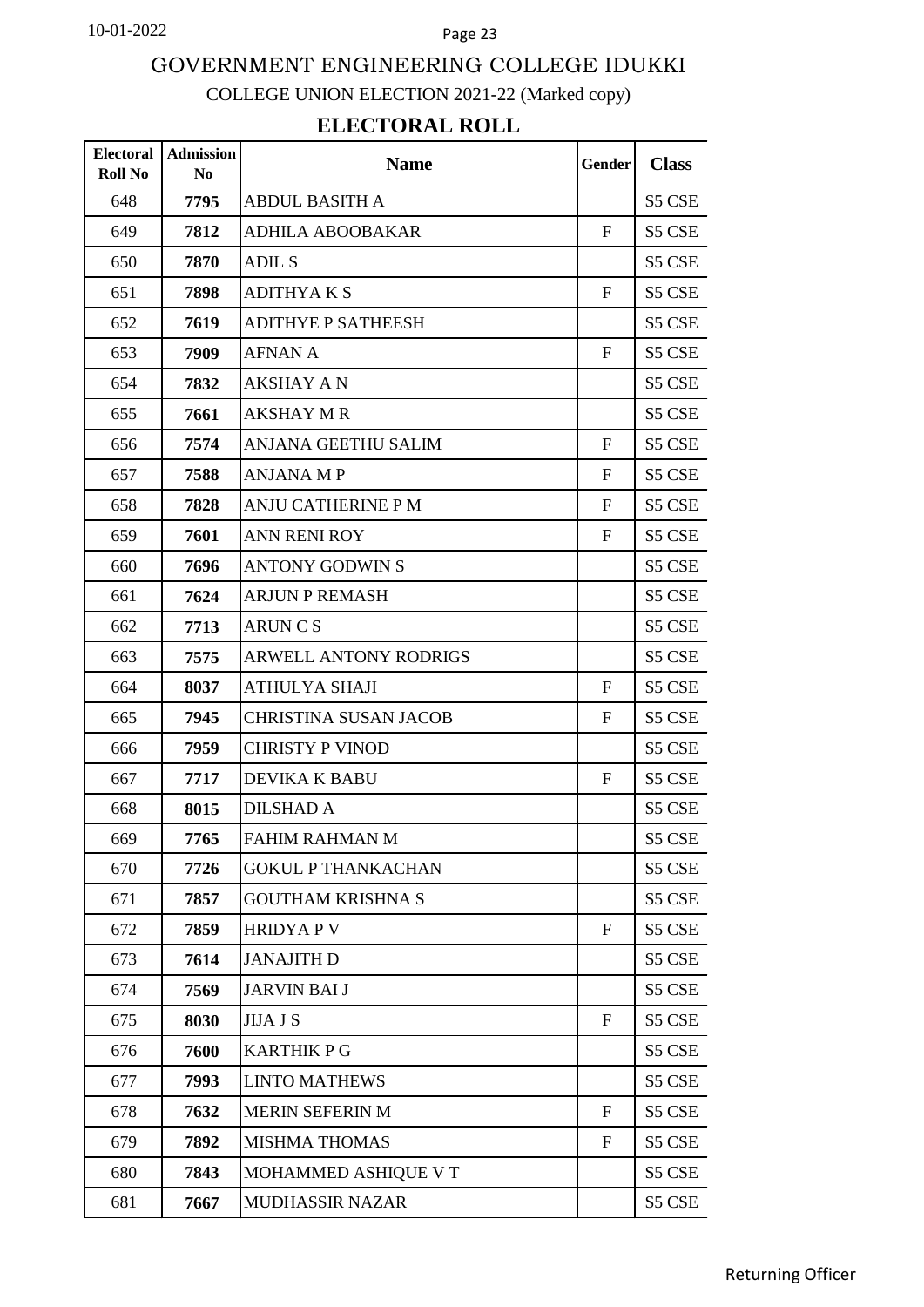## GOVERNMENT ENGINEERING COLLEGE IDUKKI

COLLEGE UNION ELECTION 2021-22 (Marked copy)

| <b>Electoral</b><br><b>Roll No</b> | <b>Admission</b><br>N <sub>0</sub> | <b>Name</b>                  | <b>Gender</b> | <b>Class</b> |
|------------------------------------|------------------------------------|------------------------------|---------------|--------------|
| 648                                | 7795                               | <b>ABDUL BASITH A</b>        |               | S5 CSE       |
| 649                                | 7812                               | <b>ADHILA ABOOBAKAR</b>      | F             | S5 CSE       |
| 650                                | 7870                               | <b>ADIL S</b>                |               | S5 CSE       |
| 651                                | 7898                               | <b>ADITHYAKS</b>             | $\mathbf F$   | S5 CSE       |
| 652                                | 7619                               | <b>ADITHYE P SATHEESH</b>    |               | S5 CSE       |
| 653                                | 7909                               | <b>AFNAN A</b>               | $\mathbf F$   | S5 CSE       |
| 654                                | 7832                               | <b>AKSHAY AN</b>             |               | S5 CSE       |
| 655                                | 7661                               | <b>AKSHAY M R</b>            |               | S5 CSE       |
| 656                                | 7574                               | ANJANA GEETHU SALIM          | F             | S5 CSE       |
| 657                                | 7588                               | <b>ANJANA MP</b>             | F             | S5 CSE       |
| 658                                | 7828                               | <b>ANJU CATHERINE P M</b>    | F             | S5 CSE       |
| 659                                | 7601                               | <b>ANN RENI ROY</b>          | $\mathbf{F}$  | S5 CSE       |
| 660                                | 7696                               | <b>ANTONY GODWIN S</b>       |               | S5 CSE       |
| 661                                | 7624                               | <b>ARJUN P REMASH</b>        |               | S5 CSE       |
| 662                                | 7713                               | <b>ARUNCS</b>                |               | S5 CSE       |
| 663                                | 7575                               | <b>ARWELL ANTONY RODRIGS</b> |               | S5 CSE       |
| 664                                | 8037                               | <b>ATHULYA SHAJI</b>         | F             | S5 CSE       |
| 665                                | 7945                               | <b>CHRISTINA SUSAN JACOB</b> | F             | S5 CSE       |
| 666                                | 7959                               | <b>CHRISTY P VINOD</b>       |               | S5 CSE       |
| 667                                | 7717                               | <b>DEVIKA K BABU</b>         | $\mathbf{F}$  | S5 CSE       |
| 668                                | 8015                               | <b>DILSHAD A</b>             |               | S5 CSE       |
| 669                                | 7765                               | FAHIM RAHMAN M               |               | S5 CSE       |
| 670                                | 7726                               | <b>GOKUL P THANKACHAN</b>    |               | S5 CSE       |
| 671                                | 7857                               | <b>GOUTHAM KRISHNA S</b>     |               | S5 CSE       |
| 672                                | 7859                               | <b>HRIDYAPV</b>              | $\mathbf{F}$  | S5 CSE       |
| 673                                | 7614                               | <b>JANAJITH D</b>            |               | S5 CSE       |
| 674                                | 7569                               | <b>JARVIN BAI J</b>          |               | S5 CSE       |
| 675                                | 8030                               | <b>JIJA J S</b>              | $\mathbf{F}$  | S5 CSE       |
| 676                                | 7600                               | <b>KARTHIK P G</b>           |               | S5 CSE       |
| 677                                | 7993                               | <b>LINTO MATHEWS</b>         |               | S5 CSE       |
| 678                                | 7632                               | <b>MERIN SEFERIN M</b>       | $\mathbf{F}$  | S5 CSE       |
| 679                                | 7892                               | <b>MISHMA THOMAS</b>         | $\mathbf{F}$  | S5 CSE       |
| 680                                | 7843                               | MOHAMMED ASHIQUE V T         |               | S5 CSE       |
| 681                                | 7667                               | <b>MUDHASSIR NAZAR</b>       |               | S5 CSE       |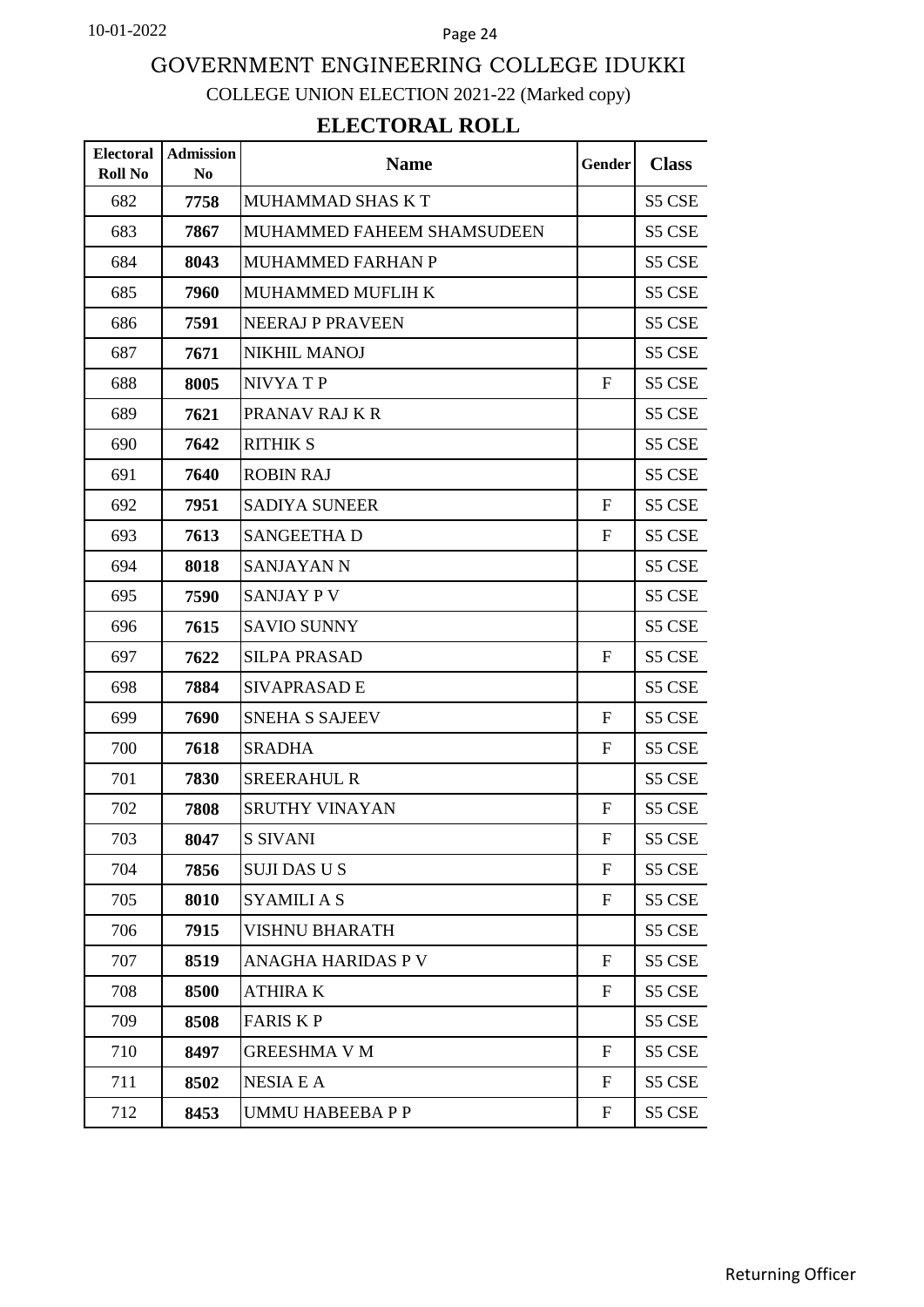## GOVERNMENT ENGINEERING COLLEGE IDUKKI

COLLEGE UNION ELECTION 2021-22 (Marked copy)

| <b>Electoral</b><br><b>Roll No</b> | <b>Admission</b><br>N <sub>0</sub> | <b>Name</b>                | <b>Gender</b> | <b>Class</b> |
|------------------------------------|------------------------------------|----------------------------|---------------|--------------|
| 682                                | 7758                               | MUHAMMAD SHAS K T          |               | S5 CSE       |
| 683                                | 7867                               | MUHAMMED FAHEEM SHAMSUDEEN |               | S5 CSE       |
| 684                                | 8043                               | MUHAMMED FARHAN P          |               | S5 CSE       |
| 685                                | 7960                               | MUHAMMED MUFLIH K          |               | S5 CSE       |
| 686                                | 7591                               | <b>NEERAJ P PRAVEEN</b>    |               | S5 CSE       |
| 687                                | 7671                               | <b>NIKHIL MANOJ</b>        |               | S5 CSE       |
| 688                                | 8005                               | <b>NIVYATP</b>             | $\mathbf{F}$  | S5 CSE       |
| 689                                | 7621                               | PRANAV RAJ K R             |               | S5 CSE       |
| 690                                | 7642                               | <b>RITHIK S</b>            |               | S5 CSE       |
| 691                                | 7640                               | <b>ROBIN RAJ</b>           |               | S5 CSE       |
| 692                                | 7951                               | <b>SADIYA SUNEER</b>       | F             | S5 CSE       |
| 693                                | 7613                               | <b>SANGEETHAD</b>          | F             | S5 CSE       |
| 694                                | 8018                               | SANJAYAN N                 |               | S5 CSE       |
| 695                                | 7590                               | <b>SANJAY PV</b>           |               | S5 CSE       |
| 696                                | 7615                               | <b>SAVIO SUNNY</b>         |               | S5 CSE       |
| 697                                | 7622                               | <b>SILPA PRASAD</b>        | F             | S5 CSE       |
| 698                                | 7884                               | <b>SIVAPRASADE</b>         |               | S5 CSE       |
| 699                                | 7690                               | <b>SNEHA S SAJEEV</b>      | F             | S5 CSE       |
| 700                                | 7618                               | <b>SRADHA</b>              | $\mathbf{F}$  | S5 CSE       |
| 701                                | 7830                               | <b>SREERAHUL R</b>         |               | S5 CSE       |
| 702                                | 7808                               | SRUTHY VINAYAN             | F             | S5 CSE       |
| 703                                | 8047                               | <b>S SIVANI</b>            | F             | S5 CSE       |
| 704                                | 7856                               | <b>SUJI DAS U S</b>        | F             | S5 CSE       |
| 705                                | 8010                               | <b>SYAMILIAS</b>           | F             | S5 CSE       |
| 706                                | 7915                               | VISHNU BHARATH             |               | S5 CSE       |
| 707                                | 8519                               | <b>ANAGHA HARIDAS P V</b>  | F             | S5 CSE       |
| 708                                | 8500                               | <b>ATHIRAK</b>             | $\mathbf F$   | S5 CSE       |
| 709                                | 8508                               | <b>FARIS KP</b>            |               | S5 CSE       |
| 710                                | 8497                               | <b>GREESHMA V M</b>        | $\mathbf{F}$  | S5 CSE       |
| 711                                | 8502                               | <b>NESIA E A</b>           | $\mathbf F$   | S5 CSE       |
| 712                                | 8453                               | UMMU HABEEBA P P           | F             | S5 CSE       |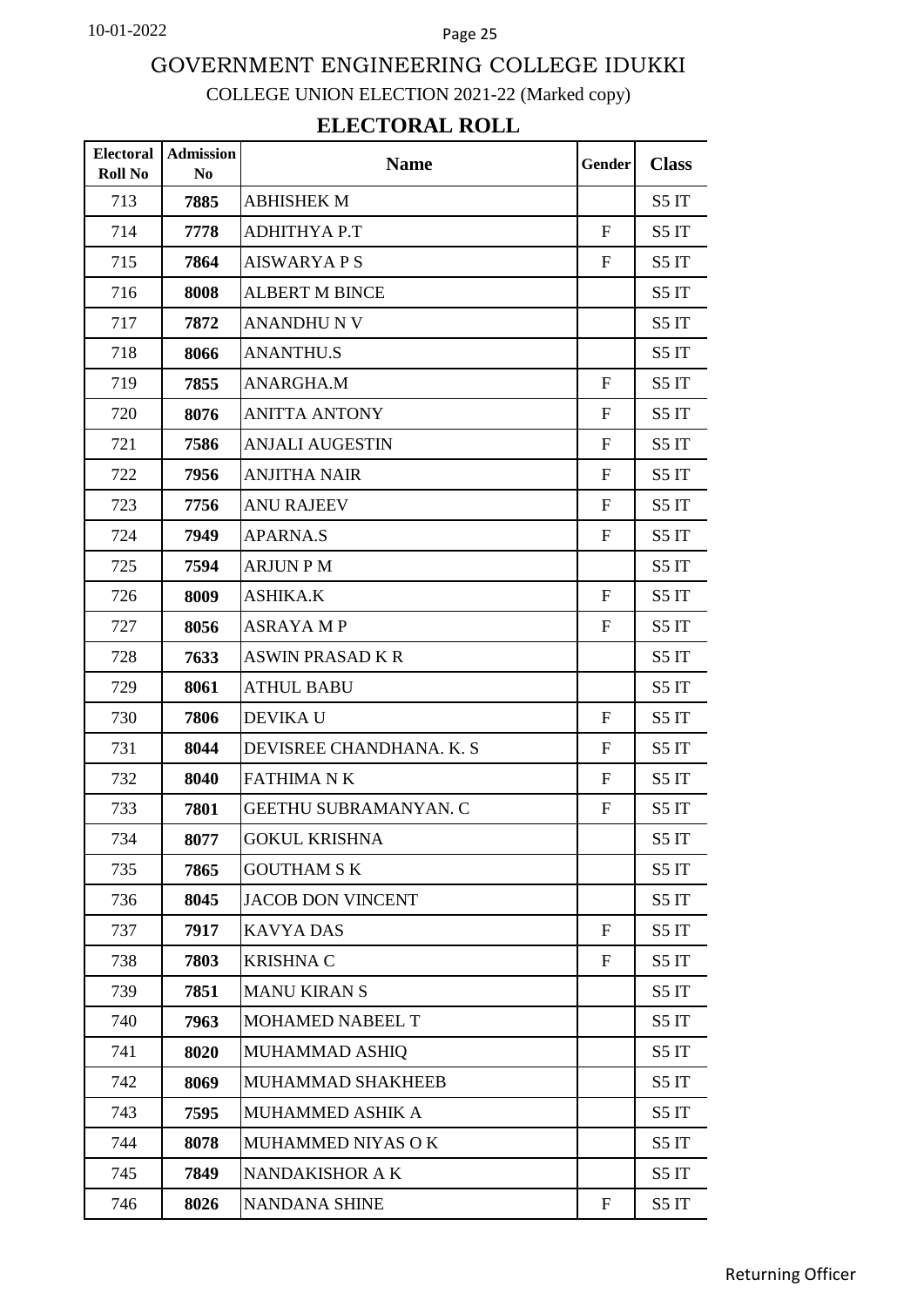## GOVERNMENT ENGINEERING COLLEGE IDUKKI

COLLEGE UNION ELECTION 2021-22 (Marked copy)

| <b>Electoral</b><br><b>Roll No</b> | <b>Admission</b><br>N <sub>0</sub> | <b>Name</b>               | Gender      | <b>Class</b> |
|------------------------------------|------------------------------------|---------------------------|-------------|--------------|
| 713                                | 7885                               | <b>ABHISHEK M</b>         |             | S5 IT        |
| 714                                | 7778                               | <b>ADHITHYA P.T</b>       | F           | S5 IT        |
| 715                                | 7864                               | <b>AISWARYAPS</b>         | F           | S5 IT        |
| 716                                | 8008                               | <b>ALBERT M BINCE</b>     |             | S5 IT        |
| 717                                | 7872                               | <b>ANANDHU N V</b>        |             | S5 IT        |
| 718                                | 8066                               | <b>ANANTHU.S</b>          |             | S5 IT        |
| 719                                | 7855                               | ANARGHA.M                 | F           | S5 IT        |
| 720                                | 8076                               | <b>ANITTA ANTONY</b>      | F           | S5 IT        |
| 721                                | 7586                               | <b>ANJALI AUGESTIN</b>    | F           | S5 IT        |
| 722                                | 7956                               | <b>ANJITHA NAIR</b>       | F           | S5 IT        |
| 723                                | 7756                               | <b>ANU RAJEEV</b>         | F           | S5 IT        |
| 724                                | 7949                               | <b>APARNA.S</b>           | F           | S5 IT        |
| 725                                | 7594                               | <b>ARJUN PM</b>           |             | S5 IT        |
| 726                                | 8009                               | <b>ASHIKA.K</b>           | F           | S5 IT        |
| 727                                | 8056                               | <b>ASRAYAMP</b>           | F           | S5 IT        |
| 728                                | 7633                               | <b>ASWIN PRASAD K R</b>   |             | S5 IT        |
| 729                                | 8061                               | <b>ATHUL BABU</b>         |             | S5 IT        |
| 730                                | 7806                               | <b>DEVIKA U</b>           | F           | S5 IT        |
| 731                                | 8044                               | DEVISREE CHANDHANA, K. S. | F           | S5 IT        |
| 732                                | 8040                               | <b>FATHIMA N K</b>        | F           | S5 IT        |
| 733                                | 7801                               | GEETHU SUBRAMANYAN. C     | F           | S5 IT        |
| 734                                | 8077                               | <b>GOKUL KRISHNA</b>      |             | S5 IT        |
| 735                                | 7865                               | <b>GOUTHAM S K</b>        |             | S5 IT        |
| 736                                | 8045                               | <b>JACOB DON VINCENT</b>  |             | S5 IT        |
| 737                                | 7917                               | <b>KAVYA DAS</b>          | F           | S5 IT        |
| 738                                | 7803                               | <b>KRISHNA C</b>          | F           | S5 IT        |
| 739                                | 7851                               | <b>MANU KIRAN S</b>       |             | S5 IT        |
| 740                                | 7963                               | MOHAMED NABEEL T          |             | S5 IT        |
| 741                                | 8020                               | MUHAMMAD ASHIQ            |             | S5 IT        |
| 742                                | 8069                               | MUHAMMAD SHAKHEEB         |             | S5 IT        |
| 743                                | 7595                               | MUHAMMED ASHIK A          |             | S5 IT        |
| 744                                | 8078                               | MUHAMMED NIYAS OK         |             | S5 IT        |
| 745                                | 7849                               | <b>NANDAKISHOR A K</b>    |             | S5 IT        |
| 746                                | 8026                               | <b>NANDANA SHINE</b>      | $\mathbf F$ | S5IT         |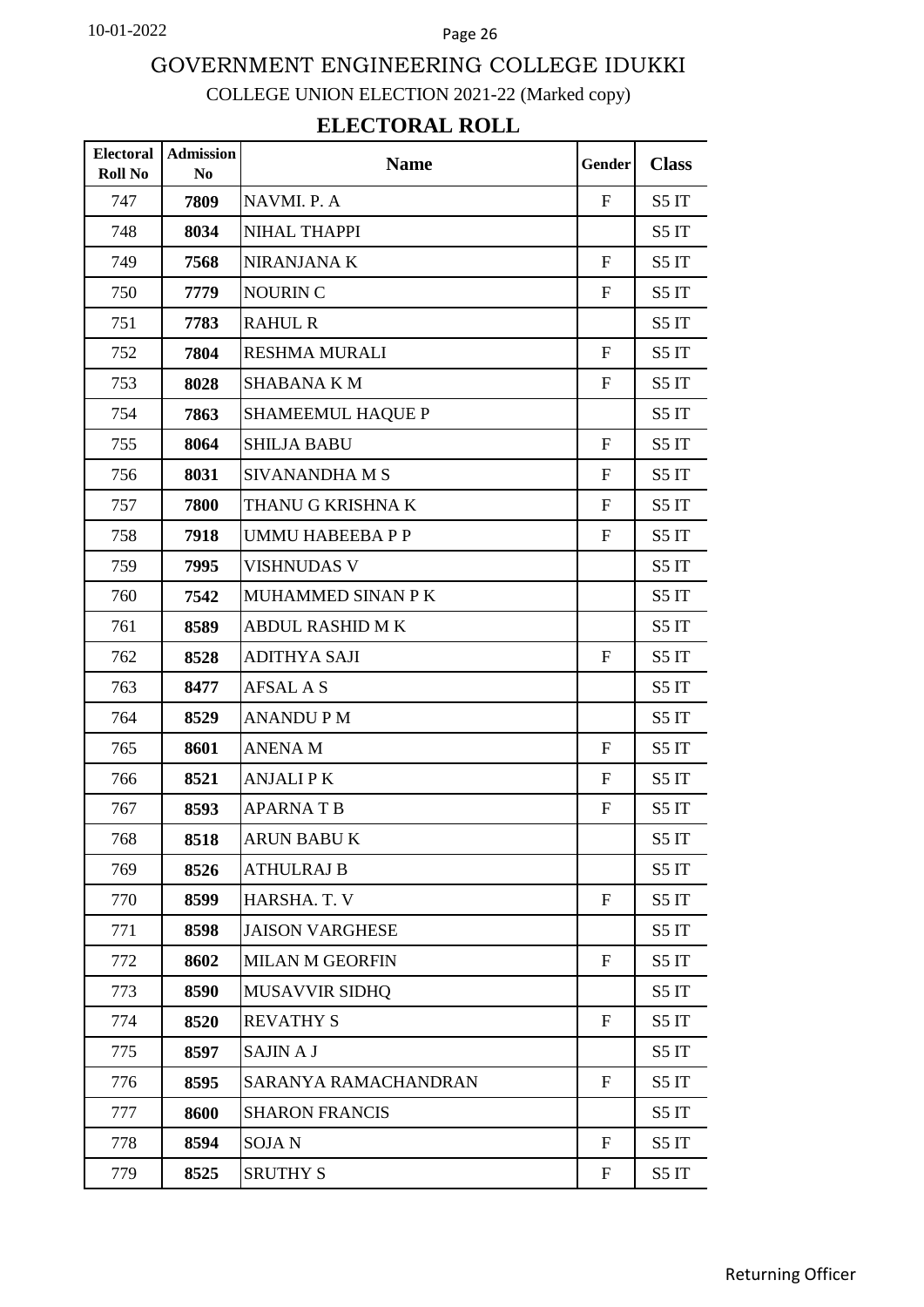COLLEGE UNION ELECTION 2021-22 (Marked copy)

| <b>Electoral</b><br><b>Roll No</b> | <b>Admission</b><br>N <sub>0</sub> | <b>Name</b>              | Gender       | <b>Class</b> |
|------------------------------------|------------------------------------|--------------------------|--------------|--------------|
| 747                                | 7809                               | NAVMI. P. A              | $\mathbf{F}$ | S5 IT        |
| 748                                | 8034                               | <b>NIHAL THAPPI</b>      |              | S5 IT        |
| 749                                | 7568                               | <b>NIRANJANA K</b>       | F            | S5 IT        |
| 750                                | 7779                               | <b>NOURIN C</b>          | $\mathbf{F}$ | S5 IT        |
| 751                                | 7783                               | <b>RAHUL R</b>           |              | S5 IT        |
| 752                                | 7804                               | <b>RESHMA MURALI</b>     | $\mathbf{F}$ | S5 IT        |
| 753                                | 8028                               | <b>SHABANA K M</b>       | $\mathbf{F}$ | S5 IT        |
| 754                                | 7863                               | <b>SHAMEEMUL HAQUE P</b> |              | S5 IT        |
| 755                                | 8064                               | <b>SHILJA BABU</b>       | $\mathbf{F}$ | S5 IT        |
| 756                                | 8031                               | <b>SIVANANDHA M S</b>    | F            | S5 IT        |
| 757                                | 7800                               | THANU G KRISHNA K        | $\mathbf{F}$ | S5 IT        |
| 758                                | 7918                               | <b>UMMU HABEEBA P P</b>  | $\mathbf{F}$ | S5 IT        |
| 759                                | 7995                               | <b>VISHNUDAS V</b>       |              | S5 IT        |
| 760                                | 7542                               | MUHAMMED SINAN P K       |              | S5 IT        |
| 761                                | 8589                               | <b>ABDUL RASHID M K</b>  |              | S5 IT        |
| 762                                | 8528                               | <b>ADITHYA SAJI</b>      | $\mathbf F$  | S5 IT        |
| 763                                | 8477                               | <b>AFSAL A S</b>         |              | S5 IT        |
| 764                                | 8529                               | <b>ANANDUPM</b>          |              | S5 IT        |
| 765                                | 8601                               | <b>ANENA M</b>           | $\mathbf{F}$ | S5 IT        |
| 766                                | 8521                               | <b>ANJALIPK</b>          | F            | S5 IT        |
| 767                                | 8593                               | <b>APARNATB</b>          | $\mathbf F$  | S5 IT        |
| 768                                | 8518                               | ARUN BABU K              |              | S5 IT        |
| 769                                | 8526                               | <b>ATHULRAJ B</b>        |              | S5 IT        |
| 770                                | 8599                               | HARSHA. T. V             | $\mathbf F$  | S5 IT        |
| 771                                | 8598                               | <b>JAISON VARGHESE</b>   |              | S5 IT        |
| 772                                | 8602                               | <b>MILAN M GEORFIN</b>   | $\mathbf F$  | S5 IT        |
| 773                                | 8590                               | <b>MUSAVVIR SIDHQ</b>    |              | S5 IT        |
| 774                                | 8520                               | <b>REVATHY S</b>         | $\mathbf{F}$ | S5 IT        |
| 775                                | 8597                               | SAJIN A J                |              | S5 IT        |
| 776                                | 8595                               | SARANYA RAMACHANDRAN     | $\mathbf F$  | S5 IT        |
| 777                                | 8600                               | <b>SHARON FRANCIS</b>    |              | S5 IT        |
| 778                                | 8594                               | <b>SOJAN</b>             | $\mathbf{F}$ | S5 IT        |
| 779                                | 8525                               | <b>SRUTHY S</b>          | $\mathbf F$  | S5 IT        |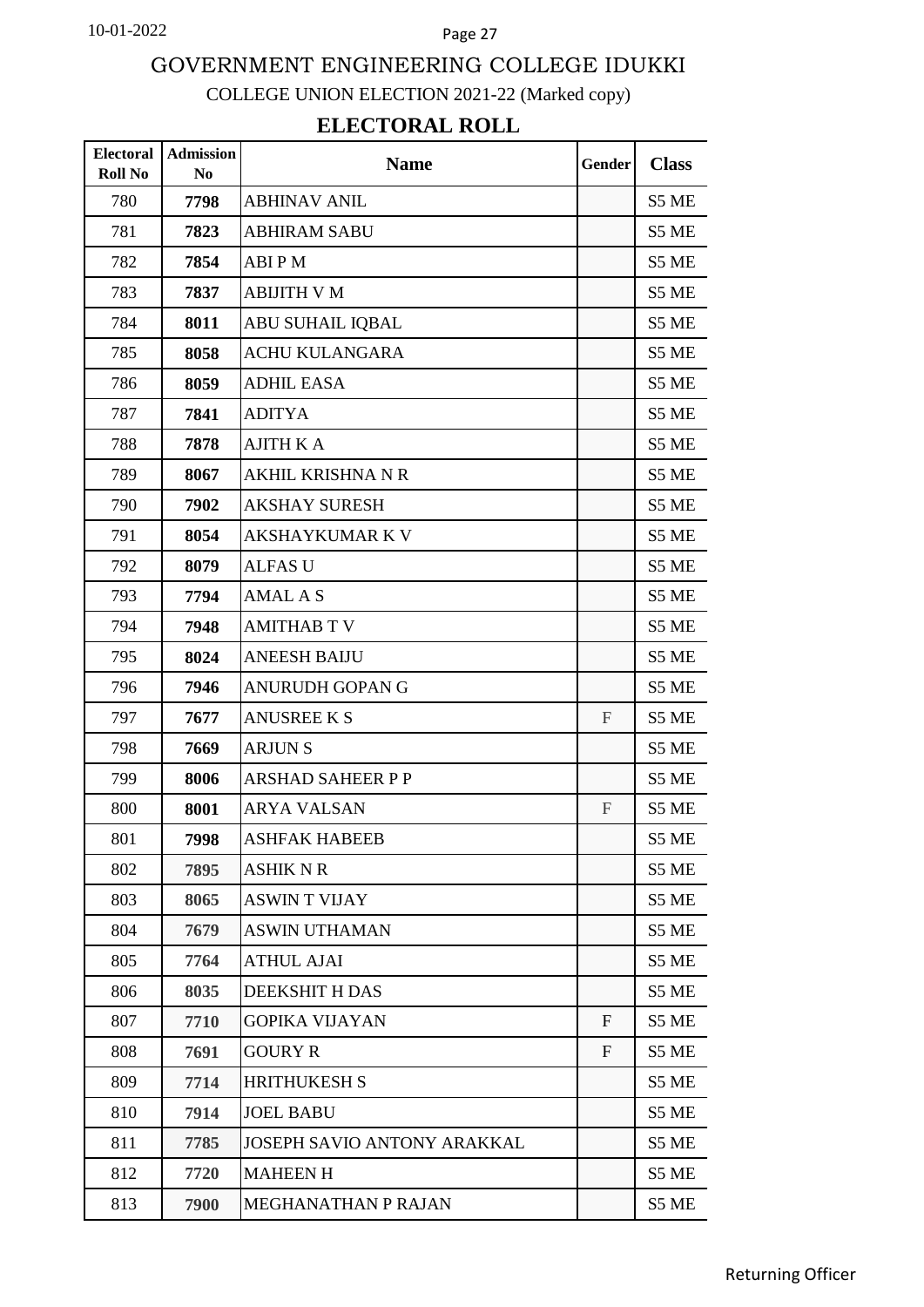## GOVERNMENT ENGINEERING COLLEGE IDUKKI

COLLEGE UNION ELECTION 2021-22 (Marked copy)

| <b>Electoral</b><br><b>Roll No</b> | <b>Admission</b><br>N <sub>0</sub> | <b>Name</b>                        | Gender       | <b>Class</b> |
|------------------------------------|------------------------------------|------------------------------------|--------------|--------------|
| 780                                | 7798                               | <b>ABHINAV ANIL</b>                |              | S5 ME        |
| 781                                | 7823                               | <b>ABHIRAM SABU</b>                |              | S5 ME        |
| 782                                | 7854                               | <b>ABIPM</b>                       |              | S5 ME        |
| 783                                | 7837                               | <b>ABIJITH V M</b>                 |              | S5 ME        |
| 784                                | 8011                               | <b>ABU SUHAIL IQBAL</b>            |              | S5 ME        |
| 785                                | 8058                               | <b>ACHU KULANGARA</b>              |              | S5 ME        |
| 786                                | 8059                               | <b>ADHIL EASA</b>                  |              | S5 ME        |
| 787                                | 7841                               | <b>ADITYA</b>                      |              | S5 ME        |
| 788                                | 7878                               | <b>AJITH K A</b>                   |              | S5 ME        |
| 789                                | 8067                               | <b>AKHIL KRISHNA N R</b>           |              | S5 ME        |
| 790                                | 7902                               | <b>AKSHAY SURESH</b>               |              | S5 ME        |
| 791                                | 8054                               | <b>AKSHAYKUMAR K V</b>             |              | S5 ME        |
| 792                                | 8079                               | <b>ALFAS U</b>                     |              | S5 ME        |
| 793                                | 7794                               | <b>AMAL A S</b>                    |              | S5 ME        |
| 794                                | 7948                               | <b>AMITHAB T V</b>                 |              | S5 ME        |
| 795                                | 8024                               | <b>ANEESH BAIJU</b>                |              | S5 ME        |
| 796                                | 7946                               | <b>ANURUDH GOPAN G</b>             |              | S5 ME        |
| 797                                | 7677                               | <b>ANUSREE K S</b>                 | $\mathbf{F}$ | S5 ME        |
| 798                                | 7669                               | <b>ARJUNS</b>                      |              | S5 ME        |
| 799                                | 8006                               | <b>ARSHAD SAHEER P P</b>           |              | S5 ME        |
| 800                                | 8001                               | ARYA VALSAN                        | F            | S5 ME        |
| 801                                | 7998                               | ASHFAK HABEEB                      |              | S5 ME        |
| 802                                | 7895                               | <b>ASHIK N R</b>                   |              | S5 ME        |
| 803                                | 8065                               | <b>ASWINT VIJAY</b>                |              | S5 ME        |
| 804                                | 7679                               | <b>ASWIN UTHAMAN</b>               |              | S5 ME        |
| 805                                | 7764                               | <b>ATHUL AJAI</b>                  |              | S5 ME        |
| 806                                | 8035                               | DEEKSHIT H DAS                     |              | S5 ME        |
| 807                                | 7710                               | <b>GOPIKA VIJAYAN</b>              | $\mathbf{F}$ | S5 ME        |
| 808                                | 7691                               | <b>GOURY R</b>                     | $\mathbf F$  | S5 ME        |
| 809                                | 7714                               | <b>HRITHUKESH S</b>                |              | S5 ME        |
| 810                                | 7914                               | <b>JOEL BABU</b>                   |              | S5 ME        |
| 811                                | 7785                               | <b>JOSEPH SAVIO ANTONY ARAKKAL</b> |              | S5 ME        |
| 812                                | 7720                               | <b>MAHEEN H</b>                    |              | S5 ME        |
| 813                                | 7900                               | MEGHANATHAN P RAJAN                |              | S5 ME        |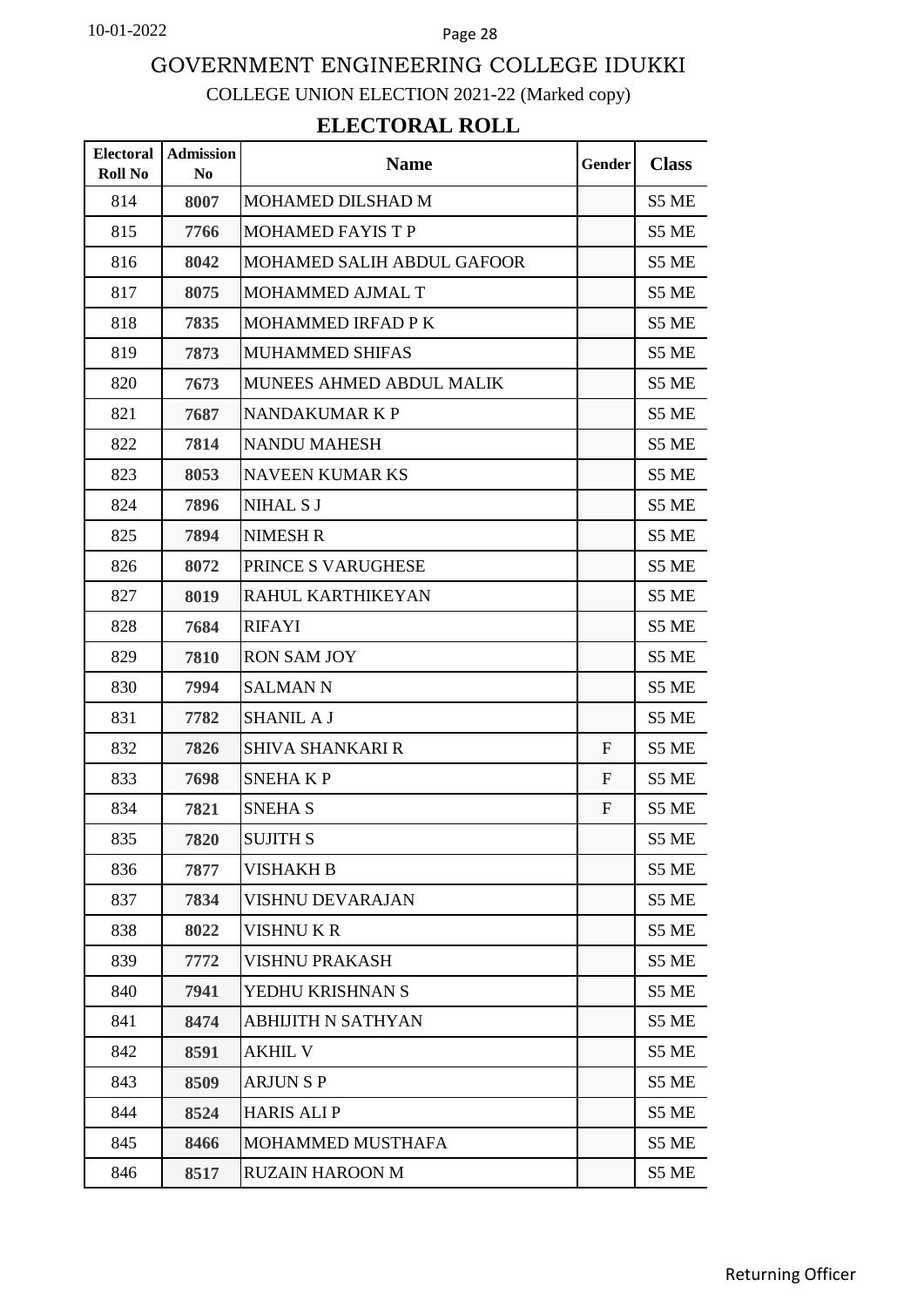### GOVERNMENT ENGINEERING COLLEGE IDUKKI

COLLEGE UNION ELECTION 2021-22 (Marked copy)

| <b>Electoral</b><br><b>Roll No</b> | <b>Admission</b><br>N <sub>0</sub> | <b>Name</b>                       | Gender       | <b>Class</b> |
|------------------------------------|------------------------------------|-----------------------------------|--------------|--------------|
| 814                                | 8007                               | MOHAMED DILSHAD M                 |              | S5 ME        |
| 815                                | 7766                               | <b>MOHAMED FAYIS T P</b>          |              | S5 ME        |
| 816                                | 8042                               | <b>MOHAMED SALIH ABDUL GAFOOR</b> |              | S5 ME        |
| 817                                | 8075                               | MOHAMMED AJMAL T                  |              | S5 ME        |
| 818                                | 7835                               | MOHAMMED IRFAD P K                |              | S5 ME        |
| 819                                | 7873                               | <b>MUHAMMED SHIFAS</b>            |              | S5 ME        |
| 820                                | 7673                               | MUNEES AHMED ABDUL MALIK          |              | S5 ME        |
| 821                                | 7687                               | NANDAKUMAR K P                    |              | S5 ME        |
| 822                                | 7814                               | <b>NANDU MAHESH</b>               |              | S5 ME        |
| 823                                | 8053                               | <b>NAVEEN KUMAR KS</b>            |              | S5 ME        |
| 824                                | 7896                               | <b>NIHAL S J</b>                  |              | S5 ME        |
| 825                                | 7894                               | <b>NIMESH R</b>                   |              | S5 ME        |
| 826                                | 8072                               | PRINCE S VARUGHESE                |              | S5 ME        |
| 827                                | 8019                               | RAHUL KARTHIKEYAN                 |              | S5 ME        |
| 828                                | 7684                               | <b>RIFAYI</b>                     |              | S5 ME        |
| 829                                | 7810                               | <b>RON SAM JOY</b>                |              | S5 ME        |
| 830                                | 7994                               | <b>SALMAN N</b>                   |              | S5 ME        |
| 831                                | 7782                               | <b>SHANIL A J</b>                 |              | S5 ME        |
| 832                                | 7826                               | <b>SHIVA SHANKARI R</b>           | $\mathbf{F}$ | S5 ME        |
| 833                                | 7698                               | <b>SNEHAKP</b>                    | F            | S5 ME        |
| 834                                | 7821                               | <b>SNEHAS</b>                     | F            | S5 ME        |
| 835                                | 7820                               | <b>SUJITH S</b>                   |              | S5 ME        |
| 836                                | 7877                               | <b>VISHAKH B</b>                  |              | S5 ME        |
| 837                                | 7834                               | <b>VISHNU DEVARAJAN</b>           |              | S5 ME        |
| 838                                | 8022                               | <b>VISHNU K R</b>                 |              | S5 ME        |
| 839                                | 7772                               | <b>VISHNU PRAKASH</b>             |              | S5 ME        |
| 840                                | 7941                               | YEDHU KRISHNAN S                  |              | S5 ME        |
| 841                                | 8474                               | <b>ABHIJITH N SATHYAN</b>         |              | S5 ME        |
| 842                                | 8591                               | <b>AKHIL V</b>                    |              | S5 ME        |
| 843                                | 8509                               | <b>ARJUNSP</b>                    |              | S5 ME        |
| 844                                | 8524                               | <b>HARIS ALIP</b>                 |              | S5 ME        |
| 845                                | 8466                               | <b>MOHAMMED MUSTHAFA</b>          |              | S5 ME        |
| 846                                | 8517                               | <b>RUZAIN HAROON M</b>            |              | S5 ME        |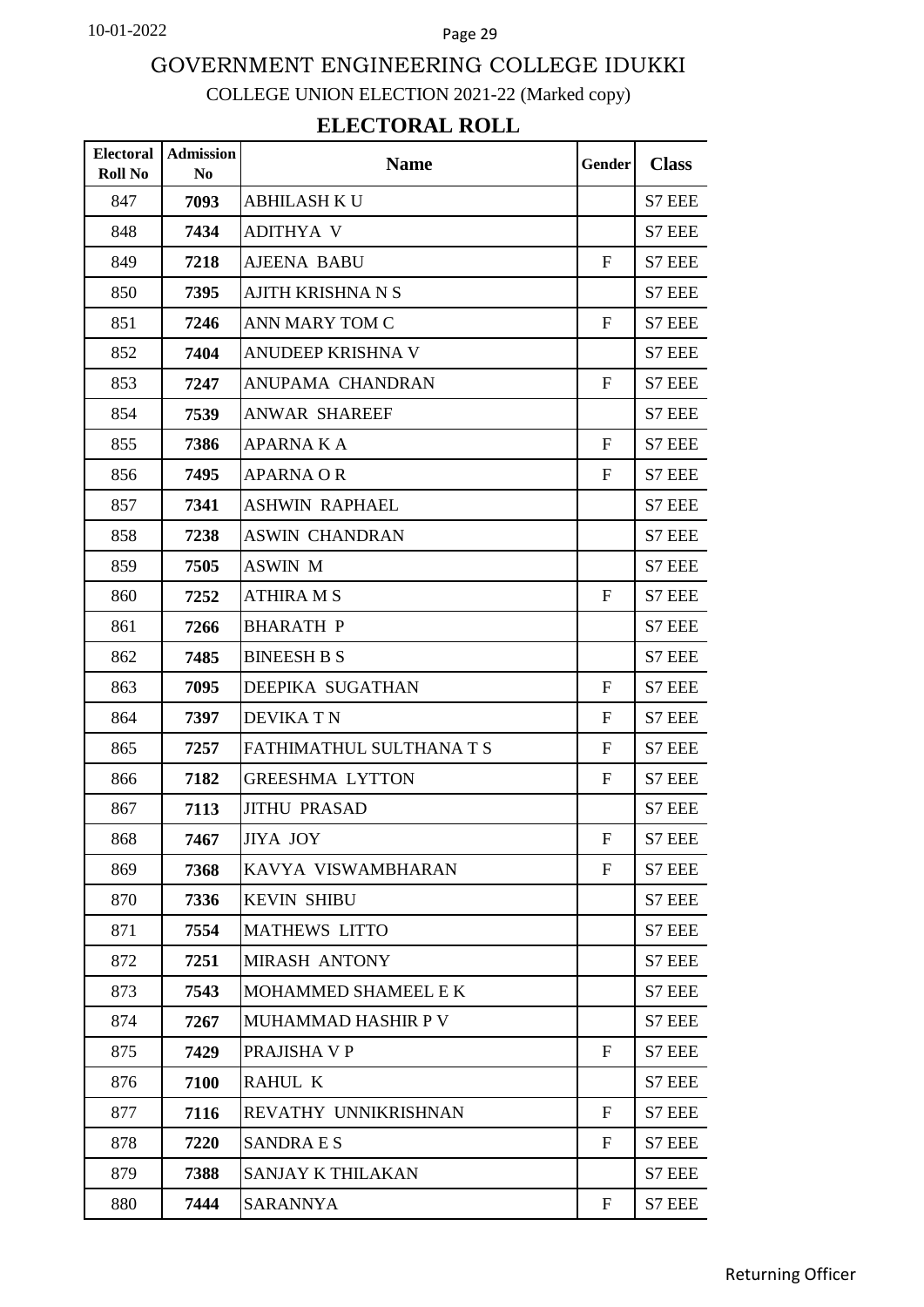COLLEGE UNION ELECTION 2021-22 (Marked copy)

| <b>Electoral</b><br><b>Roll No</b> | <b>Admission</b><br>N <sub>0</sub> | <b>Name</b>              | Gender       | <b>Class</b> |
|------------------------------------|------------------------------------|--------------------------|--------------|--------------|
| 847                                | 7093                               | <b>ABHILASH K U</b>      |              | S7 EEE       |
| 848                                | 7434                               | <b>ADITHYA V</b>         |              | S7 EEE       |
| 849                                | 7218                               | <b>AJEENA BABU</b>       | F            | S7 EEE       |
| 850                                | 7395                               | AJITH KRISHNA N S        |              | S7 EEE       |
| 851                                | 7246                               | ANN MARY TOM C           | $\mathbf{F}$ | S7 EEE       |
| 852                                | 7404                               | ANUDEEP KRISHNA V        |              | S7 EEE       |
| 853                                | 7247                               | ANUPAMA CHANDRAN         | F            | S7 EEE       |
| 854                                | 7539                               | <b>ANWAR SHAREEF</b>     |              | S7 EEE       |
| 855                                | 7386                               | APARNA K A               | F            | S7 EEE       |
| 856                                | 7495                               | <b>APARNA OR</b>         | F            | S7 EEE       |
| 857                                | 7341                               | <b>ASHWIN RAPHAEL</b>    |              | S7 EEE       |
| 858                                | 7238                               | <b>ASWIN CHANDRAN</b>    |              | S7 EEE       |
| 859                                | 7505                               | <b>ASWIN M</b>           |              | S7 EEE       |
| 860                                | 7252                               | <b>ATHIRA M S</b>        | F            | S7 EEE       |
| 861                                | 7266                               | <b>BHARATH P</b>         |              | S7 EEE       |
| 862                                | 7485                               | <b>BINEESH B S</b>       |              | S7 EEE       |
| 863                                | 7095                               | DEEPIKA SUGATHAN         | F            | S7 EEE       |
| 864                                | 7397                               | <b>DEVIKA T N</b>        | F            | S7 EEE       |
| 865                                | 7257                               | FATHIMATHUL SULTHANA T S | F            | S7 EEE       |
| 866                                | 7182                               | <b>GREESHMA LYTTON</b>   | $\mathbf{F}$ | S7 EEE       |
| 867                                | 7113                               | <b>JITHU PRASAD</b>      |              | S7 EEE       |
| 868                                | 7467                               | JIYA JOY                 | F            | S7 EEE       |
| 869                                | 7368                               | KAVYA VISWAMBHARAN       | F            | S7 EEE       |
| 870                                | 7336                               | <b>KEVIN SHIBU</b>       |              | S7 EEE       |
| 871                                | 7554                               | <b>MATHEWS LITTO</b>     |              | S7 EEE       |
| 872                                | 7251                               | <b>MIRASH ANTONY</b>     |              | S7 EEE       |
| 873                                | 7543                               | MOHAMMED SHAMEEL E K     |              | S7 EEE       |
| 874                                | 7267                               | MUHAMMAD HASHIR P V      |              | S7 EEE       |
| 875                                | 7429                               | PRAJISHA V P             | F            | S7 EEE       |
| 876                                | 7100                               | <b>RAHUL K</b>           |              | S7 EEE       |
| 877                                | 7116                               | REVATHY UNNIKRISHNAN     | $\mathbf F$  | S7 EEE       |
| 878                                | 7220                               | <b>SANDRA E S</b>        | F            | S7 EEE       |
| 879                                | 7388                               | SANJAY K THILAKAN        |              | S7 EEE       |
| 880                                | 7444                               | <b>SARANNYA</b>          | F            | S7 EEE       |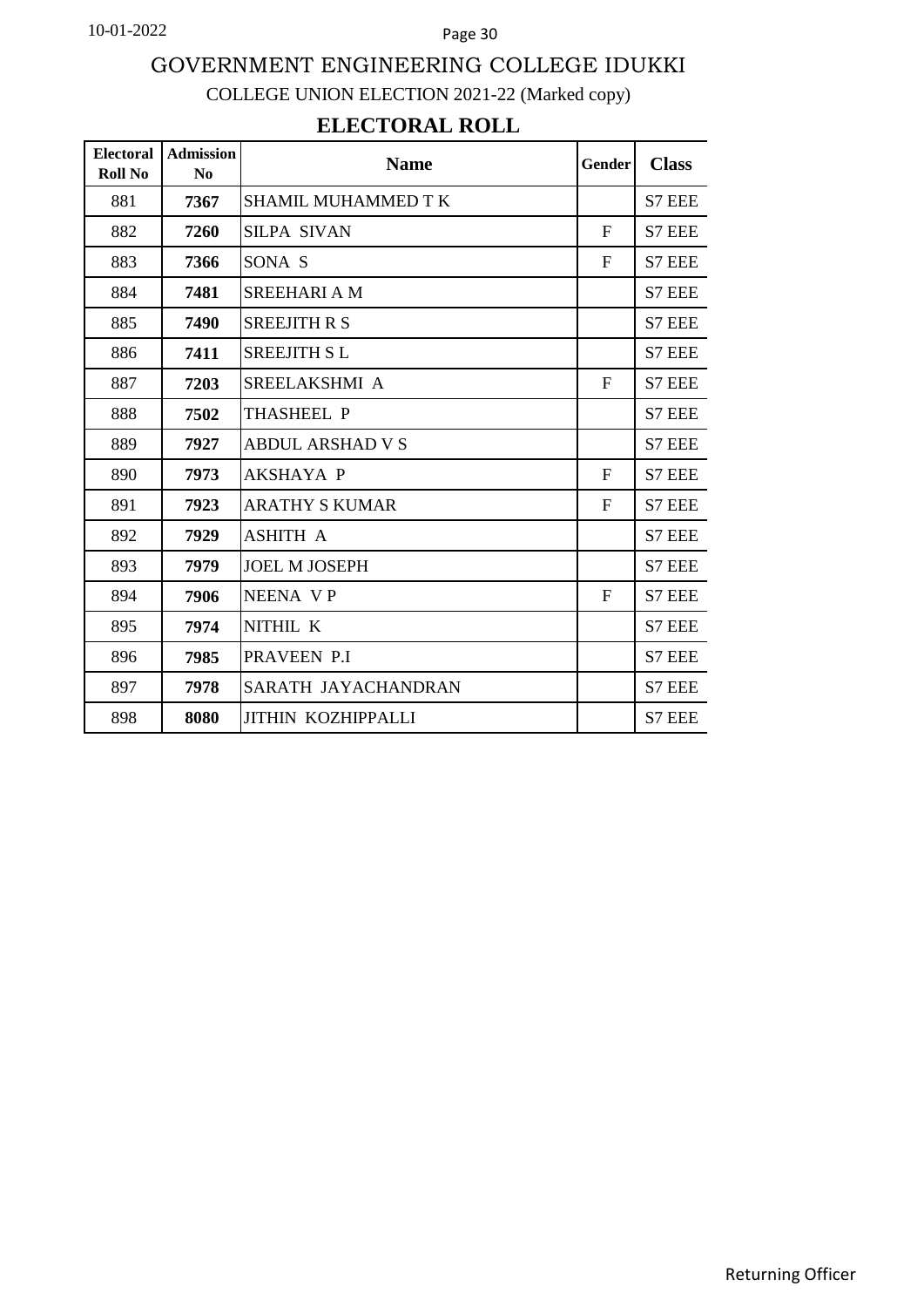### GOVERNMENT ENGINEERING COLLEGE IDUKKI

COLLEGE UNION ELECTION 2021-22 (Marked copy)

| <b>Electoral</b><br><b>Roll No</b> | <b>Admission</b><br>N <sub>0</sub> | <b>Name</b>               | Gender       | <b>Class</b> |
|------------------------------------|------------------------------------|---------------------------|--------------|--------------|
| 881                                | 7367                               | SHAMIL MUHAMMED T K       |              | S7 EEE       |
| 882                                | 7260                               | <b>SILPA SIVAN</b>        | $\mathbf{F}$ | S7 EEE       |
| 883                                | 7366                               | SONA S                    | $\mathbf{F}$ | S7 EEE       |
| 884                                | 7481                               | <b>SREEHARI A M</b>       |              | S7 EEE       |
| 885                                | 7490                               | <b>SREEJITH R S</b>       |              | S7 EEE       |
| 886                                | 7411                               | <b>SREEJITH SL</b>        |              | S7 EEE       |
| 887                                | 7203                               | SREELAKSHMI A             | $\mathbf{F}$ | S7 EEE       |
| 888                                | 7502                               | THASHEEL P                |              | S7 EEE       |
| 889                                | 7927                               | <b>ABDUL ARSHAD V S</b>   |              | S7 EEE       |
| 890                                | 7973                               | AKSHAYA P                 | $\mathbf{F}$ | S7 EEE       |
| 891                                | 7923                               | <b>ARATHY S KUMAR</b>     | $\mathbf{F}$ | S7 EEE       |
| 892                                | 7929                               | <b>ASHITH A</b>           |              | S7 EEE       |
| 893                                | 7979                               | <b>JOEL M JOSEPH</b>      |              | S7 EEE       |
| 894                                | 7906                               | NEENA VP                  | F            | S7 EEE       |
| 895                                | 7974                               | NITHIL K                  |              | S7 EEE       |
| 896                                | 7985                               | PRAVEEN P.I               |              | S7 EEE       |
| 897                                | 7978                               | SARATH JAYACHANDRAN       |              | S7 EEE       |
| 898                                | 8080                               | <b>JITHIN KOZHIPPALLI</b> |              | S7 EEE       |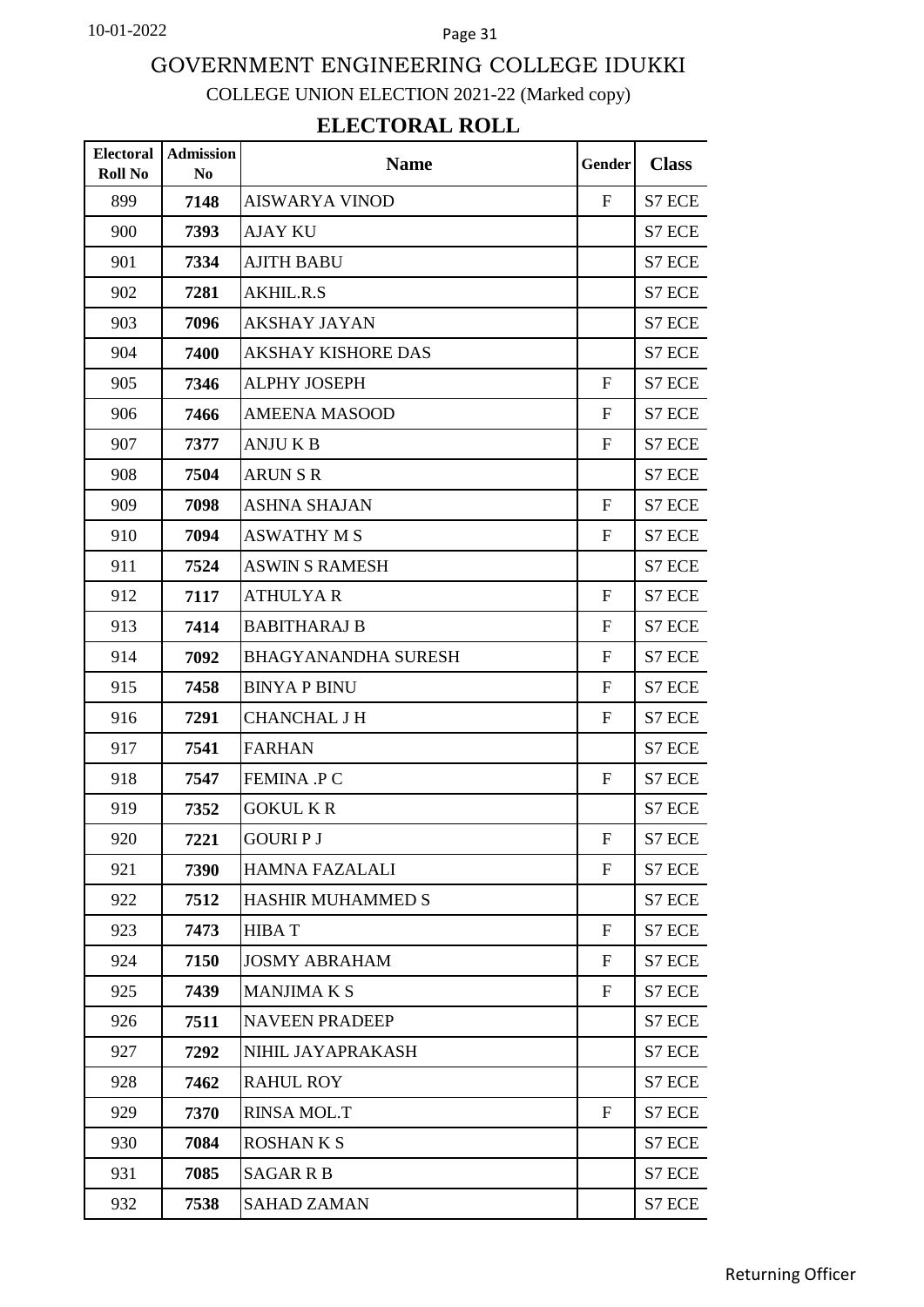## GOVERNMENT ENGINEERING COLLEGE IDUKKI

COLLEGE UNION ELECTION 2021-22 (Marked copy)

| Electoral<br><b>Roll No</b> | <b>Admission</b><br>N <sub>0</sub> | <b>Name</b>                | <b>Gender</b> | <b>Class</b> |
|-----------------------------|------------------------------------|----------------------------|---------------|--------------|
| 899                         | 7148                               | <b>AISWARYA VINOD</b>      | F             | S7 ECE       |
| 900                         | 7393                               | AJAY KU                    |               | S7 ECE       |
| 901                         | 7334                               | <b>AJITH BABU</b>          |               | S7 ECE       |
| 902                         | 7281                               | <b>AKHIL.R.S</b>           |               | S7 ECE       |
| 903                         | 7096                               | <b>AKSHAY JAYAN</b>        |               | S7 ECE       |
| 904                         | 7400                               | <b>AKSHAY KISHORE DAS</b>  |               | S7 ECE       |
| 905                         | 7346                               | <b>ALPHY JOSEPH</b>        | F             | S7 ECE       |
| 906                         | 7466                               | <b>AMEENA MASOOD</b>       | F             | S7 ECE       |
| 907                         | 7377                               | <b>ANJUKB</b>              | F             | S7 ECE       |
| 908                         | 7504                               | <b>ARUNSR</b>              |               | S7 ECE       |
| 909                         | 7098                               | <b>ASHNA SHAJAN</b>        | F             | S7 ECE       |
| 910                         | 7094                               | <b>ASWATHY M S</b>         | F             | S7 ECE       |
| 911                         | 7524                               | <b>ASWIN S RAMESH</b>      |               | S7 ECE       |
| 912                         | 7117                               | <b>ATHULYAR</b>            | F             | S7 ECE       |
| 913                         | 7414                               | <b>BABITHARAJ B</b>        | F             | S7 ECE       |
| 914                         | 7092                               | <b>BHAGYANANDHA SURESH</b> | F             | S7 ECE       |
| 915                         | 7458                               | <b>BINYA P BINU</b>        | F             | S7 ECE       |
| 916                         | 7291                               | <b>CHANCHAL J H</b>        | F             | S7 ECE       |
| 917                         | 7541                               | <b>FARHAN</b>              |               | S7 ECE       |
| 918                         | 7547                               | FEMINA .PC                 | $\mathbf{F}$  | S7 ECE       |
| 919                         | 7352                               | <b>GOKUL K R</b>           |               | S7 ECE       |
| 920                         | 7221                               | <b>GOURIPJ</b>             | F             | S7 ECE       |
| 921                         | 7390                               | <b>HAMNA FAZALALI</b>      | F             | S7 ECE       |
| 922                         | 7512                               | <b>HASHIR MUHAMMED S</b>   |               | S7 ECE       |
| 923                         | 7473                               | <b>HIBAT</b>               | F             | S7 ECE       |
| 924                         | 7150                               | <b>JOSMY ABRAHAM</b>       | F             | S7 ECE       |
| 925                         | 7439                               | <b>MANJIMAKS</b>           | F             | S7 ECE       |
| 926                         | 7511                               | <b>NAVEEN PRADEEP</b>      |               | S7 ECE       |
| 927                         | 7292                               | NIHIL JAYAPRAKASH          |               | S7 ECE       |
| 928                         | 7462                               | <b>RAHUL ROY</b>           |               | S7 ECE       |
| 929                         | 7370                               | <b>RINSA MOL.T</b>         | F             | S7 ECE       |
| 930                         | 7084                               | <b>ROSHANKS</b>            |               | S7 ECE       |
| 931                         | 7085                               | <b>SAGAR R B</b>           |               | S7 ECE       |
| 932                         | 7538                               | <b>SAHAD ZAMAN</b>         |               | S7 ECE       |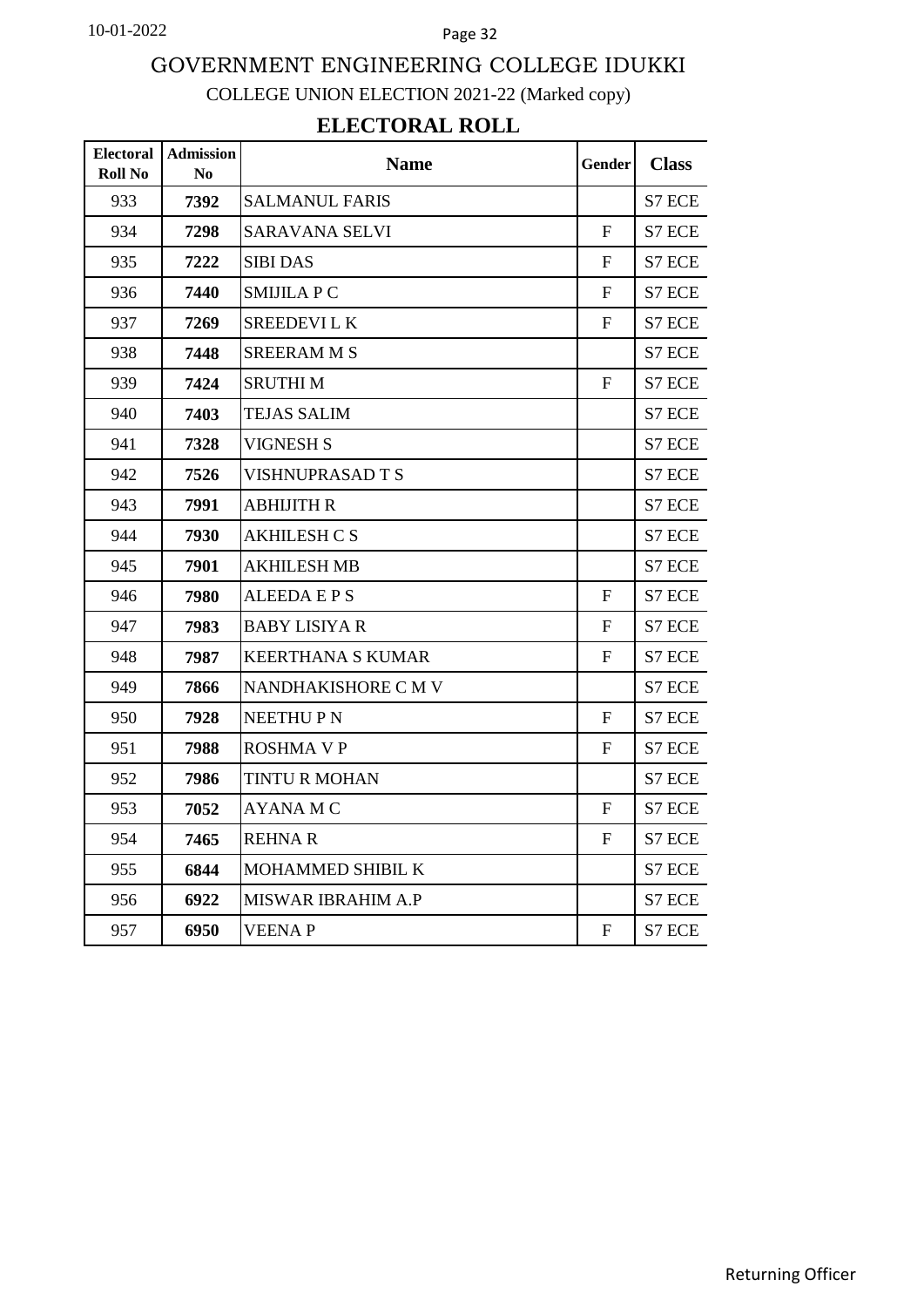## GOVERNMENT ENGINEERING COLLEGE IDUKKI

COLLEGE UNION ELECTION 2021-22 (Marked copy)

| <b>Electoral</b><br><b>Roll No</b> | <b>Admission</b><br>N <sub>0</sub> | <b>Name</b>              | Gender                    | <b>Class</b> |
|------------------------------------|------------------------------------|--------------------------|---------------------------|--------------|
| 933                                | 7392                               | <b>SALMANUL FARIS</b>    |                           | S7 ECE       |
| 934                                | 7298                               | <b>SARAVANA SELVI</b>    | F                         | S7 ECE       |
| 935                                | 7222                               | <b>SIBI DAS</b>          | F                         | S7 ECE       |
| 936                                | 7440                               | <b>SMIJILA P C</b>       | $\boldsymbol{\mathrm{F}}$ | S7 ECE       |
| 937                                | 7269                               | <b>SREEDEVILK</b>        | F                         | S7 ECE       |
| 938                                | 7448                               | <b>SREERAMMS</b>         |                           | S7 ECE       |
| 939                                | 7424                               | <b>SRUTHIM</b>           | F                         | S7 ECE       |
| 940                                | 7403                               | <b>TEJAS SALIM</b>       |                           | S7 ECE       |
| 941                                | 7328                               | <b>VIGNESH S</b>         |                           | S7 ECE       |
| 942                                | 7526                               | <b>VISHNUPRASAD T S</b>  |                           | S7 ECE       |
| 943                                | 7991                               | <b>ABHIJITH R</b>        |                           | S7 ECE       |
| 944                                | 7930                               | <b>AKHILESH C S</b>      |                           | S7 ECE       |
| 945                                | 7901                               | <b>AKHILESH MB</b>       |                           | S7 ECE       |
| 946                                | 7980                               | <b>ALEEDA E P S</b>      | F                         | S7 ECE       |
| 947                                | 7983                               | <b>BABY LISIYA R</b>     | F                         | S7 ECE       |
| 948                                | 7987                               | <b>KEERTHANA S KUMAR</b> | F                         | S7 ECE       |
| 949                                | 7866                               | NANDHAKISHORE C M V      |                           | S7 ECE       |
| 950                                | 7928                               | <b>NEETHUPN</b>          | F                         | S7 ECE       |
| 951                                | 7988                               | <b>ROSHMA V P</b>        | F                         | S7 ECE       |
| 952                                | 7986                               | TINTU R MOHAN            |                           | S7 ECE       |
| 953                                | 7052                               | <b>AYANA MC</b>          | F                         | S7 ECE       |
| 954                                | 7465                               | <b>REHNAR</b>            | F                         | S7 ECE       |
| 955                                | 6844                               | MOHAMMED SHIBIL K        |                           | S7 ECE       |
| 956                                | 6922                               | MISWAR IBRAHIM A.P       |                           | S7 ECE       |
| 957                                | 6950                               | <b>VEENAP</b>            | F                         | S7 ECE       |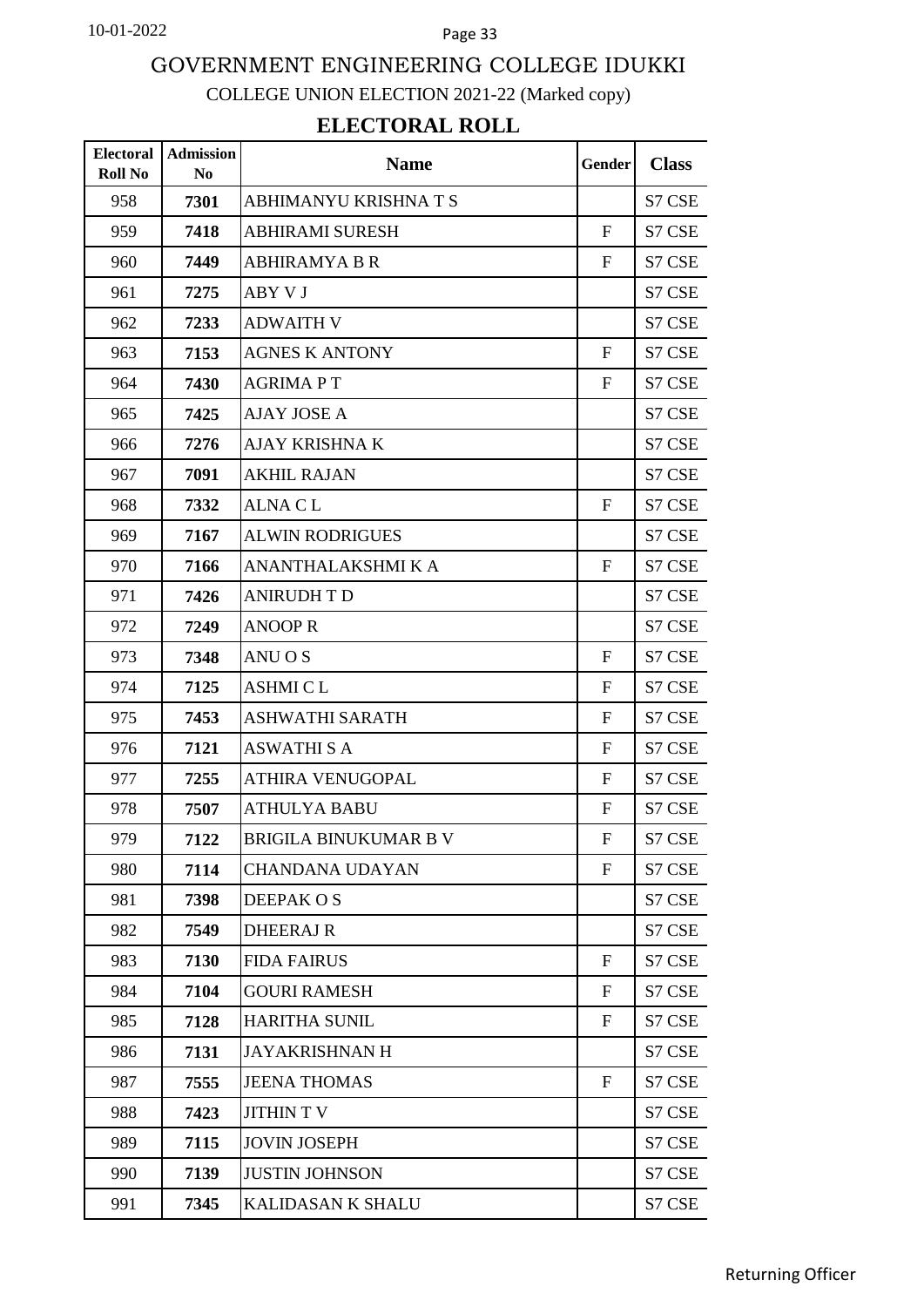## GOVERNMENT ENGINEERING COLLEGE IDUKKI

COLLEGE UNION ELECTION 2021-22 (Marked copy)

| <b>Electoral</b><br><b>Roll No</b> | <b>Admission</b><br>N <sub>0</sub> | <b>Name</b>                  | Gender       | <b>Class</b> |
|------------------------------------|------------------------------------|------------------------------|--------------|--------------|
| 958                                | 7301                               | ABHIMANYU KRISHNA T S        |              | S7 CSE       |
| 959                                | 7418                               | <b>ABHIRAMI SURESH</b>       | F            | S7 CSE       |
| 960                                | 7449                               | <b>ABHIRAMYA B R</b>         | F            | S7 CSE       |
| 961                                | 7275                               | ABY V J                      |              | S7 CSE       |
| 962                                | 7233                               | <b>ADWAITH V</b>             |              | S7 CSE       |
| 963                                | 7153                               | <b>AGNES K ANTONY</b>        | F            | S7 CSE       |
| 964                                | 7430                               | <b>AGRIMAPT</b>              | F            | S7 CSE       |
| 965                                | 7425                               | <b>AJAY JOSE A</b>           |              | S7 CSE       |
| 966                                | 7276                               | <b>AJAY KRISHNA K</b>        |              | S7 CSE       |
| 967                                | 7091                               | <b>AKHIL RAJAN</b>           |              | S7 CSE       |
| 968                                | 7332                               | <b>ALNA CL</b>               | F            | S7 CSE       |
| 969                                | 7167                               | <b>ALWIN RODRIGUES</b>       |              | S7 CSE       |
| 970                                | 7166                               | ANANTHALAKSHMI K A           | $\mathbf{F}$ | S7 CSE       |
| 971                                | 7426                               | <b>ANIRUDH T D</b>           |              | S7 CSE       |
| 972                                | 7249                               | <b>ANOOPR</b>                |              | S7 CSE       |
| 973                                | 7348                               | ANU O S                      | $\mathbf{F}$ | S7 CSE       |
| 974                                | 7125                               | <b>ASHMICL</b>               | F            | S7 CSE       |
| 975                                | 7453                               | <b>ASHWATHI SARATH</b>       | F            | S7 CSE       |
| 976                                | 7121                               | <b>ASWATHI S A</b>           | $\mathbf{F}$ | S7 CSE       |
| 977                                | 7255                               | <b>ATHIRA VENUGOPAL</b>      | $\mathbf{F}$ | S7 CSE       |
| 978                                | 7507                               | <b>ATHULYA BABU</b>          | F            | S7 CSE       |
| 979                                | 7122                               | <b>BRIGILA BINUKUMAR B V</b> | F            | S7 CSE       |
| 980                                | 7114                               | <b>CHANDANA UDAYAN</b>       | $\mathbf{F}$ | S7 CSE       |
| 981                                | 7398                               | DEEPAK OS                    |              | S7 CSE       |
| 982                                | 7549                               | <b>DHEERAJ R</b>             |              | S7 CSE       |
| 983                                | 7130                               | <b>FIDA FAIRUS</b>           | F            | S7 CSE       |
| 984                                | 7104                               | <b>GOURI RAMESH</b>          | $\mathbf F$  | S7 CSE       |
| 985                                | 7128                               | <b>HARITHA SUNIL</b>         | F            | S7 CSE       |
| 986                                | 7131                               | <b>JAYAKRISHNAN H</b>        |              | S7 CSE       |
| 987                                | 7555                               | <b>JEENA THOMAS</b>          | F            | S7 CSE       |
| 988                                | 7423                               | <b>JITHIN T V</b>            |              | S7 CSE       |
| 989                                | 7115                               | <b>JOVIN JOSEPH</b>          |              | S7 CSE       |
| 990                                | 7139                               | <b>JUSTIN JOHNSON</b>        |              | S7 CSE       |
| 991                                | 7345                               | <b>KALIDASAN K SHALU</b>     |              | S7 CSE       |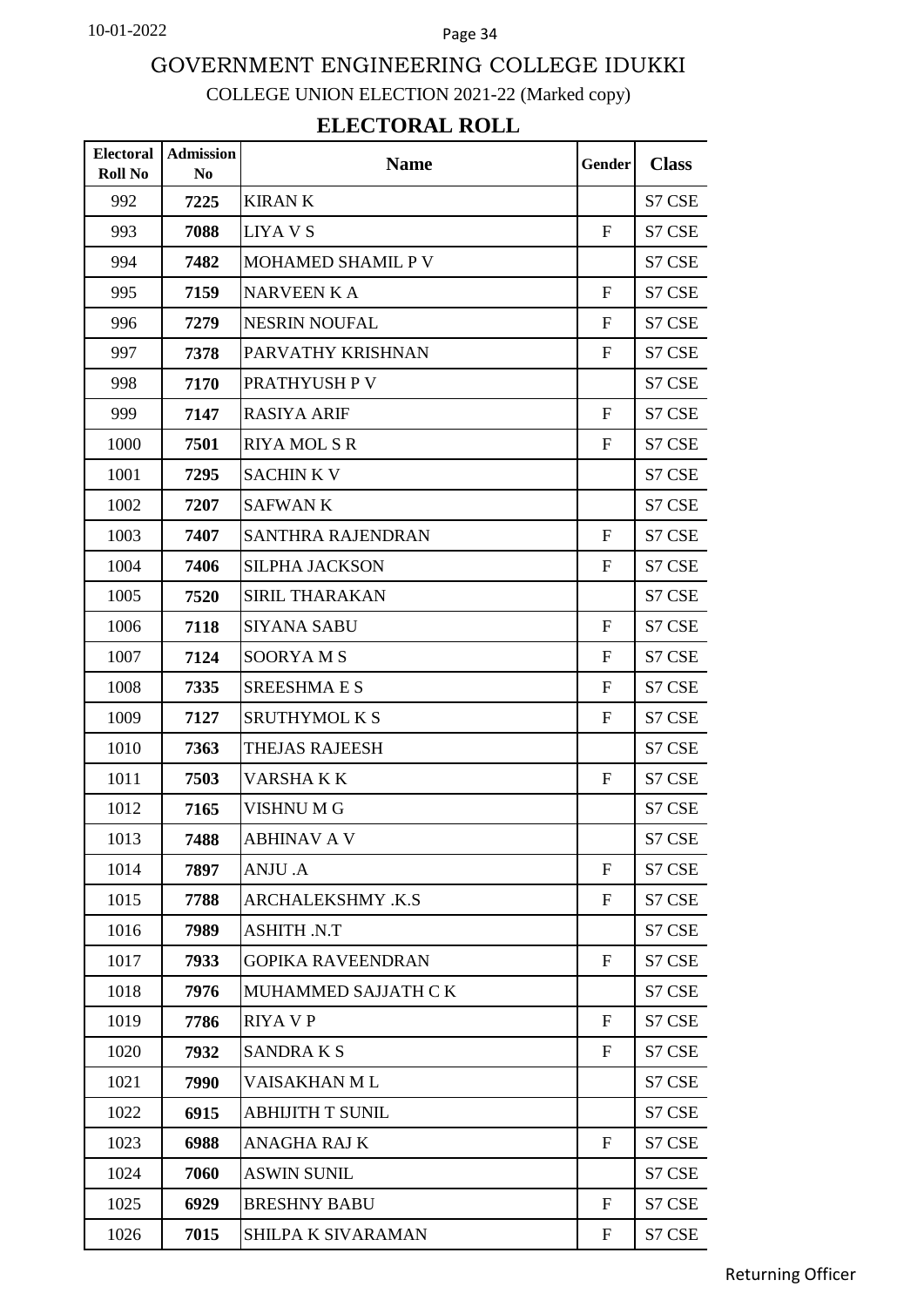COLLEGE UNION ELECTION 2021-22 (Marked copy)

#### **ELECTORAL ROLL**

| <b>Electoral</b><br><b>Roll No</b> | <b>Admission</b><br>N <sub>0</sub> | <b>Name</b>              | Gender       | <b>Class</b> |
|------------------------------------|------------------------------------|--------------------------|--------------|--------------|
| 992                                | 7225                               | <b>KIRANK</b>            |              | S7 CSE       |
| 993                                | 7088                               | <b>LIYA V S</b>          | $\mathbf{F}$ | S7 CSE       |
| 994                                | 7482                               | MOHAMED SHAMIL P V       |              | S7 CSE       |
| 995                                | 7159                               | <b>NARVEEN K A</b>       | $\mathbf{F}$ | S7 CSE       |
| 996                                | 7279                               | <b>NESRIN NOUFAL</b>     | $\mathbf{F}$ | S7 CSE       |
| 997                                | 7378                               | PARVATHY KRISHNAN        | F            | S7 CSE       |
| 998                                | 7170                               | PRATHYUSH P V            |              | S7 CSE       |
| 999                                | 7147                               | <b>RASIYA ARIF</b>       | $\mathbf{F}$ | S7 CSE       |
| 1000                               | 7501                               | <b>RIYA MOL S R</b>      | F            | S7 CSE       |
| 1001                               | 7295                               | <b>SACHINK V</b>         |              | S7 CSE       |
| 1002                               | 7207                               | <b>SAFWANK</b>           |              | S7 CSE       |
| 1003                               | 7407                               | SANTHRA RAJENDRAN        | $\mathbf{F}$ | S7 CSE       |
| 1004                               | 7406                               | SILPHA JACKSON           | F            | S7 CSE       |
| 1005                               | 7520                               | <b>SIRIL THARAKAN</b>    |              | S7 CSE       |
| 1006                               | 7118                               | SIYANA SABU              | F            | S7 CSE       |
| 1007                               | 7124                               | SOORYAMS                 | $\mathbf{F}$ | S7 CSE       |
| 1008                               | 7335                               | <b>SREESHMA E S</b>      | F            | S7 CSE       |
| 1009                               | 7127                               | <b>SRUTHYMOL K S</b>     | F            | S7 CSE       |
| 1010                               | 7363                               | <b>THEJAS RAJEESH</b>    |              | S7 CSE       |
| 1011                               | 7503                               | VARSHA K K               | $\mathbf{F}$ | S7 CSE       |
| 1012                               | 7165                               | <b>VISHNUMG</b>          |              | S7 CSE       |
| 1013                               | 7488                               | ABHINAV A V              |              | S7 CSE       |
| 1014                               | 7897                               | ANJU.A                   | $\mathbf F$  | S7 CSE       |
| 1015                               | 7788                               | <b>ARCHALEKSHMY .K.S</b> | $\mathbf{F}$ | S7 CSE       |
| 1016                               | 7989                               | <b>ASHITH .N.T</b>       |              | S7 CSE       |
| 1017                               | 7933                               | <b>GOPIKA RAVEENDRAN</b> | F            | S7 CSE       |
| 1018                               | 7976                               | MUHAMMED SAJJATH C K     |              | S7 CSE       |
| 1019                               | 7786                               | RIYA V P                 | F            | S7 CSE       |
| 1020                               | 7932                               | <b>SANDRAKS</b>          | F            | S7 CSE       |
| 1021                               | 7990                               | VAISAKHAN M L            |              | S7 CSE       |
| 1022                               | 6915                               | <b>ABHIJITH T SUNIL</b>  |              | S7 CSE       |
| 1023                               | 6988                               | ANAGHA RAJ K             | F            | S7 CSE       |
| 1024                               | 7060                               | <b>ASWIN SUNIL</b>       |              | S7 CSE       |
| 1025                               | 6929                               | <b>BRESHNY BABU</b>      | F            | S7 CSE       |
| 1026                               | 7015                               | SHILPA K SIVARAMAN       | $\mathbf F$  | S7 CSE       |

Returning Officer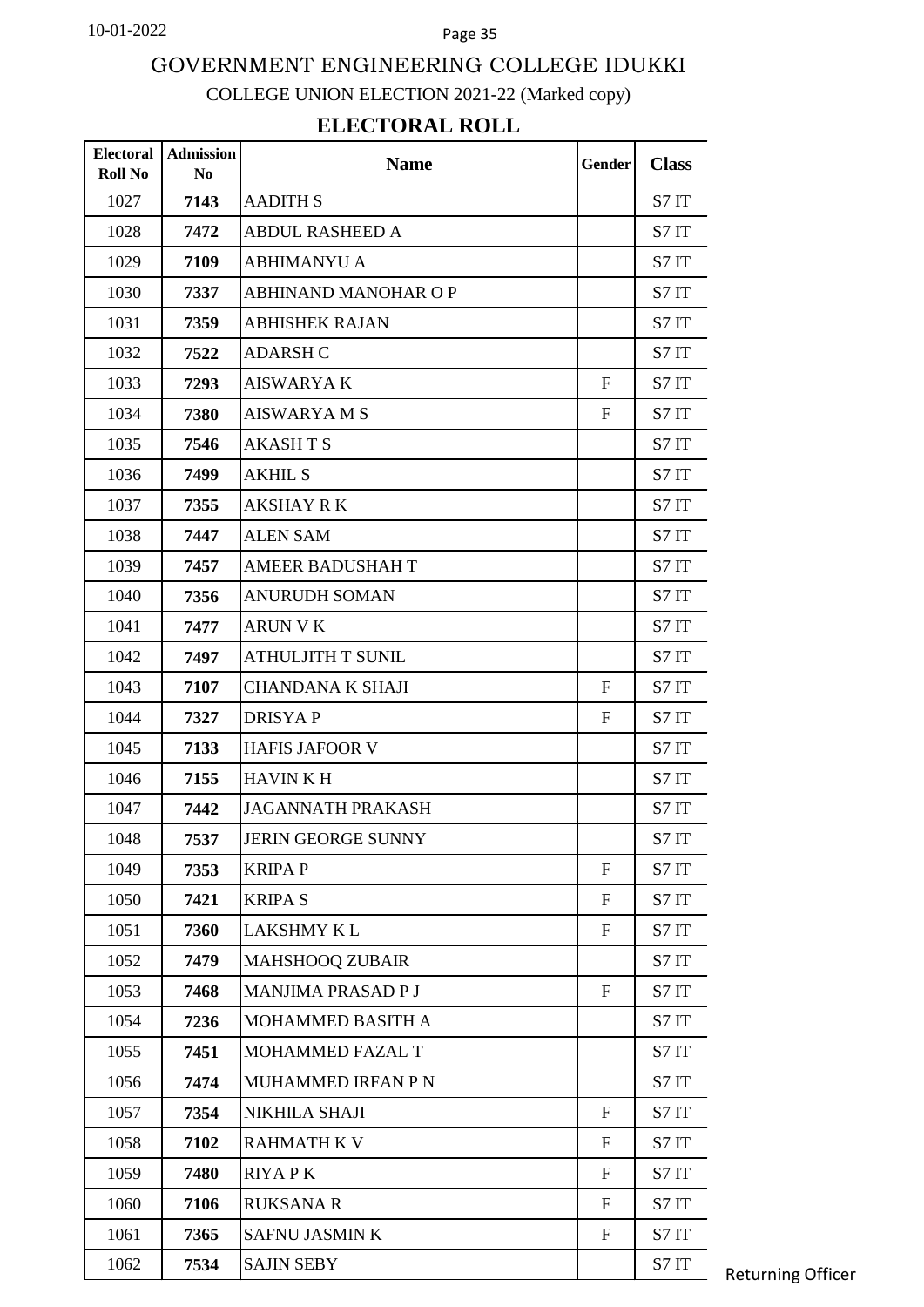COLLEGE UNION ELECTION 2021-22 (Marked copy)

#### **ELECTORAL ROLL**

| Electoral<br><b>Roll No</b> | <b>Admission</b><br>$\bf No$ | <b>Name</b>               | <b>Gender</b> | <b>Class</b> |
|-----------------------------|------------------------------|---------------------------|---------------|--------------|
| 1027                        | 7143                         | <b>AADITH S</b>           |               | S7 IT        |
| 1028                        | 7472                         | <b>ABDUL RASHEED A</b>    |               | S7 IT        |
| 1029                        | 7109                         | <b>ABHIMANYU A</b>        |               | S7 IT        |
| 1030                        | 7337                         | ABHINAND MANOHAR O P      |               | S7 IT        |
| 1031                        | 7359                         | <b>ABHISHEK RAJAN</b>     |               | S7 IT        |
| 1032                        | 7522                         | <b>ADARSH C</b>           |               | S7 IT        |
| 1033                        | 7293                         | <b>AISWARYA K</b>         | F             | S7 IT        |
| 1034                        | 7380                         | <b>AISWARYA M S</b>       | F             | S7 IT        |
| 1035                        | 7546                         | <b>AKASHTS</b>            |               | S7 IT        |
| 1036                        | 7499                         | <b>AKHIL S</b>            |               | S7 IT        |
| 1037                        | 7355                         | <b>AKSHAY R K</b>         |               | S7 IT        |
| 1038                        | 7447                         | <b>ALEN SAM</b>           |               | S7 IT        |
| 1039                        | 7457                         | <b>AMEER BADUSHAH T</b>   |               | S7 IT        |
| 1040                        | 7356                         | <b>ANURUDH SOMAN</b>      |               | S7 IT        |
| 1041                        | 7477                         | <b>ARUN V K</b>           |               | S7 IT        |
| 1042                        | 7497                         | <b>ATHULJITH T SUNIL</b>  |               | S7 IT        |
| 1043                        | 7107                         | <b>CHANDANA K SHAJI</b>   | $\mathbf{F}$  | S7 IT        |
| 1044                        | 7327                         | <b>DRISYAP</b>            | F             | S7 IT        |
| 1045                        | 7133                         | <b>HAFIS JAFOOR V</b>     |               | S7 IT        |
| 1046                        | 7155                         | <b>HAVINKH</b>            |               | S7 IT        |
| 1047                        | 7442                         | <b>JAGANNATH PRAKASH</b>  |               | S7 IT        |
| 1048                        | 7537                         | <b>JERIN GEORGE SUNNY</b> |               | S7 IT        |
| 1049                        | 7353                         | <b>KRIPAP</b>             | F             | S7 IT        |
| 1050                        | 7421                         | <b>KRIPA S</b>            | $\mathbf F$   | S7 IT        |
| 1051                        | 7360                         | <b>LAKSHMY KL</b>         | $\mathbf F$   | S7 IT        |
| 1052                        | 7479                         | <b>MAHSHOOQ ZUBAIR</b>    |               | S7 IT        |
| 1053                        | 7468                         | MANJIMA PRASAD P J        | F             | S7 IT        |
| 1054                        | 7236                         | MOHAMMED BASITH A         |               | S7 IT        |
| 1055                        | 7451                         | MOHAMMED FAZAL T          |               | S7 IT        |
| 1056                        | 7474                         | MUHAMMED IRFAN P N        |               | S7 IT        |
| 1057                        | 7354                         | NIKHILA SHAJI             | F             | S7 IT        |
| 1058                        | 7102                         | <b>RAHMATH K V</b>        | $\mathbf F$   | S7 IT        |
| 1059                        | 7480                         | <b>RIYAPK</b>             | F             | S7 IT        |
| 1060                        | 7106                         | <b>RUKSANA R</b>          | $\mathbf F$   | S7 IT        |
| 1061                        | 7365                         | SAFNU JASMIN K            | $\mathbf F$   | S7 IT        |
| 1062                        | 7534                         | <b>SAJIN SEBY</b>         |               | S7 IT        |

Returning Officer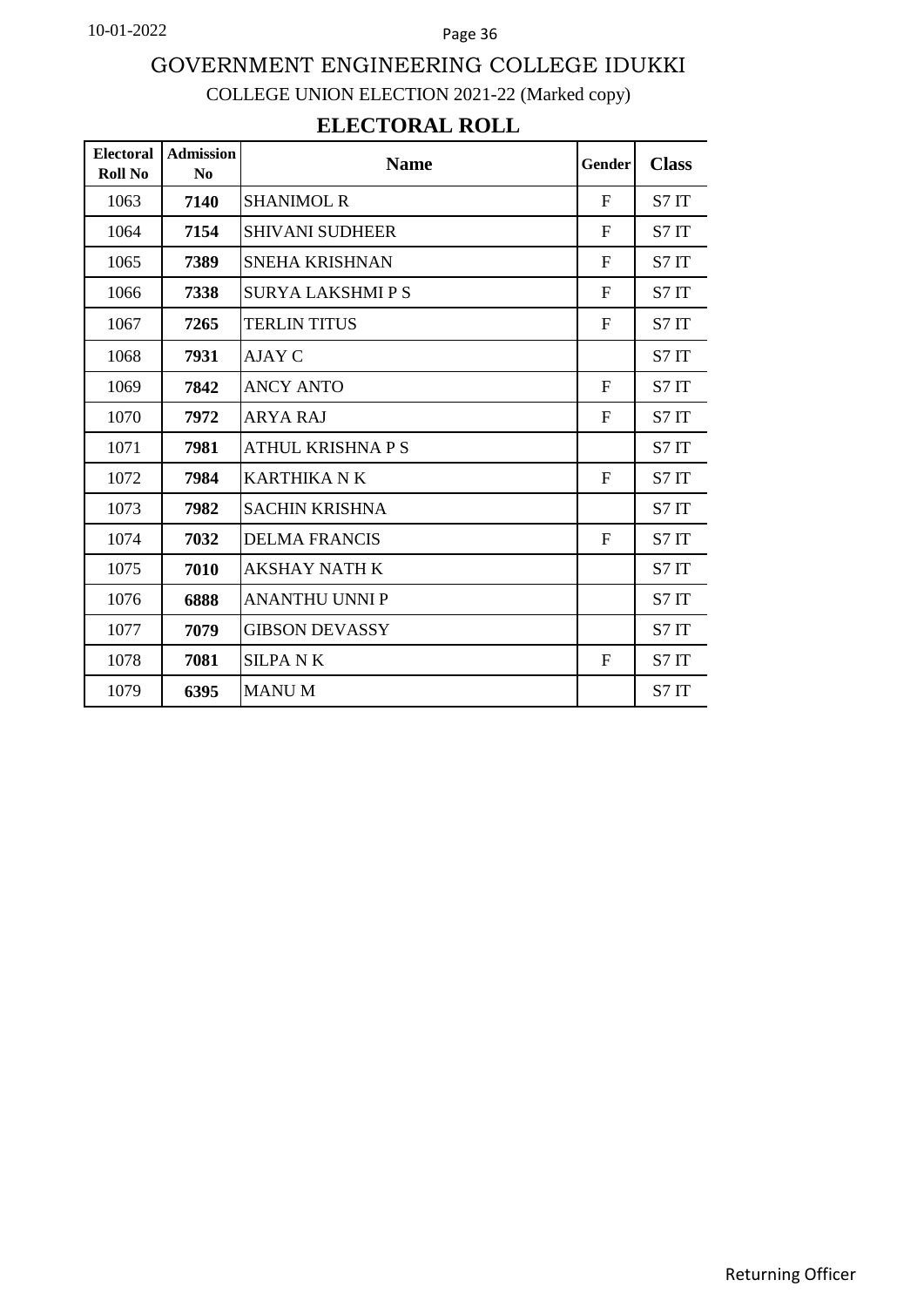### GOVERNMENT ENGINEERING COLLEGE IDUKKI COLLEGE UNION ELECTION 2021-22 (Marked copy)

| <b>Electoral</b><br>Roll No | <b>Admission</b><br>N <sub>0</sub> | <b>Name</b>              | Gender       | <b>Class</b> |
|-----------------------------|------------------------------------|--------------------------|--------------|--------------|
| 1063                        | 7140                               | <b>SHANIMOL R</b>        | $\mathbf F$  | S7 IT        |
| 1064                        | 7154                               | <b>SHIVANI SUDHEER</b>   | $\mathbf F$  | S7 IT        |
| 1065                        | 7389                               | <b>SNEHA KRISHNAN</b>    | $\mathbf F$  | S7 IT        |
| 1066                        | 7338                               | <b>SURYA LAKSHMI P S</b> | F            | S7 IT        |
| 1067                        | 7265                               | <b>TERLIN TITUS</b>      | F            | S7 IT        |
| 1068                        | 7931                               | AJAY C                   |              | S7 IT        |
| 1069                        | 7842                               | <b>ANCY ANTO</b>         | $\mathbf{F}$ | S7 IT        |
| 1070                        | 7972                               | <b>ARYA RAJ</b>          | $\mathbf{F}$ | S7 IT        |
| 1071                        | 7981                               | <b>ATHUL KRISHNA P S</b> |              | S7 IT        |
| 1072                        | 7984                               | <b>KARTHIKA N K</b>      | $\mathbf{F}$ | S7 IT        |
| 1073                        | 7982                               | <b>SACHIN KRISHNA</b>    |              | S7 IT        |
| 1074                        | 7032                               | <b>DELMA FRANCIS</b>     | $\mathbf{F}$ | S7 IT        |
| 1075                        | 7010                               | <b>AKSHAY NATH K</b>     |              | S7 IT        |
| 1076                        | 6888                               | <b>ANANTHU UNNI P</b>    |              | S7 IT        |
| 1077                        | 7079                               | <b>GIBSON DEVASSY</b>    |              | S7 IT        |
| 1078                        | 7081                               | <b>SILPANK</b>           | $\mathbf F$  | S7 IT        |
| 1079                        | 6395                               | <b>MANUM</b>             |              | S7 IT        |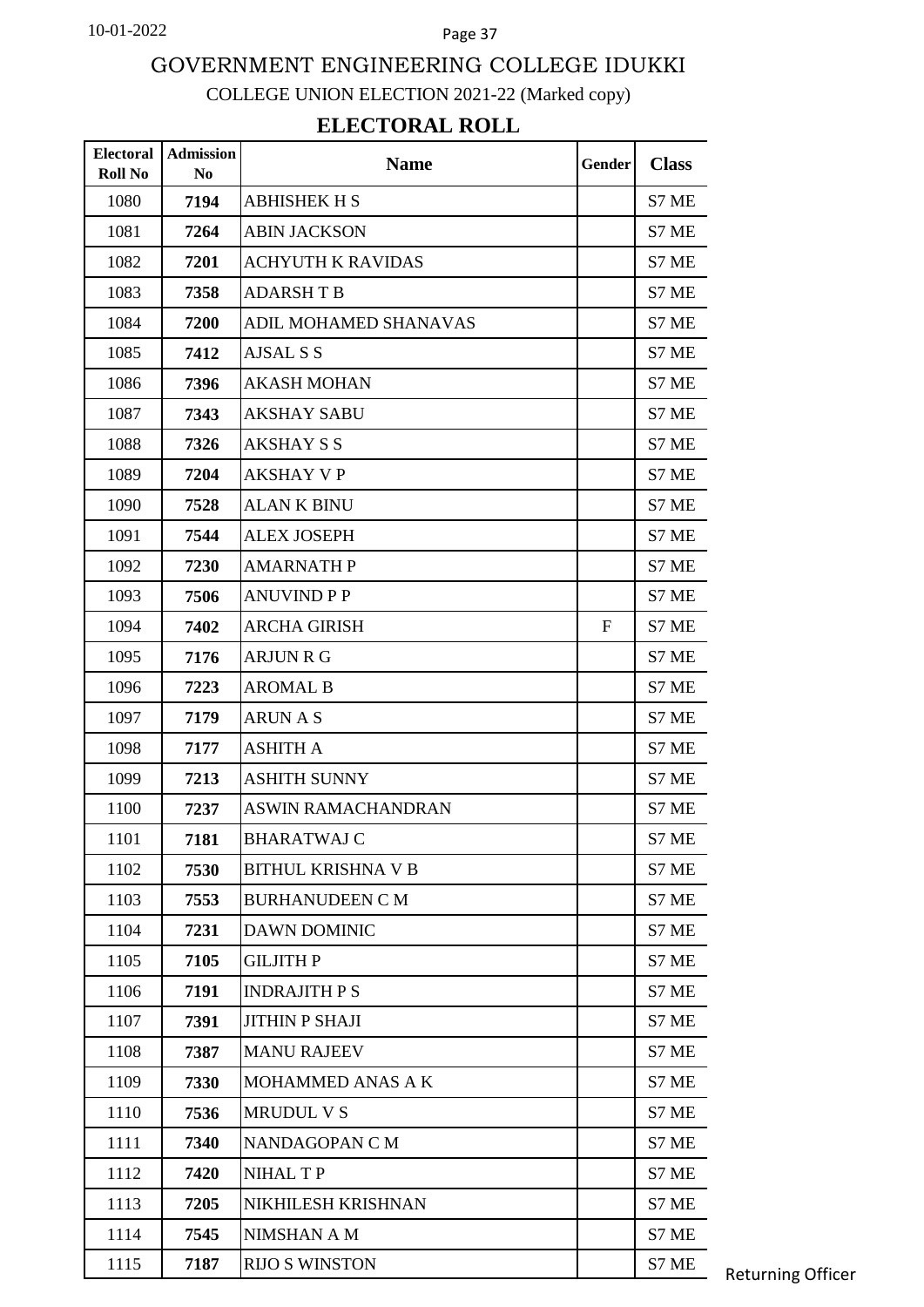## GOVERNMENT ENGINEERING COLLEGE IDUKKI

COLLEGE UNION ELECTION 2021-22 (Marked copy)

#### **ELECTORAL ROLL**

| <b>Electoral</b><br><b>Roll No</b> | <b>Admission</b><br>$\bf No$ | <b>Name</b>               | Gender | <b>Class</b> |
|------------------------------------|------------------------------|---------------------------|--------|--------------|
| 1080                               | 7194                         | <b>ABHISHEK H S</b>       |        | S7 ME        |
| 1081                               | 7264                         | <b>ABIN JACKSON</b>       |        | S7 ME        |
| 1082                               | 7201                         | <b>ACHYUTH K RAVIDAS</b>  |        | S7 ME        |
| 1083                               | 7358                         | <b>ADARSHTB</b>           |        | S7 ME        |
| 1084                               | 7200                         | ADIL MOHAMED SHANAVAS     |        | S7 ME        |
| 1085                               | 7412                         | AJSAL S S                 |        | S7 ME        |
| 1086                               | 7396                         | <b>AKASH MOHAN</b>        |        | S7 ME        |
| 1087                               | 7343                         | <b>AKSHAY SABU</b>        |        | S7 ME        |
| 1088                               | 7326                         | <b>AKSHAY S S</b>         |        | S7 ME        |
| 1089                               | 7204                         | <b>AKSHAY V P</b>         |        | S7 ME        |
| 1090                               | 7528                         | <b>ALAN K BINU</b>        |        | S7 ME        |
| 1091                               | 7544                         | <b>ALEX JOSEPH</b>        |        | S7 ME        |
| 1092                               | 7230                         | <b>AMARNATH P</b>         |        | S7 ME        |
| 1093                               | 7506                         | <b>ANUVIND P P</b>        |        | S7 ME        |
| 1094                               | 7402                         | <b>ARCHA GIRISH</b>       | F      | S7 ME        |
| 1095                               | 7176                         | <b>ARJUN R G</b>          |        | S7 ME        |
| 1096                               | 7223                         | <b>AROMAL B</b>           |        | S7 ME        |
| 1097                               | 7179                         | <b>ARUN A S</b>           |        | S7 ME        |
| 1098                               | 7177                         | <b>ASHITH A</b>           |        | S7 ME        |
| 1099                               | 7213                         | <b>ASHITH SUNNY</b>       |        | S7 ME        |
| 1100                               | 7237                         | <b>ASWIN RAMACHANDRAN</b> |        | S7 ME        |
| 1101                               | 7181                         | <b>BHARATWAJ C</b>        |        | S7 ME        |
| 1102                               | 7530                         | <b>BITHUL KRISHNA V B</b> |        | S7 ME        |
| 1103                               | 7553                         | <b>BURHANUDEEN C M</b>    |        | S7 ME        |
| 1104                               | 7231                         | <b>DAWN DOMINIC</b>       |        | S7 ME        |
| 1105                               | 7105                         | <b>GILJITH P</b>          |        | S7 ME        |
| 1106                               | 7191                         | <b>INDRAJITH P S</b>      |        | S7 ME        |
| 1107                               | 7391                         | <b>JITHIN P SHAJI</b>     |        | S7 ME        |
| 1108                               | 7387                         | <b>MANU RAJEEV</b>        |        | S7 ME        |
| 1109                               | 7330                         | MOHAMMED ANAS A K         |        | S7 ME        |
| 1110                               | 7536                         | <b>MRUDUL V S</b>         |        | S7 ME        |
| 1111                               | 7340                         | NANDAGOPAN C M            |        | S7 ME        |
| 1112                               | 7420                         | <b>NIHAL TP</b>           |        | S7 ME        |
| 1113                               | 7205                         | NIKHILESH KRISHNAN        |        | S7 ME        |
| 1114                               | 7545                         | NIMSHAN A M               |        | S7 ME        |
| 1115                               | 7187                         | <b>RIJO S WINSTON</b>     |        | S7 ME        |

**A** A Returning Officer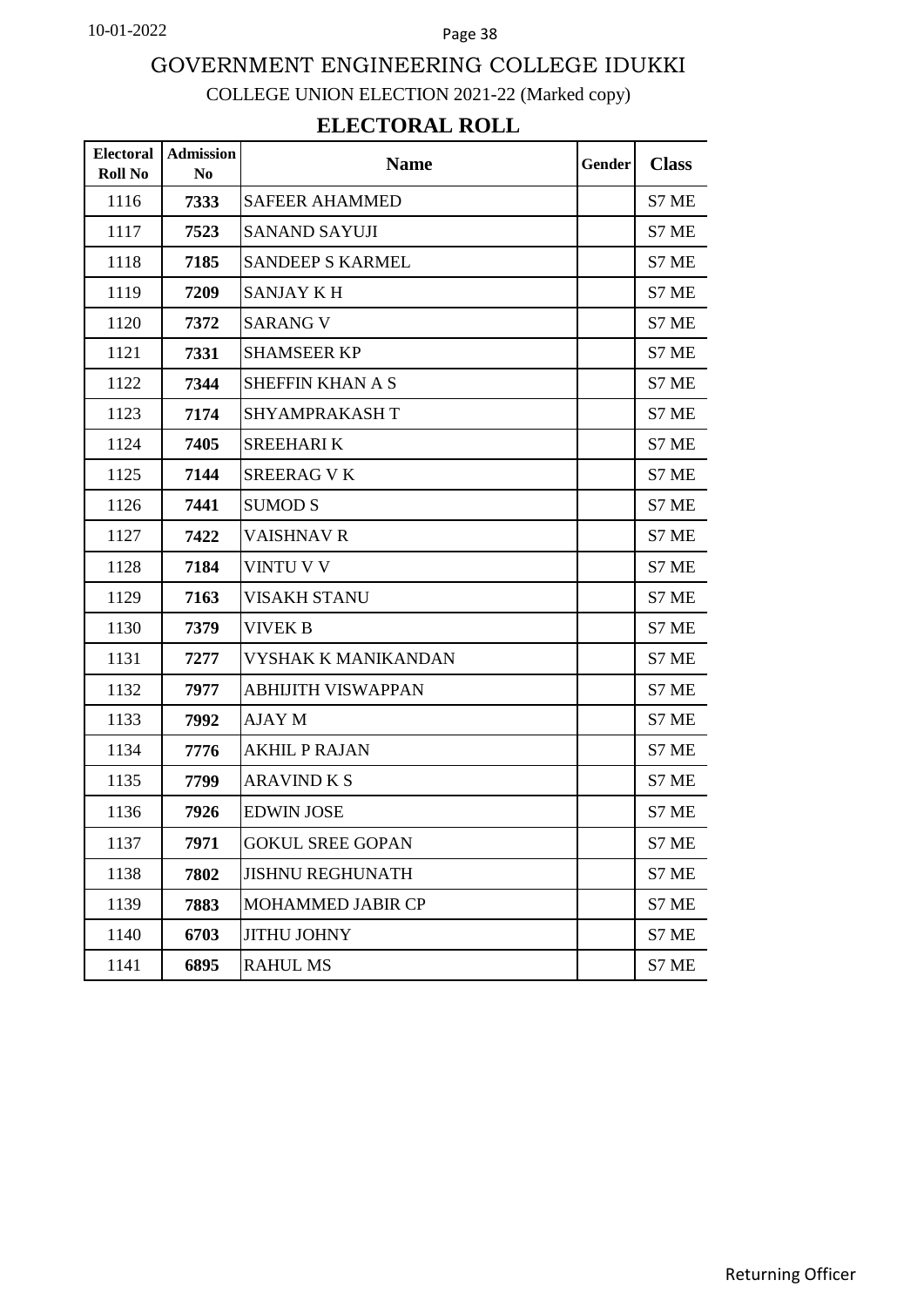### GOVERNMENT ENGINEERING COLLEGE IDUKKI

COLLEGE UNION ELECTION 2021-22 (Marked copy)

| Electoral<br><b>Roll No</b> | <b>Admission</b><br>N <sub>0</sub> | <b>Name</b>                | Gender | <b>Class</b> |
|-----------------------------|------------------------------------|----------------------------|--------|--------------|
| 1116                        | 7333                               | <b>SAFEER AHAMMED</b>      |        | S7 ME        |
| 1117                        | 7523                               | <b>SANAND SAYUJI</b>       |        | S7 ME        |
| 1118                        | 7185                               | <b>SANDEEP S KARMEL</b>    |        | S7 ME        |
| 1119                        | 7209                               | <b>SANJAY KH</b>           |        | S7 ME        |
| 1120                        | 7372                               | <b>SARANG V</b>            |        | S7 ME        |
| 1121                        | 7331                               | <b>SHAMSEER KP</b>         |        | S7 ME        |
| 1122                        | 7344                               | <b>SHEFFIN KHAN A S</b>    |        | S7 ME        |
| 1123                        | 7174                               | SHYAMPRAKASH T             |        | S7 ME        |
| 1124                        | 7405                               | <b>SREEHARIK</b>           |        | S7 ME        |
| 1125                        | 7144                               | <b>SREERAG V K</b>         |        | S7 ME        |
| 1126                        | 7441                               | <b>SUMOD S</b>             |        | S7 ME        |
| 1127                        | 7422                               | <b>VAISHNAV R</b>          |        | S7 ME        |
| 1128                        | 7184                               | VINTU V V                  |        | S7 ME        |
| 1129                        | 7163                               | <b>VISAKH STANU</b>        |        | S7 ME        |
| 1130                        | 7379                               | <b>VIVEK B</b>             |        | S7 ME        |
| 1131                        | 7277                               | <b>VYSHAK K MANIKANDAN</b> |        | S7 ME        |
| 1132                        | 7977                               | <b>ABHIJITH VISWAPPAN</b>  |        | S7 ME        |
| 1133                        | 7992                               | AJAY M                     |        | S7 ME        |
| 1134                        | 7776                               | <b>AKHIL P RAJAN</b>       |        | S7 ME        |
| 1135                        | 7799                               | <b>ARAVIND K S</b>         |        | S7 ME        |
| 1136                        | 7926                               | <b>EDWIN JOSE</b>          |        | S7 ME        |
| 1137                        | 7971                               | <b>GOKUL SREE GOPAN</b>    |        | S7 ME        |
| 1138                        | 7802                               | <b>JISHNU REGHUNATH</b>    |        | S7 ME        |
| 1139                        | 7883                               | MOHAMMED JABIR CP          |        | S7 ME        |
| 1140                        | 6703                               | <b>JITHU JOHNY</b>         |        | S7 ME        |
| 1141                        | 6895                               | <b>RAHUL MS</b>            |        | S7 ME        |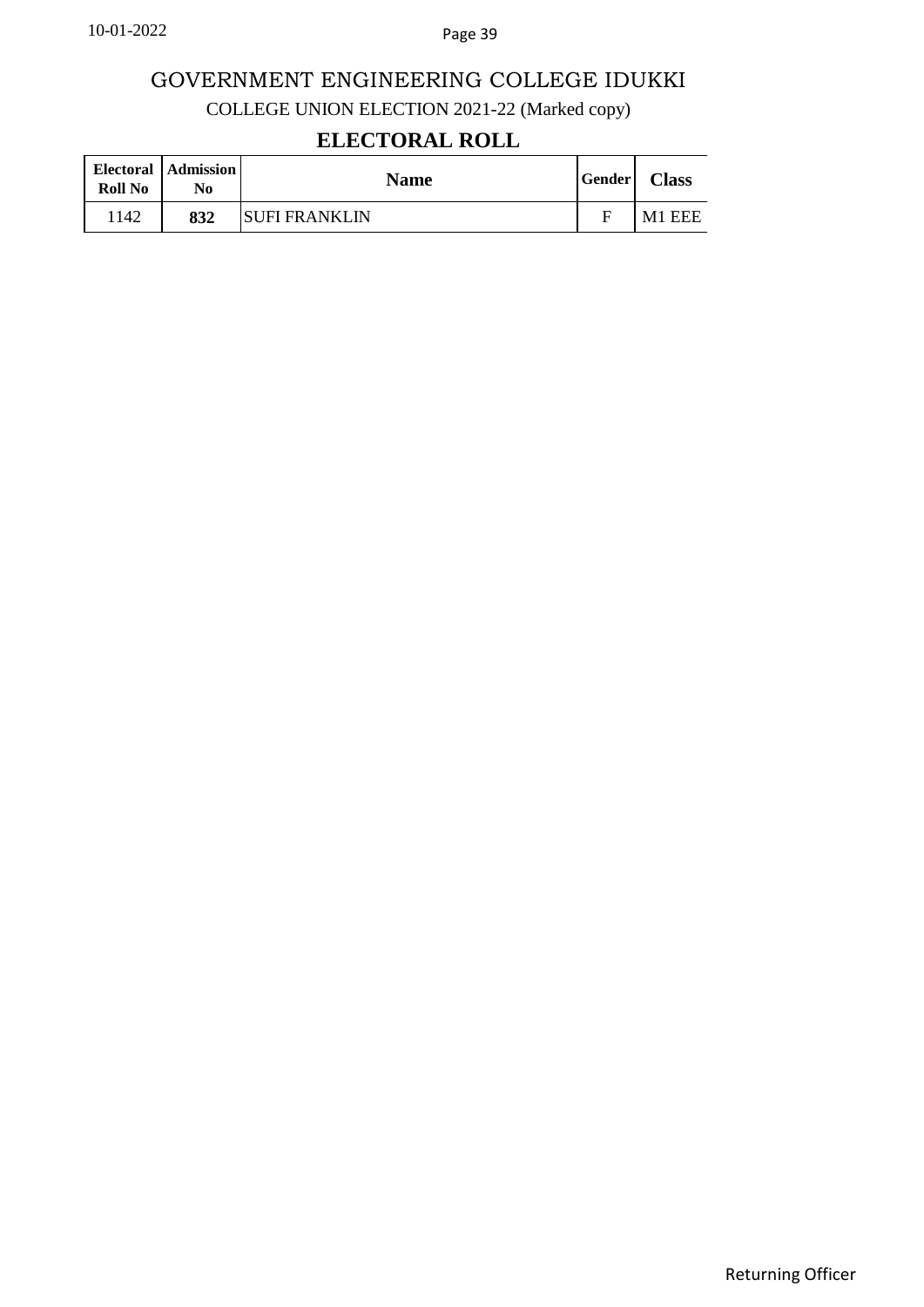### GOVERNMENT ENGINEERING COLLEGE IDUKKI COLLEGE UNION ELECTION 2021-22 (Marked copy)

| <b>Roll No</b> | Electoral   Admission  <br>No | <b>Name</b>           | <b>Gender</b> | <b>Class</b>       |
|----------------|-------------------------------|-----------------------|---------------|--------------------|
| ! 142          | 832                           | <b>ISUFI FRANKLIN</b> | F             | M <sub>1</sub> EEE |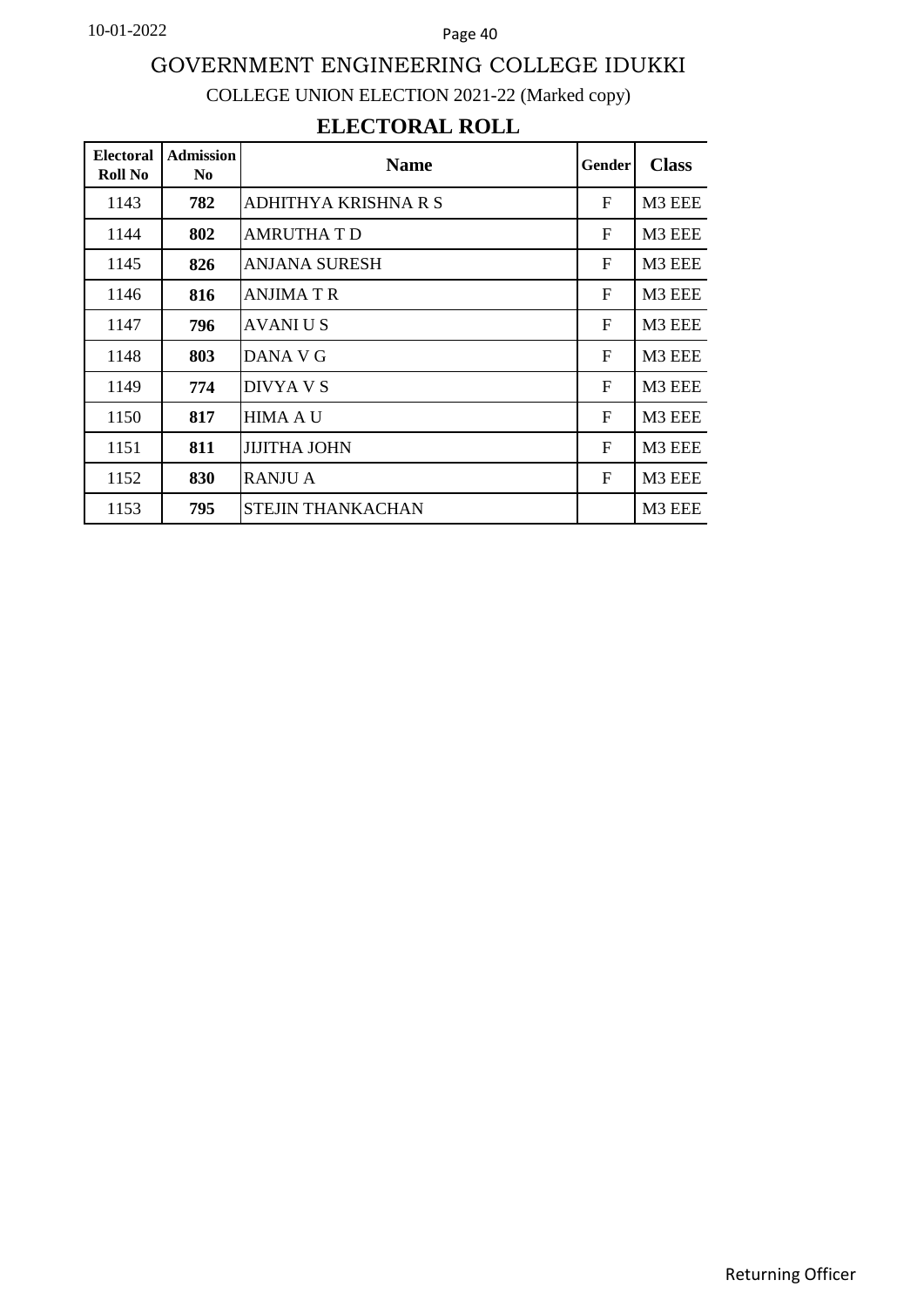### GOVERNMENT ENGINEERING COLLEGE IDUKKI COLLEGE UNION ELECTION 2021-22 (Marked copy)

**Electoral Roll No Admission Name Gender Class 782** ADHITHYA KRISHNA R S F M3 EEE **802** AMRUTHA T D F M3 EEE **826** ANJANA SURESH F M3 EEE **816** ANJIMA T R **F** M3 EEE **796** AVANIUS F M3 EEE **803** DANA V G F M3 EEE **774** DIVYA V S F M3 EEE **817** HIMA A U F M3 EEE **811 JIJITHA JOHN** F M3 EEE **830** RANJU A F M3 EEE **795** STEJIN THANKACHAN M3 EEE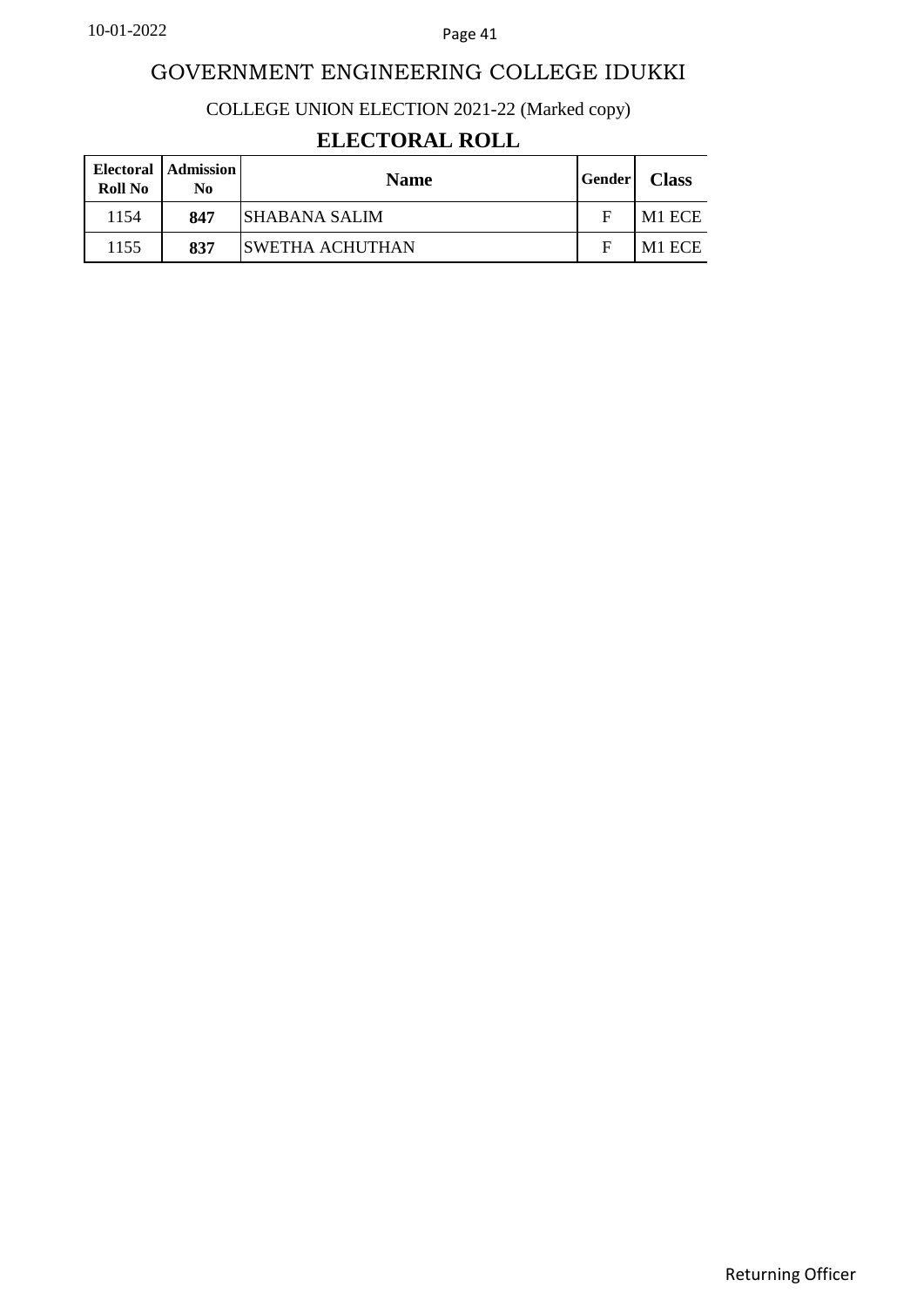#### GOVERNMENT ENGINEERING COLLEGE IDUKKI

COLLEGE UNION ELECTION 2021-22 (Marked copy)

| <b>Roll No</b> | Electoral   Admission  <br>No | <b>Name</b>      | Gender | <b>Class</b>       |
|----------------|-------------------------------|------------------|--------|--------------------|
| 1154           | 847                           | ISHABANA SALIM   | E      | M1 ECE             |
| 1155           | 837                           | ISWETHA ACHUTHAN | F      | M <sub>1</sub> ECE |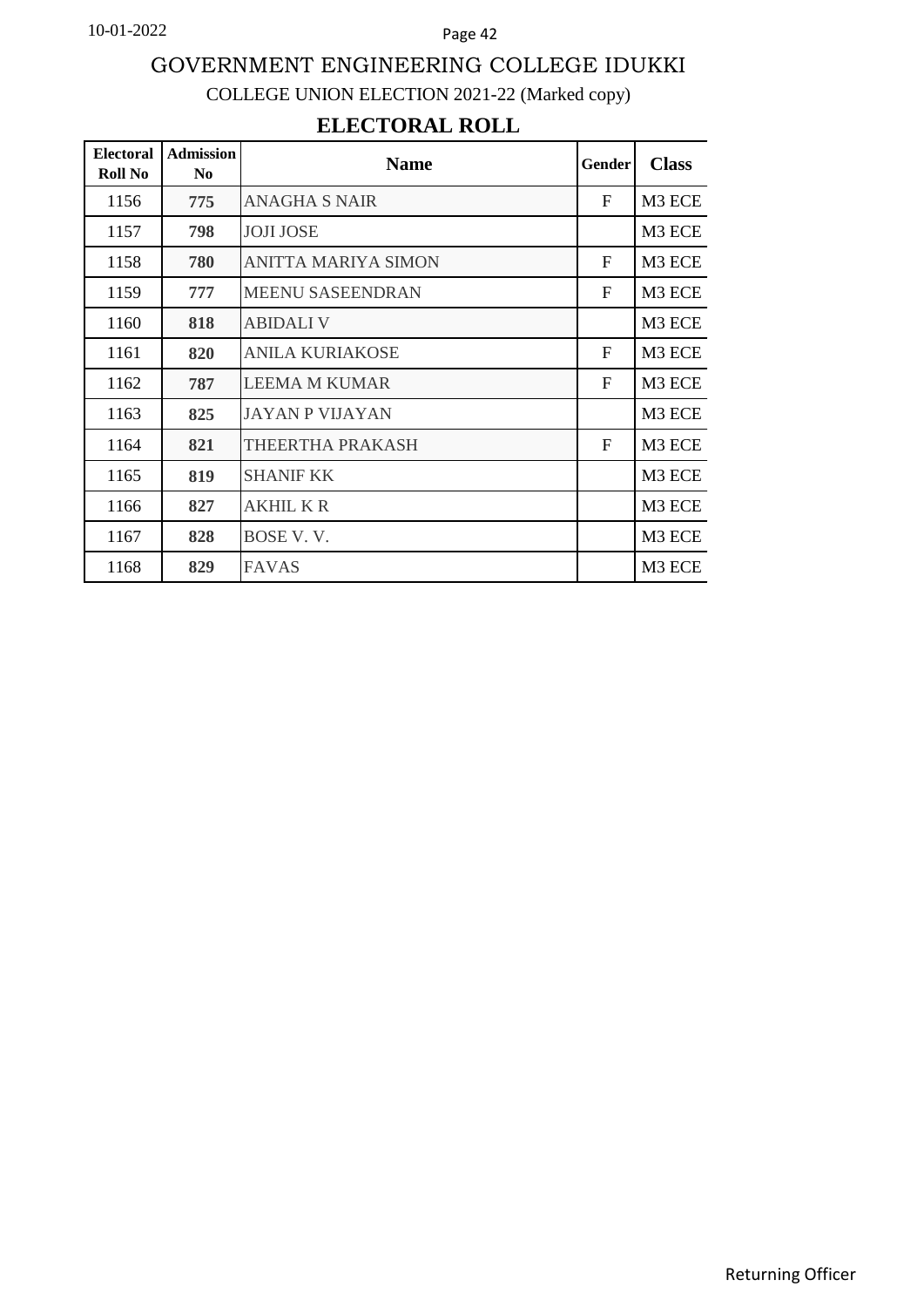## GOVERNMENT ENGINEERING COLLEGE IDUKKI

COLLEGE UNION ELECTION 2021-22 (Marked copy)

| <b>Electoral</b><br><b>Roll No</b> | <b>Admission</b><br>N <sub>0</sub> | <b>Name</b>                | Gender       | <b>Class</b> |
|------------------------------------|------------------------------------|----------------------------|--------------|--------------|
| 1156                               | 775                                | <b>ANAGHA S NAIR</b>       | F            | M3 ECE       |
| 1157                               | 798                                | <b>JOJI JOSE</b>           |              | M3 ECE       |
| 1158                               | 780                                | <b>ANITTA MARIYA SIMON</b> | F            | M3 ECE       |
| 1159                               | 777                                | <b>MEENU SASEENDRAN</b>    | $\mathbf{F}$ | M3 ECE       |
| 1160                               | 818                                | <b>ABIDALI V</b>           |              | M3 ECE       |
| 1161                               | 820                                | <b>ANILA KURIAKOSE</b>     | $\mathbf{F}$ | M3 ECE       |
| 1162                               | 787                                | <b>LEEMA M KUMAR</b>       | F            | M3 ECE       |
| 1163                               | 825                                | <b>JAYAN P VIJAYAN</b>     |              | M3 ECE       |
| 1164                               | 821                                | THEERTHA PRAKASH           | $\mathbf{F}$ | M3 ECE       |
| 1165                               | 819                                | <b>SHANIF KK</b>           |              | M3 ECE       |
| 1166                               | 827                                | <b>AKHIL KR</b>            |              | M3 ECE       |
| 1167                               | 828                                | BOSE V.V.                  |              | M3 ECE       |
| 1168                               | 829                                | <b>FAVAS</b>               |              | M3 ECE       |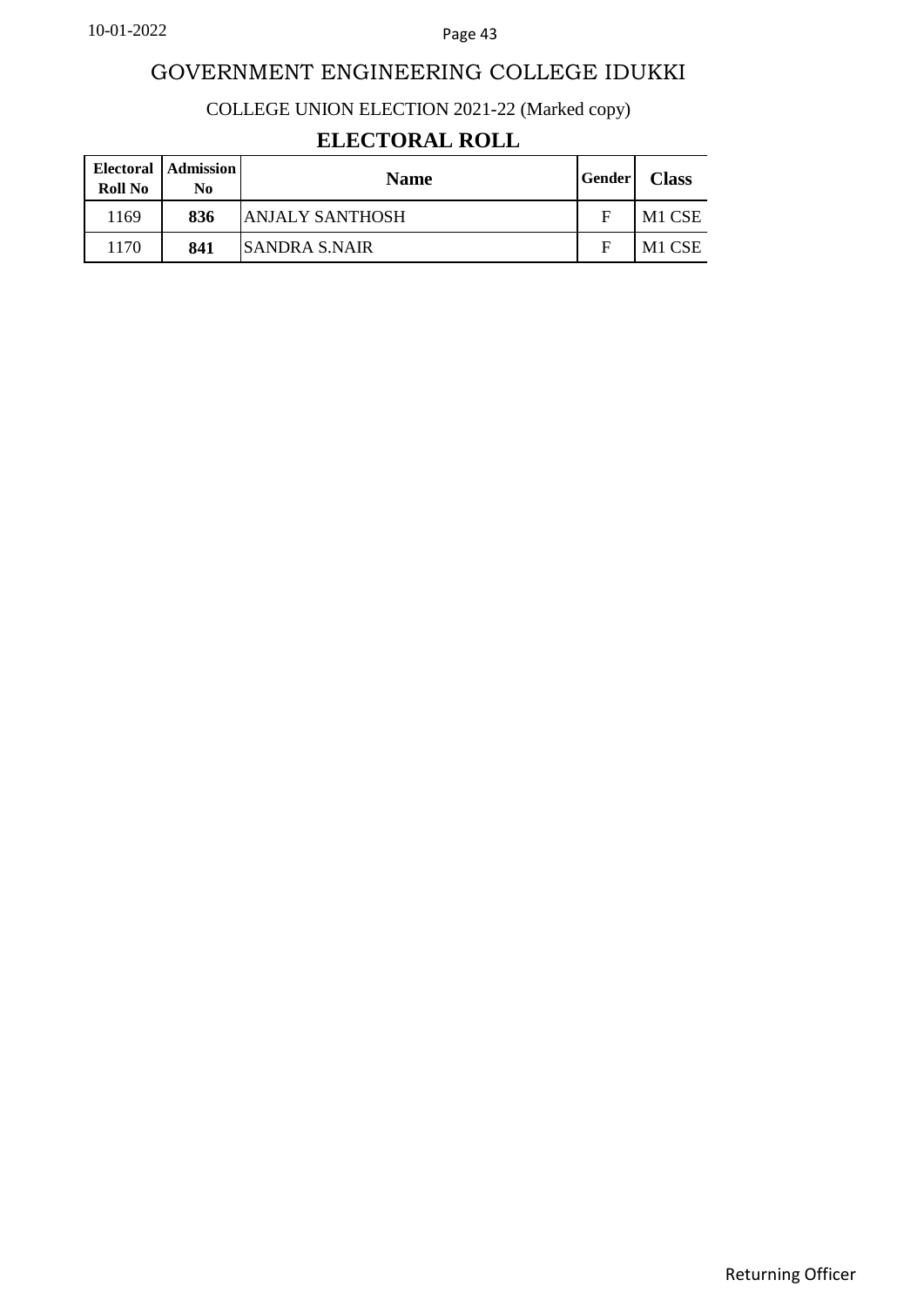#### GOVERNMENT ENGINEERING COLLEGE IDUKKI

COLLEGE UNION ELECTION 2021-22 (Marked copy)

| <b>Roll No</b> | Electoral   Admission  <br>No | <b>Name</b>            | Gender | <b>Class</b>       |
|----------------|-------------------------------|------------------------|--------|--------------------|
| 1169           | 836                           | <b>ANJALY SANTHOSH</b> | F      | M <sub>1</sub> CSE |
| 1170           | 841                           | ISANDRA S.NAIR         | E      | M <sub>1</sub> CSE |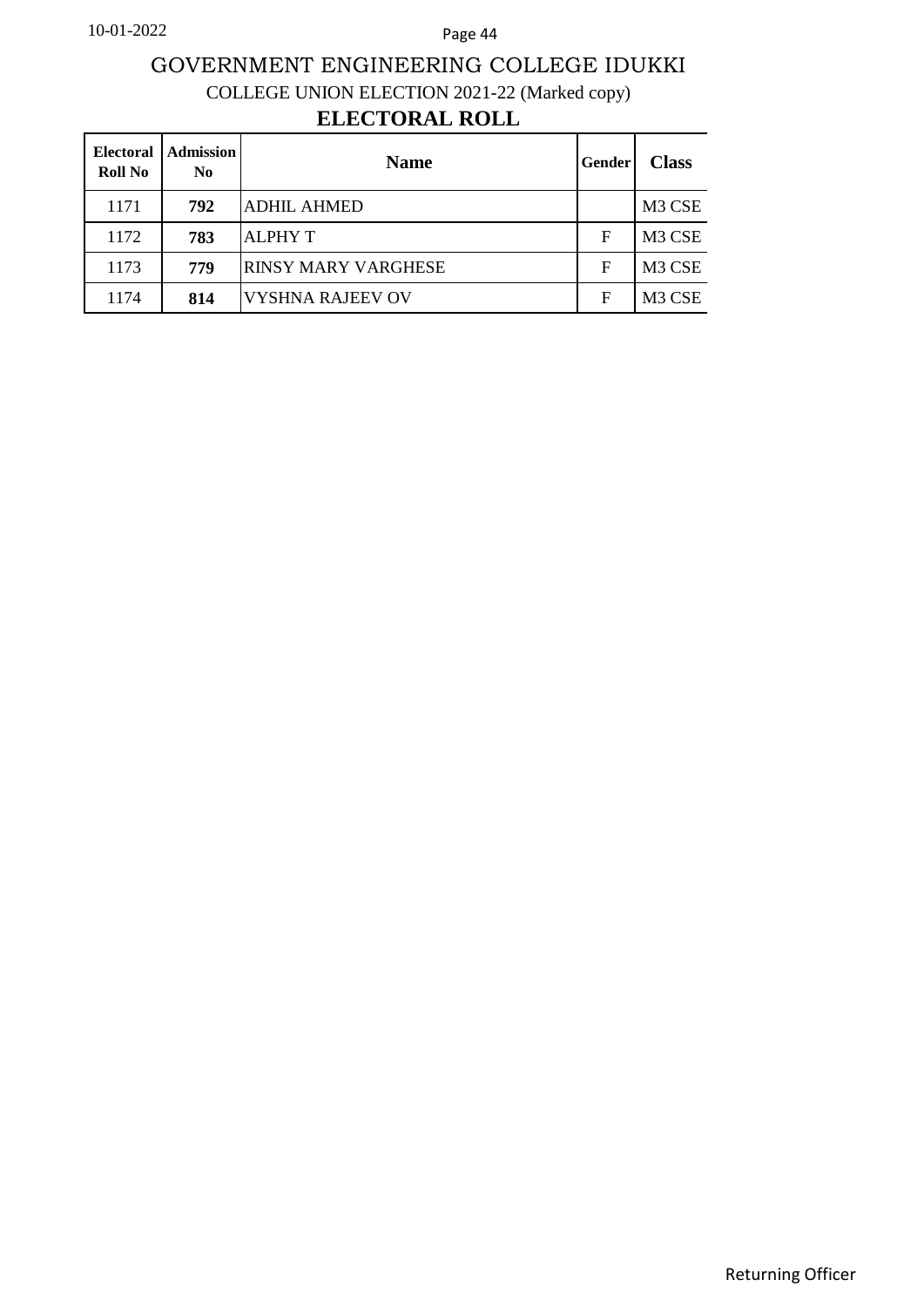## COLLEGE UNION ELECTION 2021-22 (Marked copy) GOVERNMENT ENGINEERING COLLEGE IDUKKI

| <b>Electoral</b><br><b>Roll No</b> | <b>Admission</b><br>N <sub>0</sub> | <b>Name</b>                | Gender      | <b>Class</b>                   |
|------------------------------------|------------------------------------|----------------------------|-------------|--------------------------------|
| 1171                               | 792                                | <b>ADHIL AHMED</b>         |             | M <sub>3</sub> CSE             |
| 1172                               | 783                                | <b>ALPHY T</b>             | F           | M <sub>3</sub> CSE             |
| 1173                               | 779                                | <b>RINSY MARY VARGHESE</b> | F           | M <sub>3</sub> CSE             |
| 1174                               | 814                                | <b>VYSHNA RAJEEV OV</b>    | $\mathbf F$ | M <sub>3</sub> C <sub>SE</sub> |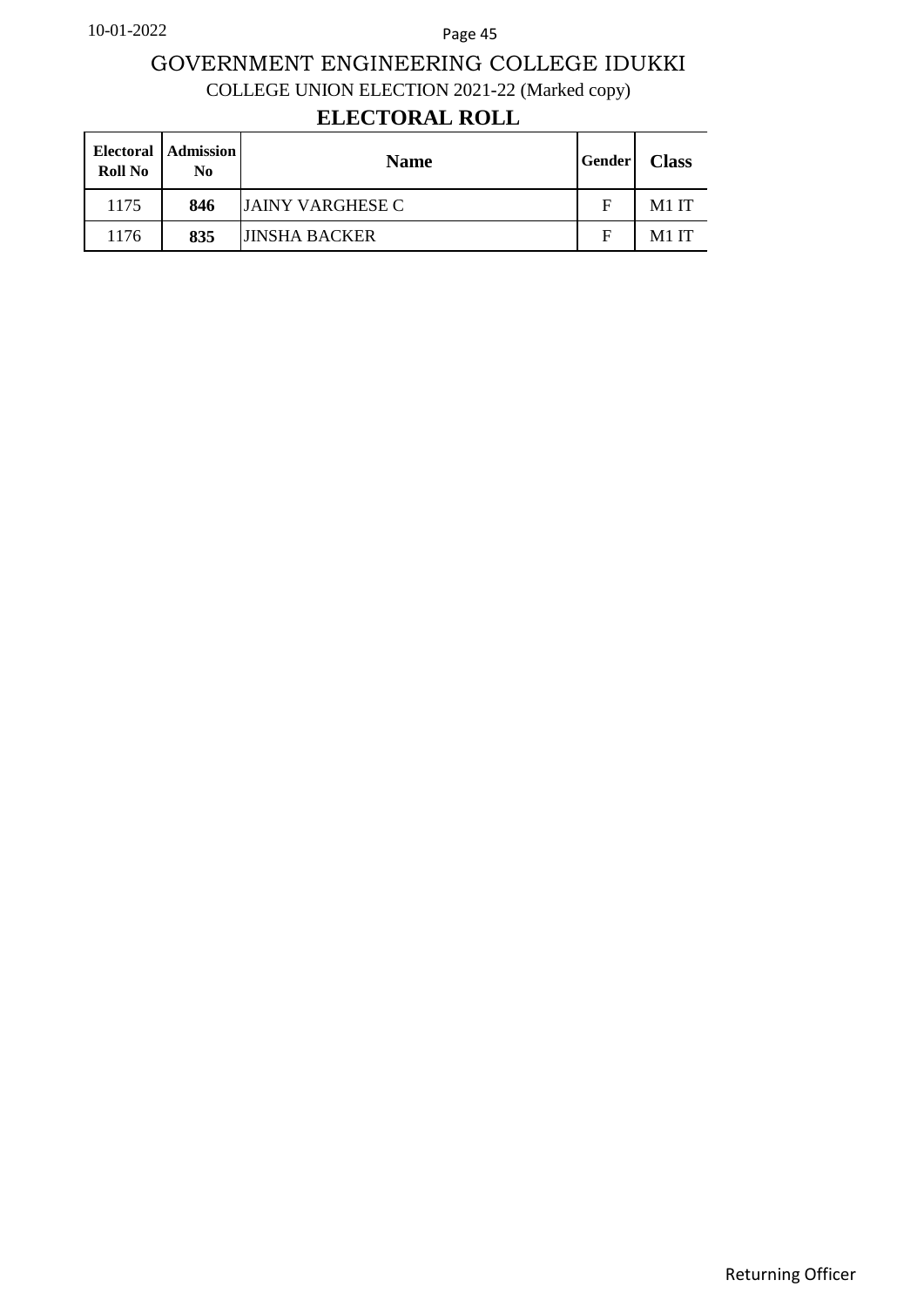#### GOVERNMENT ENGINEERING COLLEGE IDUKKI COLLEGE UNION ELECTION 2021-22 (Marked copy)

| <b>Electoral</b><br><b>Roll No</b> | <b>Admission</b><br>N <sub>0</sub> | <b>Name</b>             | Gender | <b>Class</b>      |
|------------------------------------|------------------------------------|-------------------------|--------|-------------------|
| 1175                               | 846                                | <b>JAINY VARGHESE C</b> | F      | M <sub>1</sub> IT |
| 1176                               | 835                                | <b>JINSHA BACKER</b>    | F      | M <sub>1</sub> IT |